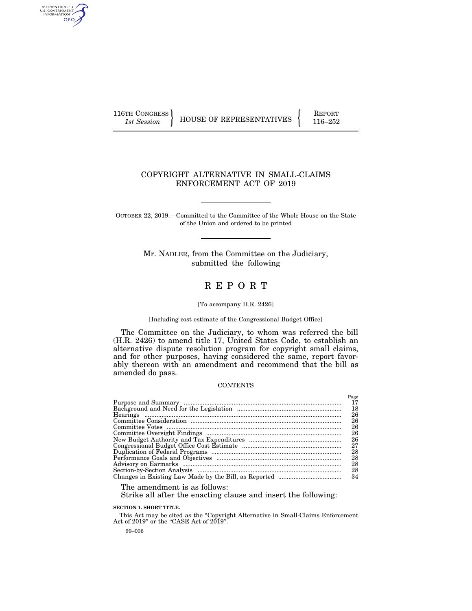AUTHENTICATED<br>U.S. GOVERNMENT<br>INFORMATION GPO

116TH CONGRESS HOUSE OF REPRESENTATIVES FEPORT 116–252

## COPYRIGHT ALTERNATIVE IN SMALL-CLAIMS ENFORCEMENT ACT OF 2019

OCTOBER 22, 2019.—Committed to the Committee of the Whole House on the State of the Union and ordered to be printed

> Mr. NADLER, from the Committee on the Judiciary, submitted the following

# R E P O R T

### [To accompany H.R. 2426]

[Including cost estimate of the Congressional Budget Office]

The Committee on the Judiciary, to whom was referred the bill (H.R. 2426) to amend title 17, United States Code, to establish an alternative dispute resolution program for copyright small claims, and for other purposes, having considered the same, report favorably thereon with an amendment and recommend that the bill as amended do pass.

#### **CONTENTS**

| Page |
|------|
| 17   |
| 18   |
| 26   |
| 26   |
| 26   |
| 26   |
| 26   |
| 27   |
| 28   |
| 28   |
| 28   |
| 28   |
| 34   |
|      |

The amendment is as follows:

Strike all after the enacting clause and insert the following:

**SECTION 1. SHORT TITLE.** 

This Act may be cited as the ''Copyright Alternative in Small-Claims Enforcement Act of 2019" or the "CASE Act of 2019".

99–006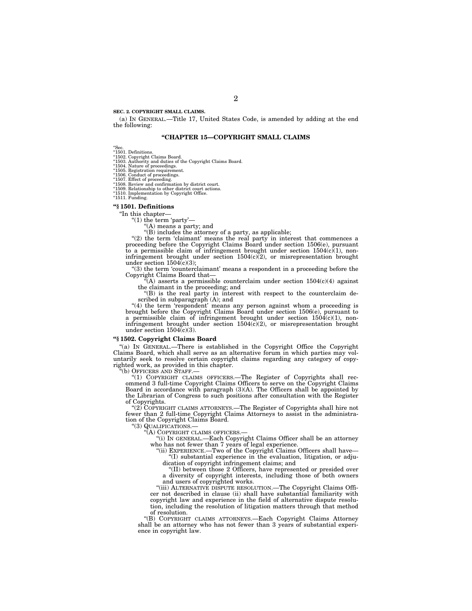#### **SEC. 2. COPYRIGHT SMALL CLAIMS.**

(a) IN GENERAL.—Title 17, United States Code, is amended by adding at the end the following:

#### **''CHAPTER 15—COPYRIGHT SMALL CLAIMS**

"Sec.<br>"1501. Definitions.<br>"1502. Copyright Claims Board.<br>"1502. Copyright Claims Board.<br>"1503. Authority and duties of the Copyright Claims Board.<br>"1505. Registration requirement.<br>"1507. Effect of proceedings.<br>"1507. Effec

''1509. Relationship to other district court actions. ''1510. Implementation by Copyright Office. ''1511. Funding.

## **''§ 1501. Definitions**

''In this chapter—

" $(1)$  the term 'party'-

''(A) means a party; and ''(B) includes the attorney of a party, as applicable;

"(2) the term 'claimant' means the real party in interest that commences a proceeding before the Copyright Claims Board under section 1506(e), pursuant to a permissible claim of infringement brought under section  $1504(c)$ (t), noninfringement brought under section  $1504(c)$  (2), or misrepresentation brought under section  $1504(c)(3)$ ;

''(3) the term 'counterclaimant' means a respondent in a proceeding before the Copyright Claims Board that—

 $(A)$  asserts a permissible counterclaim under section 1504(c)(4) against the claimant in the proceeding; and

''(B) is the real party in interest with respect to the counterclaim de-scribed in subparagraph (A); and

"(4) the term 'respondent' means any person against whom a proceeding is brought before the Copyright Claims Board under section 1506(e), pursuant to a permissible claim of infringement brought under section 1504(c)(1), non-infringement brought under section 1504(c)(2), or misrepresentation brought under section  $1504(c)(3)$ .

#### **''§ 1502. Copyright Claims Board**

''(a) IN GENERAL.—There is established in the Copyright Office the Copyright Claims Board, which shall serve as an alternative forum in which parties may voluntarily seek to resolve certain copyright claims regarding any category of copy-righted work, as provided in this chapter.

''(b) OFFICERS AND STAFF.— ''(1) COPYRIGHT CLAIMS OFFICERS.—The Register of Copyrights shall recommend 3 full-time Copyright Claims Officers to serve on the Copyright Claims Board in accordance with paragraph (3)(A). The Officers shall be appointed by the Librarian of Congress to such positions after consultation with the Register of Copyrights.

"(2) COPYRIGHT CLAIMS ATTORNEYS.—The Register of Copyrights shall hire not fewer than 2 full-time Copyright Claims Attorneys to assist in the administra-tion of the Copyright Claims Board.

''(3) QUALIFICATIONS.—

''(A) COPYRIGHT CLAIMS OFFICERS.—

''(i) IN GENERAL.—Each Copyright Claims Officer shall be an attorney who has not fewer than 7 years of legal experience.

''(ii) EXPERIENCE.—Two of the Copyright Claims Officers shall have— ''(I) substantial experience in the evaluation, litigation, or adjudication of copyright infringement claims; and

''(II) between those 2 Officers, have represented or presided over a diversity of copyright interests, including those of both owners and users of copyrighted works.

''(iii) ALTERNATIVE DISPUTE RESOLUTION.—The Copyright Claims Officer not described in clause (ii) shall have substantial familiarity with copyright law and experience in the field of alternative dispute resolution, including the resolution of litigation matters through that method of resolution.

''(B) COPYRIGHT CLAIMS ATTORNEYS.—Each Copyright Claims Attorney shall be an attorney who has not fewer than 3 years of substantial experience in copyright law.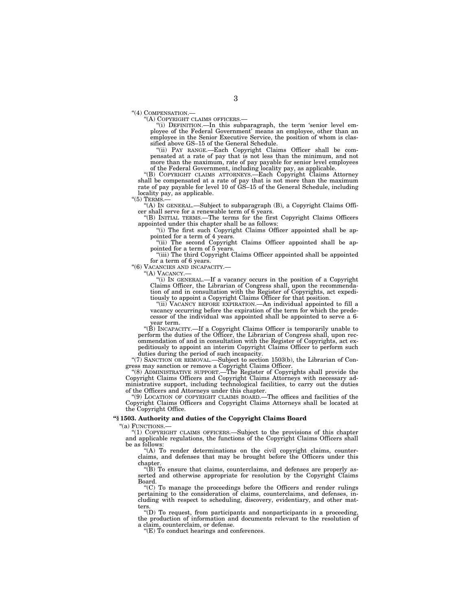"(4) COMPENSATION.-

'(A) COPYRIGHT CLAIMS OFFICERS.-

''(i) DEFINITION.—In this subparagraph, the term 'senior level employee of the Federal Government' means an employee, other than an employee in the Senior Executive Service, the position of whom is classified above GS–15 of the General Schedule.

''(ii) PAY RANGE.—Each Copyright Claims Officer shall be compensated at a rate of pay that is not less than the minimum, and not more than the maximum, rate of pay payable for senior level employees of the Federal Government, including locality pay, as applicable.

''(B) COPYRIGHT CLAIMS ATTORNEYS.—Each Copyright Claims Attorney shall be compensated at a rate of pay that is not more than the maximum rate of pay payable for level 10 of GS–15 of the General Schedule, including locality pay, as applicable.

" $(5)$  TERMS.

''(A) IN GENERAL.—Subject to subparagraph (B), a Copyright Claims Officer shall serve for a renewable term of 6 years.

''(B) INITIAL TERMS.—The terms for the first Copyright Claims Officers appointed under this chapter shall be as follows:

''(i) The first such Copyright Claims Officer appointed shall be appointed for a term of 4 years.

"(ii) The second Copyright Claims Officer appointed shall be appointed for a term of 5 years.

"(iii) The third Copyright Claims Officer appointed shall be appointed for a term of 6 years.

''(6) VACANCIES AND INCAPACITY.—

"(A) VACANCY.-

''(i) IN GENERAL.—If a vacancy occurs in the position of a Copyright Claims Officer, the Librarian of Congress shall, upon the recommendation of and in consultation with the Register of Copyrights, act expedi-

tiously to appoint a Copyright Claims Officer for that position. ''(ii) VACANCY BEFORE EXPIRATION.—An individual appointed to fill a vacancy occurring before the expiration of the term for which the predecessor of the individual was appointed shall be appointed to serve a 6 year term.

''(B) INCAPACITY.—If a Copyright Claims Officer is temporarily unable to perform the duties of the Officer, the Librarian of Congress shall, upon recommendation of and in consultation with the Register of Copyrights, act expeditiously to appoint an interim Copyright Claims Officer to perform such duties during the period of such incapacity.

"(7) SANCTION OR REMOVAL.—Subject to section 1503(b), the Librarian of Con-

gress may sanction or remove a Copyright Claims Officer. ''(8) ADMINISTRATIVE SUPPORT.—The Register of Copyrights shall provide the Copyright Claims Officers and Copyright Claims Attorneys with necessary administrative support, including technological facilities, to carry out the duties of the Officers and Attorneys under this chapter.

''(9) LOCATION OF COPYRIGHT CLAIMS BOARD.—The offices and facilities of the Copyright Claims Officers and Copyright Claims Attorneys shall be located at the Copyright Office.

### **''§ 1503. Authority and duties of the Copyright Claims Board**

"(a) FUNCTIONS.

''(1) COPYRIGHT CLAIMS OFFICERS.—Subject to the provisions of this chapter and applicable regulations, the functions of the Copyright Claims Officers shall be as follows:

''(A) To render determinations on the civil copyright claims, counterclaims, and defenses that may be brought before the Officers under this chapter.

''(B) To ensure that claims, counterclaims, and defenses are properly asserted and otherwise appropriate for resolution by the Copyright Claims Board.

''(C) To manage the proceedings before the Officers and render rulings pertaining to the consideration of claims, counterclaims, and defenses, including with respect to scheduling, discovery, evidentiary, and other matters.

''(D) To request, from participants and nonparticipants in a proceeding, the production of information and documents relevant to the resolution of a claim, counterclaim, or defense.

"(E) To conduct hearings and conferences.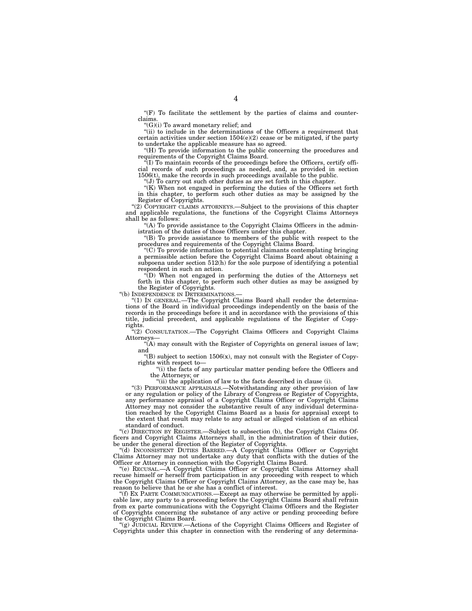''(F) To facilitate the settlement by the parties of claims and counterclaims.

 $\sqrt{\mathcal{C}(G)}$ (i) To award monetary relief; and

"(ii) to include in the determinations of the Officers a requirement that certain activities under section  $1504(e)(2)$  cease or be mitigated, if the party to undertake the applicable measure has so agreed.

''(H) To provide information to the public concerning the procedures and requirements of the Copyright Claims Board.

 $\epsilon$ (I) To maintain records of the proceedings before the Officers, certify official records of such proceedings as needed, and, as provided in section  $1506(t)$ , make the records in such proceedings available to the public.

 $f(\mathbf{J})$  To carry out such other duties as are set forth in this chapter.

 $K(K)$  When not engaged in performing the duties of the Officers set forth in this chapter, to perform such other duties as may be assigned by the Register of Copyrights.

"(2) COPYRIGHT CLAIMS ATTORNEYS.—Subject to the provisions of this chapter and applicable regulations, the functions of the Copyright Claims Attorneys shall be as follows:

"(A) To provide assistance to the Copyright Claims Officers in the administration of the duties of those Officers under this chapter.

''(B) To provide assistance to members of the public with respect to the procedures and requirements of the Copyright Claims Board.

''(C) To provide information to potential claimants contemplating bringing a permissible action before the Copyright Claims Board about obtaining a subpoena under section 512(h) for the sole purpose of identifying a potential respondent in such an action.

''(D) When not engaged in performing the duties of the Attorneys set forth in this chapter, to perform such other duties as may be assigned by the Register of Copyrights.

"(b) INDEPENDENCE IN DETERMINATIONS.

''(1) IN GENERAL.—The Copyright Claims Board shall render the determinations of the Board in individual proceedings independently on the basis of the records in the proceedings before it and in accordance with the provisions of this title, judicial precedent, and applicable regulations of the Register of Copyrights.

''(2) CONSULTATION.—The Copyright Claims Officers and Copyright Claims Attorneys—

"(A) may consult with the Register of Copyrights on general issues of law; and

 $\cdot$ (B) subject to section 1506(x), may not consult with the Register of Copyrights with respect to—

''(i) the facts of any particular matter pending before the Officers and the Attorneys; or

''(ii) the application of law to the facts described in clause (i).

''(3) PERFORMANCE APPRAISALS.—Notwithstanding any other provision of law or any regulation or policy of the Library of Congress or Register of Copyrights, any performance appraisal of a Copyright Claims Officer or Copyright Claims Attorney may not consider the substantive result of any individual determination reached by the Copyright Claims Board as a basis for appraisal except to the extent that result may relate to any actual or alleged violation of an ethical standard of conduct.

"(c) DIRECTION BY REGISTER.—Subject to subsection (b), the Copyright Claims Officers and Copyright Claims Attorneys shall, in the administration of their duties, be under the general direction of the Register of Copyrights.

''(d) INCONSISTENT DUTIES BARRED.—A Copyright Claims Officer or Copyright Claims Attorney may not undertake any duty that conflicts with the duties of the Officer or Attorney in connection with the Copyright Claims Board.

''(e) RECUSAL.—A Copyright Claims Officer or Copyright Claims Attorney shall recuse himself or herself from participation in any proceeding with respect to which the Copyright Claims Officer or Copyright Claims Attorney, as the case may be, has reason to believe that he or she has a conflict of interest.

''(f) EX PARTE COMMUNICATIONS.—Except as may otherwise be permitted by applicable law, any party to a proceeding before the Copyright Claims Board shall refrain from ex parte communications with the Copyright Claims Officers and the Register of Copyrights concerning the substance of any active or pending proceeding before the Copyright Claims Board.

"(g) JUDICIAL REVIEW.—Actions of the Copyright Claims Officers and Register of Copyrights under this chapter in connection with the rendering of any determina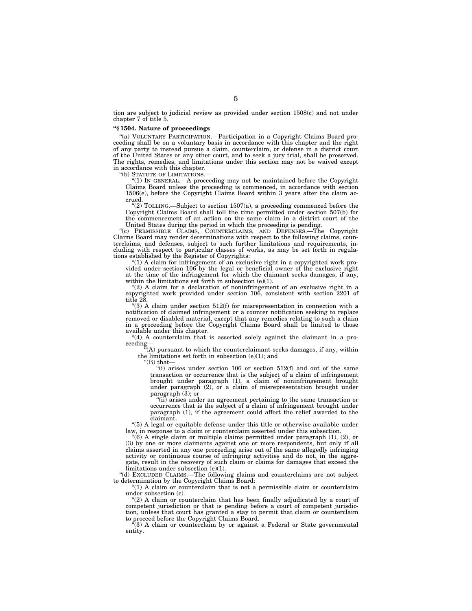tion are subject to judicial review as provided under section 1508(c) and not under chapter 7 of title 5.

#### **''§ 1504. Nature of proceedings**

''(a) VOLUNTARY PARTICIPATION.—Participation in a Copyright Claims Board proceeding shall be on a voluntary basis in accordance with this chapter and the right of any party to instead pursue a claim, counterclaim, or defense in a district court of the United States or any other court, and to seek a jury trial, shall be preserved. The rights, remedies, and limitations under this section may not be waived except in accordance with this chapter.

"(b) STATUTE OF LIMITATIONS.

''(1) IN GENERAL.—A proceeding may not be maintained before the Copyright Claims Board unless the proceeding is commenced, in accordance with section 1506(e), before the Copyright Claims Board within 3 years after the claim accrued.

''(2) TOLLING.—Subject to section 1507(a), a proceeding commenced before the Copyright Claims Board shall toll the time permitted under section 507(b) for the commencement of an action on the same claim in a district court of the United States during the period in which the proceeding is pending.

''(c) PERMISSIBLE CLAIMS, COUNTERCLAIMS, AND DEFENSES.—The Copyright Claims Board may render determinations with respect to the following claims, counterclaims, and defenses, subject to such further limitations and requirements, including with respect to particular classes of works, as may be set forth in regulations established by the Register of Copyrights:

" $(1)$  A claim for infringement of an exclusive right in a copyrighted work provided under section 106 by the legal or beneficial owner of the exclusive right at the time of the infringement for which the claimant seeks damages, if any, within the limitations set forth in subsection  $(e)(1)$ .

 $(2)$  A claim for a declaration of noninfringement of an exclusive right in a copyrighted work provided under section 106, consistent with section 2201 of title 28.

 $(3)$  A claim under section 512(f) for misrepresentation in connection with a notification of claimed infringement or a counter notification seeking to replace removed or disabled material, except that any remedies relating to such a claim in a proceeding before the Copyright Claims Board shall be limited to those available under this chapter.

''(4) A counterclaim that is asserted solely against the claimant in a proceeding—

''(A) pursuant to which the counterclaimant seeks damages, if any, within the limitations set forth in subsection (e)(1); and

''(B) that—

"(i) arises under section  $106$  or section  $512(f)$  and out of the same transaction or occurrence that is the subject of a claim of infringement brought under paragraph (1), a claim of noninfringement brought under paragraph (2), or a claim of misrepresentation brought under paragraph  $(3)$ ; or

''(ii) arises under an agreement pertaining to the same transaction or occurrence that is the subject of a claim of infringement brought under paragraph (1), if the agreement could affect the relief awarded to the claimant.

''(5) A legal or equitable defense under this title or otherwise available under law, in response to a claim or counterclaim asserted under this subsection.

 $(6)$  A single claim or multiple claims permitted under paragraph  $(1)$ ,  $(2)$ , or (3) by one or more claimants against one or more respondents, but only if all claims asserted in any one proceeding arise out of the same allegedly infringing activity or continuous course of infringing activities and do not, in the aggregate, result in the recovery of such claim or claims for damages that exceed the limitations under subsection (e)(1).

''(d) EXCLUDED CLAIMS.—The following claims and counterclaims are not subject to determination by the Copyright Claims Board:

" $(1)$  A claim or counterclaim that is not a permissible claim or counterclaim under subsection (c).

 $(2)$  A claim or counterclaim that has been finally adjudicated by a court of competent jurisdiction or that is pending before a court of competent jurisdiction, unless that court has granted a stay to permit that claim or counterclaim to proceed before the Copyright Claims Board.

''(3) A claim or counterclaim by or against a Federal or State governmental entity.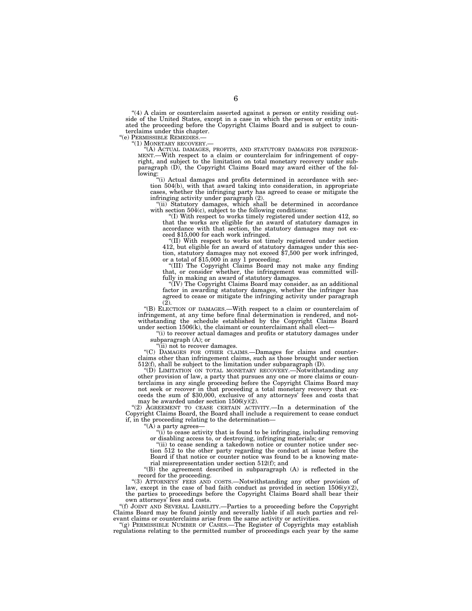''(4) A claim or counterclaim asserted against a person or entity residing outside of the United States, except in a case in which the person or entity initiated the proceeding before the Copyright Claims Board and is subject to counterclaims under this chapter.<br>"(e) PERMISSIBLE REMEDIES.—

"(1) MONETARY RECOVERY.—<br>"(A) ACTUAL DAMAGES, PROFITS, AND STATUTORY DAMAGES FOR INFRINGE-<br>MENT.—With respect to a claim or counterclaim for infringement of copyright, and subject to the limitation on total monetary recovery under subparagraph (D), the Copyright Claims Board may award either of the fol-

lowing:<br>"(i) Actual damages and profits determined in accordance with sec-<br>tion 504(b), with that award taking into consideration, in appropriate<br>cases, whether the infringing party has agreed to cease or mitigate the cases, whether the infringing party has agreed to cease or mitigate the infringing activity under paragraph  $(2)$ .

''(ii) Statutory damages, which shall be determined in accordance with section 504(c), subject to the following conditions:

''(I) With respect to works timely registered under section 412, so that the works are eligible for an award of statutory damages in accordance with that section, the statutory damages may not ex-ceed \$15,000 for each work infringed.

''(II) With respect to works not timely registered under section 412, but eligible for an award of statutory damages under this section, statutory damages may not exceed \$7,500 per work infringed, or a total of \$15,000 in any 1 proceeding.

''(III) The Copyright Claims Board may not make any finding that, or consider whether, the infringement was committed willfully in making an award of statutory damages.

''(IV) The Copyright Claims Board may consider, as an additional factor in awarding statutory damages, whether the infringer has agreed to cease or mitigate the infringing activity under paragraph (2).

''(B) ELECTION OF DAMAGES.—With respect to a claim or counterclaim of infringement, at any time before final determination is rendered, and notwithstanding the schedule established by the Copyright Claims Board under section 1506(k), the claimant or counterclaimant shall elect-

''(i) to recover actual damages and profits or statutory damages under subparagraph (A); or

''(ii) not to recover damages.

''(C) DAMAGES FOR OTHER CLAIMS.—Damages for claims and counterclaims other than infringement claims, such as those brought under section  $512(f)$ , shall be subject to the limitation under subparagraph (D).

''(D) LIMITATION ON TOTAL MONETARY RECOVERY.—Notwithstanding any other provision of law, a party that pursues any one or more claims or counterclaims in any single proceeding before the Copyright Claims Board may not seek or recover in that proceeding a total monetary recovery that exceeds the sum of \$30,000, exclusive of any attorneys' fees and costs that may be awarded under section  $1506(y)(2)$ .

"(2) AGREEMENT TO CEASE CERTAIN ACTIVITY.—In a determination of the Copyright Claims Board, the Board shall include a requirement to cease conduct if, in the proceeding relating to the determination—

''(A) a party agrees—

''(i) to cease activity that is found to be infringing, including removing or disabling access to, or destroying, infringing materials; or

"(ii) to cease sending a takedown notice or counter notice under section 512 to the other party regarding the conduct at issue before the Board if that notice or counter notice was found to be a knowing material misrepresentation under section 512(f); and

''(B) the agreement described in subparagraph (A) is reflected in the record for the proceeding.

''(3) ATTORNEYS' FEES AND COSTS.—Notwithstanding any other provision of law, except in the case of bad faith conduct as provided in section  $1506(y)(2)$ , the parties to proceedings before the Copyright Claims Board shall bear their own attorneys' fees and costs.

''(f) JOINT AND SEVERAL LIABILITY.—Parties to a proceeding before the Copyright Claims Board may be found jointly and severally liable if all such parties and relevant claims or counterclaims arise from the same activity or activities.

"(g) PERMISSIBLE NUMBER OF CASES.—The Register of Copyrights may establish regulations relating to the permitted number of proceedings each year by the same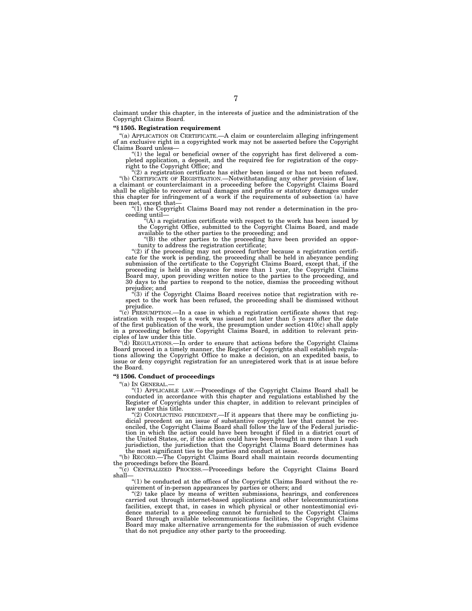claimant under this chapter, in the interests of justice and the administration of the Copyright Claims Board.

#### **''§ 1505. Registration requirement**

''(a) APPLICATION OR CERTIFICATE.—A claim or counterclaim alleging infringement of an exclusive right in a copyrighted work may not be asserted before the Copyright Claims Board unless—

 $f(1)$  the legal or beneficial owner of the copyright has first delivered a completed application, a deposit, and the required fee for registration of the copyright to the Copyright Office; and

 $(2)$  a registration certificate has either been issued or has not been refused. ''(b) CERTIFICATE OF REGISTRATION.—Notwithstanding any other provision of law, a claimant or counterclaimant in a proceeding before the Copyright Claims Board shall be eligible to recover actual damages and profits or statutory damages under this chapter for infringement of a work if the requirements of subsection (a) have been met, except that—

 $(1)$  the Copyright Claims Board may not render a determination in the proceeding until—

''(A) a registration certificate with respect to the work has been issued by the Copyright Office, submitted to the Copyright Claims Board, and made available to the other parties to the proceeding; and

''(B) the other parties to the proceeding have been provided an opportunity to address the registration certificate;

"(2) if the proceeding may not proceed further because a registration certificate for the work is pending, the proceeding shall be held in abeyance pending submission of the certificate to the Copyright Claims Board, except that, if the proceeding is held in abeyance for more than 1 year, the Copyright Claims<br>Board may, upon providing written notice to the parties to the proceeding, and<br>30 days to the parties to respond to the notice, dismiss the proceedi

prejudice; and  $(3)$  if the Copyright Claims Board receives notice that registration with respect to the work has been refused, the proceeding shall be dismissed without prejudice.

''(c) PRESUMPTION.—In a case in which a registration certificate shows that registration with respect to a work was issued not later than 5 years after the date of the first publication of the work, the presumption under section 410(c) shall apply in a proceeding before the Copyright Claims Board, in addition to relevant principles of law under this title.

''(d) REGULATIONS.—In order to ensure that actions before the Copyright Claims Board proceed in a timely manner, the Register of Copyrights shall establish regulations allowing the Copyright Office to make a decision, on an expedited basis, to issue or deny copyright registration for an unregistered work that is at issue before the Board.

#### **''§ 1506. Conduct of proceedings**

''(a) IN GENERAL.— ''(1) APPLICABLE LAW.—Proceedings of the Copyright Claims Board shall be conducted in accordance with this chapter and regulations established by the Register of Copyrights under this chapter, in addition to relevant principles of law under this title.

''(2) CONFLICTING PRECEDENT.—If it appears that there may be conflicting judicial precedent on an issue of substantive copyright law that cannot be reconciled, the Copyright Claims Board shall follow the law of the Federal jurisdiction in which the action could have been brought if filed in a district court of the United States, or, if the action could have been brought in more than 1 such jurisdiction, the jurisdiction that the Copyright Claims Board determines has the most significant ties to the parties and conduct at issue.

''(b) RECORD.—The Copyright Claims Board shall maintain records documenting

the proceedings before the Board. ''(c) CENTRALIZED PROCESS.—Proceedings before the Copyright Claims Board shall—

 $\lq (1)$  be conducted at the offices of the Copyright Claims Board without the requirement of in-person appearances by parties or others; and

"(2) take place by means of written submissions, hearings, and conferences carried out through internet-based applications and other telecommunications facilities, except that, in cases in which physical or other nontestimonial evidence material to a proceeding cannot be furnished to the Copyright Claims Board through available telecommunications facilities, the Copyright Claims Board may make alternative arrangements for the submission of such evidence that do not prejudice any other party to the proceeding.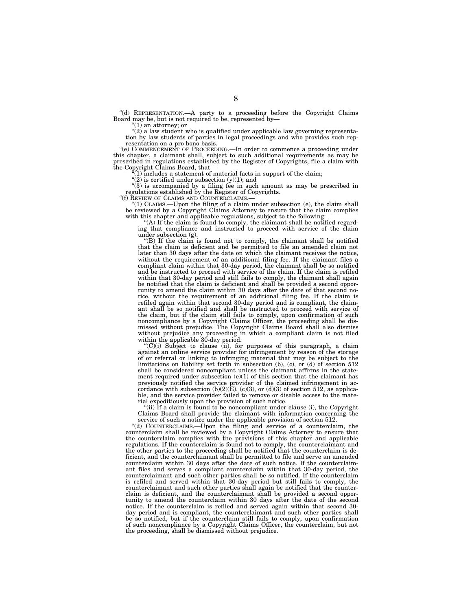''(d) REPRESENTATION.—A party to a proceeding before the Copyright Claims Board may be, but is not required to be, represented by—

 $(1)$  an attorney; or

"(2) a law student who is qualified under applicable law governing representation by law students of parties in legal proceedings and who provides such representation on a pro bono basis.

''(e) COMMENCEMENT OF PROCEEDING.—In order to commence a proceeding under this chapter, a claimant shall, subject to such additional requirements as may be prescribed in regulations established by the Register of Copyrights, file a claim with the Copyright Claims Board, that—

 $(1)$  includes a statement of material facts in support of the claim;

"(2) is certified under subsection  $(y)(1)$ ; and "<br>"(3) is accompanied by a filing fee in such amount as may be prescribed in regulations established by the Register of Copyrights. "(f) REVIEW OF CLAIMS AND COUNTERCLAIMS.—

''(f) REVIEW OF CLAIMS AND COUNTERCLAIMS.— ''(1) CLAIMS.—Upon the filing of a claim under subsection (e), the claim shall be reviewed by a Copyright Claims Attorney to ensure that the claim complies with this chapter and applicable regulations, subject to the following: "(A) If the claim is found to comply, the claimant shall be notified regard-

ing that compliance and instructed to proceed with service of the claim under subsection (g).

''(B) If the claim is found not to comply, the claimant shall be notified that the claim is deficient and be permitted to file an amended claim not later than 30 days after the date on which the claimant receives the notice, without the requirement of an additional filing fee. If the claimant files a compliant claim within that 30-day period, the claimant shall be so notified and be instructed to proceed with service of the claim. If the claim is refiled within that 30-day period and still fails to comply, the claimant shall again be notified that the claim is deficient and shall be provided a second opportunity to amend the claim within 30 days after the date of that second notice, without the requirement of an additional filing fee. If the claim is refiled again within that second 30-day period and is compliant, the claimant shall be so notified and shall be instructed to proceed with service of the claim, but if the claim still fails to comply, upon confirmation of such noncompliance by a Copyright Claims Officer, the proceeding shall be dismissed without prejudice. The Copyright Claims Board shall also dismiss without prejudice any proceeding in which a compliant claim is not filed within the applicable 30-day period.

''(C)(i) Subject to clause (ii), for purposes of this paragraph, a claim against an online service provider for infringement by reason of the storage of or referral or linking to infringing material that may be subject to the limitations on liability set forth in subsection (b), (c), or (d) of section 512 shall be considered noncompliant unless the claimant affirms in the statement required under subsection  $(e)(1)$  of this section that the claimant has previously notified the service provider of the claimed infringement in accordance with subsection  $(b)(2)(E)$ ,  $(c)(3)$ , or  $(d)(3)$  of section 512, as applicable, and the service provider failed to remove or disable access to the material expeditiously upon the provision of such notice.

"(ii) If a claim is found to be noncompliant under clause (i), the Copyright Claims Board shall provide the claimant with information concerning the service of such a notice under the applicable provision of section 512.

''(2) COUNTERCLAIMS.—Upon the filing and service of a counterclaim, the counterclaim shall be reviewed by a Copyright Claims Attorney to ensure that the counterclaim complies with the provisions of this chapter and applicable regulations. If the counterclaim is found not to comply, the counterclaimant and the other parties to the proceeding shall be notified that the counterclaim is deficient, and the counterclaimant shall be permitted to file and serve an amended counterclaim within 30 days after the date of such notice. If the counterclaimant files and serves a compliant counterclaim within that 30-day period, the counterclaimant and such other parties shall be so notified. If the counterclaim is refiled and served within that 30-day period but still fails to comply, the counterclaimant and such other parties shall again be notified that the counterclaim is deficient, and the counterclaimant shall be provided a second opportunity to amend the counterclaim within 30 days after the date of the second notice. If the counterclaim is refiled and served again within that second 30 day period and is compliant, the counterclaimant and such other parties shall be so notified, but if the counterclaim still fails to comply, upon confirmation of such noncompliance by a Copyright Claims Officer, the counterclaim, but not the proceeding, shall be dismissed without prejudice.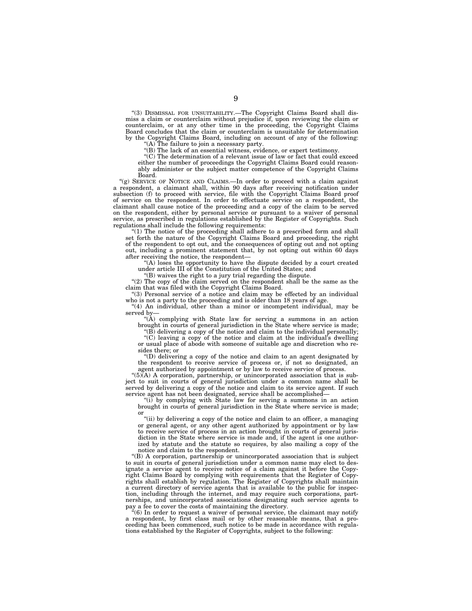''(3) DISMISSAL FOR UNSUITABILITY.—The Copyright Claims Board shall dismiss a claim or counterclaim without prejudice if, upon reviewing the claim or counterclaim, or at any other time in the proceeding, the Copyright Claims Board concludes that the claim or counterclaim is unsuitable for determination by the Copyright Claims Board, including on account of any of the following:

''(A) The failure to join a necessary party.

''(B) The lack of an essential witness, evidence, or expert testimony.

''(C) The determination of a relevant issue of law or fact that could exceed either the number of proceedings the Copyright Claims Board could reasonably administer or the subject matter competence of the Copyright Claims Board.

" $(g)$  SERVICE OF NOTICE AND CLAIMS.—In order to proceed with a claim against a respondent, a claimant shall, within 90 days after receiving notification under subsection (f) to proceed with service, file with the Copyright Claims Board proof of service on the respondent. In order to effectuate service on a respondent, the claimant shall cause notice of the proceeding and a copy of the claim to be served on the respondent, either by personal service or pursuant to a waiver of personal service, as prescribed in regulations established by the Register of Copyrights. Such regulations shall include the following requirements:

"(1) The notice of the proceeding shall adhere to a prescribed form and shall set forth the nature of the Copyright Claims Board and proceeding, the right of the respondent to opt out, and the consequences of opting out and not opting out, including a prominent statement that, by not opting out within 60 days after receiving the notice, the respondent—

''(A) loses the opportunity to have the dispute decided by a court created under article III of the Constitution of the United States; and

''(B) waives the right to a jury trial regarding the dispute.

"(2) The copy of the claim served on the respondent shall be the same as the claim that was filed with the Copyright Claims Board.

''(3) Personal service of a notice and claim may be effected by an individual who is not a party to the proceeding and is older than 18 years of age.

''(4) An individual, other than a minor or incompetent individual, may be served by—

"(A) complying with State law for serving a summons in an action brought in courts of general jurisdiction in the State where service is made;

''(B) delivering a copy of the notice and claim to the individual personally; ''(C) leaving a copy of the notice and claim at the individual's dwelling or usual place of abode with someone of suitable age and discretion who re-

sides there; or ''(D) delivering a copy of the notice and claim to an agent designated by

the respondent to receive service of process or, if not so designated, an agent authorized by appointment or by law to receive service of process.

 $\mathcal{L}(5)$ (A) A corporation, partnership, or unincorporated association that is subject to suit in courts of general jurisdiction under a common name shall be served by delivering a copy of the notice and claim to its service agent. If such service agent has not been designated, service shall be accomplished—

''(i) by complying with State law for serving a summons in an action brought in courts of general jurisdiction in the State where service is made; or

''(ii) by delivering a copy of the notice and claim to an officer, a managing or general agent, or any other agent authorized by appointment or by law to receive service of process in an action brought in courts of general jurisdiction in the State where service is made and, if the agent is one authorized by statute and the statute so requires, by also mailing a copy of the notice and claim to the respondent.

''(B) A corporation, partnership or unincorporated association that is subject to suit in courts of general jurisdiction under a common name may elect to designate a service agent to receive notice of a claim against it before the Copyright Claims Board by complying with requirements that the Register of Copyrights shall establish by regulation. The Register of Copyrights shall maintain a current directory of service agents that is available to the public for inspection, including through the internet, and may require such corporations, partnerships, and unincorporated associations designating such service agents to

pay a fee to cover the costs of maintaining the directory.<br>"(6) In order to request a waiver of personal service, the claimant may notify a respondent, by first class mail or by other reasonable means, that a proceeding has been commenced, such notice to be made in accordance with regulations established by the Register of Copyrights, subject to the following: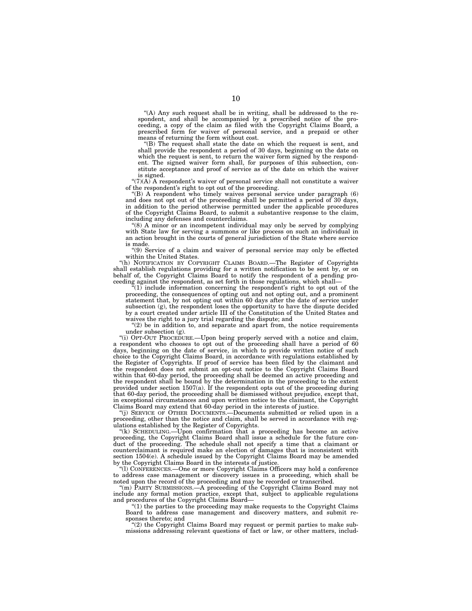"(A) Any such request shall be in writing, shall be addressed to the respondent, and shall be accompanied by a prescribed notice of the proceeding, a copy of the claim as filed with the Copyright Claims Board, a prescribed form for waiver of personal service, and a prepaid or other means of returning the form without cost.

''(B) The request shall state the date on which the request is sent, and shall provide the respondent a period of 30 days, beginning on the date on which the request is sent, to return the waiver form signed by the respondent. The signed waiver form shall, for purposes of this subsection, constitute acceptance and proof of service as of the date on which the waiver is signed.

 $\Gamma$ (7)(A) A respondent's waiver of personal service shall not constitute a waiver of the respondent's right to opt out of the proceeding.

"(B) A respondent who timely waives personal service under paragraph (6) and does not opt out of the proceeding shall be permitted a period of 30 days, in addition to the period otherwise permitted under the applicable procedures of the Copyright Claims Board, to submit a substantive response to the claim, including any defenses and counterclaims.

''(8) A minor or an incompetent individual may only be served by complying with State law for serving a summons or like process on such an individual in an action brought in the courts of general jurisdiction of the State where service is made.

''(9) Service of a claim and waiver of personal service may only be effected within the United States.

''(h) NOTIFICATION BY COPYRIGHT CLAIMS BOARD.—The Register of Copyrights shall establish regulations providing for a written notification to be sent by, or on behalf of, the Copyright Claims Board to notify the respondent of a pending proceeding against the respondent, as set forth in those regulations, which shall—

 $(1)$  include information concerning the respondent's right to opt out of the proceeding, the consequences of opting out and not opting out, and a prominent statement that, by not opting out within 60 days after the date of service under subsection (g), the respondent loses the opportunity to have the dispute decided by a court created under article III of the Constitution of the United States and waives the right to a jury trial regarding the dispute; and

 $(2)$  be in addition to, and separate and apart from, the notice requirements under subsection (g).

''(i) OPT-OUT PROCEDURE.—Upon being properly served with a notice and claim, a respondent who chooses to opt out of the proceeding shall have a period of 60 days, beginning on the date of service, in which to provide written notice of such choice to the Copyright Claims Board, in accordance with regulations established by the Register of Copyrights. If proof of service has been filed by the claimant and the respondent does not submit an opt-out notice to the Copyright Claims Board within that 60-day period, the proceeding shall be deemed an active proceeding and the respondent shall be bound by the determination in the proceeding to the extent provided under section 1507(a). If the respondent opts out of the proceeding during that 60-day period, the proceeding shall be dismissed without prejudice, except that, in exceptional circumstances and upon written notice to the claimant, the Copyright Claims Board may extend that 60-day period in the interests of justice.

''(j) SERVICE OF OTHER DOCUMENTS.—Documents submitted or relied upon in a proceeding, other than the notice and claim, shall be served in accordance with regulations established by the Register of Copyrights.

''(k) SCHEDULING.—Upon confirmation that a proceeding has become an active proceeding, the Copyright Claims Board shall issue a schedule for the future conduct of the proceeding. The schedule shall not specify a time that a claimant or counterclaimant is required make an election of damages that is inconsistent with section 1504(e). A schedule issued by the Copyright Claims Board may be amended by the Copyright Claims Board in the interests of justice.

''(l) CONFERENCES.—One or more Copyright Claims Officers may hold a conference to address case management or discovery issues in a proceeding, which shall be noted upon the record of the proceeding and may be recorded or transcribed.

''(m) PARTY SUBMISSIONS.—A proceeding of the Copyright Claims Board may not include any formal motion practice, except that, subject to applicable regulations and procedures of the Copyright Claims Board—

''(1) the parties to the proceeding may make requests to the Copyright Claims Board to address case management and discovery matters, and submit responses thereto; and

''(2) the Copyright Claims Board may request or permit parties to make submissions addressing relevant questions of fact or law, or other matters, includ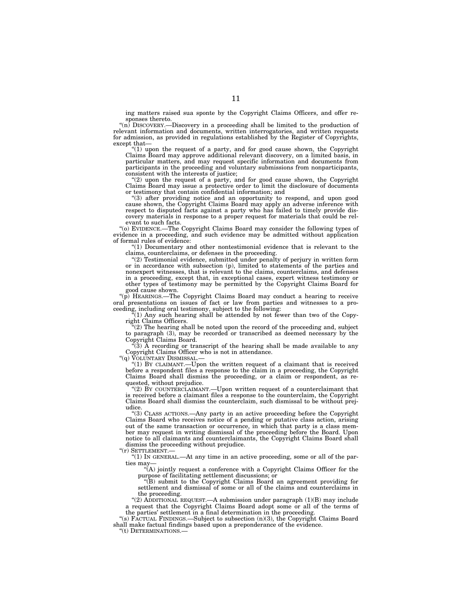ing matters raised sua sponte by the Copyright Claims Officers, and offer responses thereto.

''(n) DISCOVERY.—Discovery in a proceeding shall be limited to the production of relevant information and documents, written interrogatories, and written requests for admission, as provided in regulations established by the Register of Copyrights, except that—

''(1) upon the request of a party, and for good cause shown, the Copyright Claims Board may approve additional relevant discovery, on a limited basis, in particular matters, and may request specific information and documents from participants in the proceeding and voluntary submissions from nonparticipants, consistent with the interests of justice;

''(2) upon the request of a party, and for good cause shown, the Copyright Claims Board may issue a protective order to limit the disclosure of documents or testimony that contain confidential information; and ''(3) after providing notice and an opportunity to respond, and upon good

cause shown, the Copyright Claims Board may apply an adverse inference with respect to disputed facts against a party who has failed to timely provide discovery materials in response to a proper request for materials that could be relevant to such facts.

''(o) EVIDENCE.—The Copyright Claims Board may consider the following types of evidence in a proceeding, and such evidence may be admitted without application of formal rules of evidence:

"(1) Documentary and other nontestimonial evidence that is relevant to the claims, counterclaims, or defenses in the proceeding.

"(2) Testimonial evidence, submitted under penalty of perjury in written form or in accordance with subsection (p), limited to statements of the parties and nonexpert witnesses, that is relevant to the claims, counterclaims, and defenses in a proceeding, except that, in exceptional cases, expert witness testimony or other types of testimony may be permitted by the Copyright Claims Board for good cause shown.

''(p) HEARINGS.—The Copyright Claims Board may conduct a hearing to receive oral presentations on issues of fact or law from parties and witnesses to a proceeding, including oral testimony, subject to the following:

 $(1)$  Any such hearing shall be attended by not fewer than two of the Copyright Claims Officers.

 $\mathcal{H}(2)$  The hearing shall be noted upon the record of the proceeding and, subject to paragraph (3), may be recorded or transcribed as deemed necessary by the Copyright Claims Board.

 $\sqrt{3}$ ) A recording or transcript of the hearing shall be made available to any Copyright Claims Officer who is not in attendance.

''(q) VOLUNTARY DISMISSAL.—

''(1) BY CLAIMANT.—Upon the written request of a claimant that is received before a respondent files a response to the claim in a proceeding, the Copyright Claims Board shall dismiss the proceeding, or a claim or respondent, as requested, without prejudice.

"(2) BY COUNTERCLAIMANT.—Upon written request of a counterclaimant that is received before a claimant files a response to the counterclaim, the Copyright Claims Board shall dismiss the counterclaim, such dismissal to be without prejudice.

''(3) CLASS ACTIONS.—Any party in an active proceeding before the Copyright Claims Board who receives notice of a pending or putative class action, arising out of the same transaction or occurrence, in which that party is a class member may request in writing dismissal of the proceeding before the Board. Upon notice to all claimants and counterclaimants, the Copyright Claims Board shall dismiss the proceeding without prejudice.

''(r) SETTLEMENT.—

 $(1)$  IN GENERAL.—At any time in an active proceeding, some or all of the parties may—

''(A) jointly request a conference with a Copyright Claims Officer for the purpose of facilitating settlement discussions; or

''(B) submit to the Copyright Claims Board an agreement providing for settlement and dismissal of some or all of the claims and counterclaims in the proceeding.

''(2) ADDITIONAL REQUEST.—A submission under paragraph (1)(B) may include a request that the Copyright Claims Board adopt some or all of the terms of the parties' settlement in a final determination in the proceeding.

''(s) FACTUAL FINDINGS.—Subject to subsection (n)(3), the Copyright Claims Board shall make factual findings based upon a preponderance of the evidence.

''(t) DETERMINATIONS.—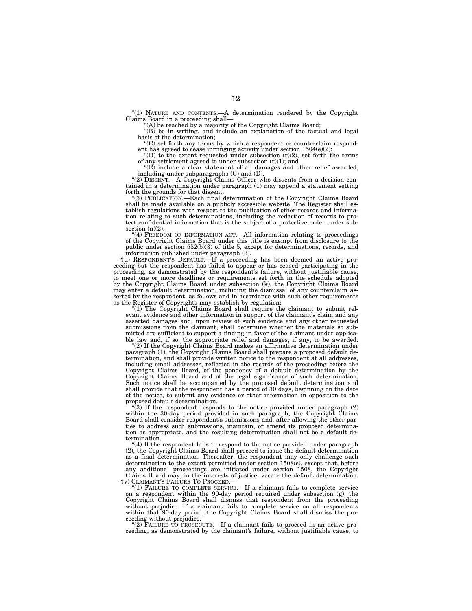''(1) NATURE AND CONTENTS.—A determination rendered by the Copyright Claims Board in a proceeding shall—

 $f(A)$  be reached by a majority of the Copyright Claims Board;

''(B) be in writing, and include an explanation of the factual and legal basis of the determination;

 $\mathcal{C}(C)$  set forth any terms by which a respondent or counterclaim respondent has agreed to cease infringing activity under section  $1504(e)(2)$ 

 $'(D)$  to the extent requested under subsection  $(r)(2)$ , set forth the terms of any settlement agreed to under subsection (r)(1); and

'(E) include a clear statement of all damages and other relief awarded. including under subparagraphs (C) and (D).

''(2) DISSENT.—A Copyright Claims Officer who dissents from a decision contained in a determination under paragraph (1) may append a statement setting forth the grounds for that dissent. ''(3) PUBLICATION.—Each final determination of the Copyright Claims Board

shall be made available on a publicly accessible website. The Register shall establish regulations with respect to the publication of other records and information relating to such determinations, including the redaction of records to pro-tect confidential information that is the subject of a protective order under subsection  $(n)(2)$ .

 $\cdot$ (4) FREEDOM OF INFORMATION ACT.—All information relating to proceedings of the Copyright Claims Board under this title is exempt from disclosure to the public under section 552(b)(3) of title 5, except for determinations, records, and

information published under paragraph (3). ''(u) RESPONDENT'S DEFAULT.—If a proceeding has been deemed an active proceeding but the respondent has failed to appear or has ceased participating in the proceeding, as demonstrated by the respondent's failure, without justifiable cause, to meet one or more deadlines or requirements set forth in the schedule adopted by the Copyright Claims Board under subsection (k), the Copyright Claims Board may enter a default determination, including the dismissal of any counterclaim asserted by the respondent, as follows and in accordance with such other requirements as the Register of Copyrights may establish by regulation:

"(1) The Copyright Claims Board shall require the claimant to submit relevant evidence and other information in support of the claimant's claim and any asserted damages and, upon review of such evidence and any other requested submissions from the claimant, shall determine whether the materials so submitted are sufficient to support a finding in favor of the claimant under applicable law and, if so, the appropriate relief and damages, if any, to be awarded.

''(2) If the Copyright Claims Board makes an affirmative determination under paragraph (1), the Copyright Claims Board shall prepare a proposed default determination, and shall provide written notice to the respondent at all addresses, including email addresses, reflected in the records of the proceeding before the Copyright Claims Board, of the pendency of a default determination by the Copyright Claims Board and of the legal significance of such determination. Such notice shall be accompanied by the proposed default determination and shall provide that the respondent has a period of 30 days, beginning on the date of the notice, to submit any evidence or other information in opposition to the proposed default determination.

 $\mathcal{L}(3)$  If the respondent responds to the notice provided under paragraph (2) within the 30-day period provided in such paragraph, the Copyright Claims Board shall consider respondent's submissions and, after allowing the other parties to address such submissions, maintain, or amend its proposed determination as appropriate, and the resulting determination shall not be a default determination.

''(4) If the respondent fails to respond to the notice provided under paragraph (2), the Copyright Claims Board shall proceed to issue the default determination as a final determination. Thereafter, the respondent may only challenge such determination to the extent permitted under section 1508(c), except that, before any additional proceedings are initiated under section 1508, the Copyright Claims Board may, in the interests of justice, vacate the default determination. "(v) CLAIMANT'S FAILURE TO PROCEED.—

''(1) FAILURE TO COMPLETE SERVICE.—If a claimant fails to complete service on a respondent within the 90-day period required under subsection (g), the Copyright Claims Board shall dismiss that respondent from the proceeding without prejudice. If a claimant fails to complete service on all respondents within that 90-day period, the Copyright Claims Board shall dismiss the proceeding without prejudice.

"(2) FAILURE TO PROSECUTE.—If a claimant fails to proceed in an active proceeding, as demonstrated by the claimant's failure, without justifiable cause, to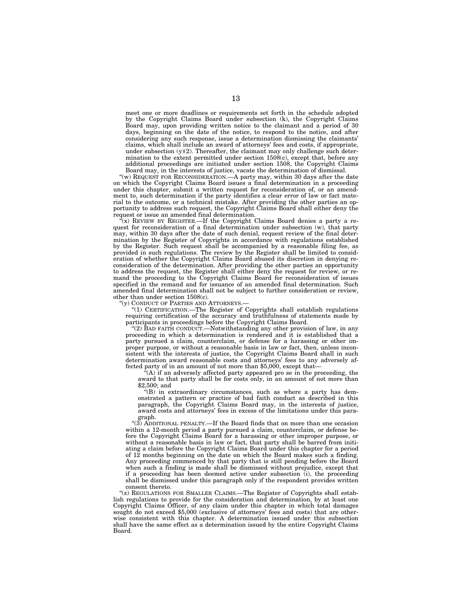meet one or more deadlines or requirements set forth in the schedule adopted by the Copyright Claims Board under subsection (k), the Copyright Claims Board may, upon providing written notice to the claimant and a period of 30 days, beginning on the date of the notice, to respond to the notice, and after considering any such response, issue a determination dismissing the claimants' claims, which shall include an award of attorneys' fees and costs, if appropriate, under subsection  $(y)(2)$ . Thereafter, the claimant may only challenge such determination to the extent permitted under section 1508(c), except that, before any additional proceedings are initiated under section 1508, the Copyright Claims Board may, in the interests of justice, vacate the determination of dismissal.

"(w) REQUEST FOR RECONSIDERATION.—A party may, within 30 days after the date on which the Copyright Claims Board issues a final determination in a proceeding under this chapter, submit a written request for reconsideration of, or an amendment to, such determination if the party identifies a clear error of law or fact material to the outcome, or a technical mistake. After providing the other parties an opportunity to address such request, the Copyright Claims Board shall either deny the request or issue an amended final determination.

<sup>4</sup>(x) REVIEW BY REGISTER.—If the Copyright Claims Board denies a party a request for reconsideration of a final determination under subsection (w), that party may, within 30 days after the date of such denial, request review of the final determination by the Register of Copyrights in accordance with regulations established by the Register. Such request shall be accompanied by a reasonable filing fee, as provided in such regulations. The review by the Register shall be limited to consideration of whether the Copyright Claims Board abused its discretion in denying reconsideration of the determination. After providing the other parties an opportunity to address the request, the Register shall either deny the request for review, or remand the proceeding to the Copyright Claims Board for reconsideration of issues specified in the remand and for issuance of an amended final determination. Such amended final determination shall not be subject to further consideration or review, other than under section 1508(c).

''(y) CONDUCT OF PARTIES AND ATTORNEYS.—

''(1) CERTIFICATION.—The Register of Copyrights shall establish regulations requiring certification of the accuracy and truthfulness of statements made by participants in proceedings before the Copyright Claims Board.

''(2) BAD FAITH CONDUCT.—Notwithstanding any other provision of law, in any proceeding in which a determination is rendered and it is established that a party pursued a claim, counterclaim, or defense for a harassing or other improper purpose, or without a reasonable basis in law or fact, then, unless inconsistent with the interests of justice, the Copyright Claims Board shall in such determination award reasonable costs and attorneys' fees to any adversely affected party of in an amount of not more than \$5,000, except that—

 $\hat{f}(A)$  if an adversely affected party appeared pro se in the proceeding, the award to that party shall be for costs only, in an amount of not more than \$2,500; and

''(B) in extraordinary circumstances, such as where a party has demonstrated a pattern or practice of bad faith conduct as described in this paragraph, the Copyright Claims Board may, in the interests of justice, award costs and attorneys' fees in excess of the limitations under this paragraph.

''(3) ADDITIONAL PENALTY.—If the Board finds that on more than one occasion within a 12-month period a party pursued a claim, counterclaim, or defense before the Copyright Claims Board for a harassing or other improper purpose, or without a reasonable basis in law or fact, that party shall be barred from initiating a claim before the Copyright Claims Board under this chapter for a period of 12 months beginning on the date on which the Board makes such a finding. Any proceeding commenced by that party that is still pending before the Board when such a finding is made shall be dismissed without prejudice, except that if a proceeding has been deemed active under subsection (i), the proceeding shall be dismissed under this paragraph only if the respondent provides written consent thereto.

"(z) REGULATIONS FOR SMALLER CLAIMS.—The Register of Copyrights shall establish regulations to provide for the consideration and determination, by at least one Copyright Claims Officer, of any claim under this chapter in which total damages sought do not exceed \$5,000 (exclusive of attorneys' fees and costs) that are otherwise consistent with this chapter. A determination issued under this subsection shall have the same effect as a determination issued by the entire Copyright Claims Board.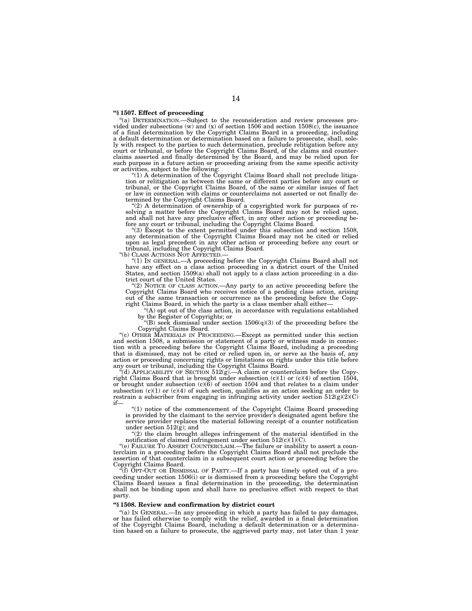### **''§ 1507. Effect of proceeding**

''(a) DETERMINATION.—Subject to the reconsideration and review processes pro-vided under subsections (w) and (x) of section 1506 and section 1508(c), the issuance of a final determination by the Copyright Claims Board in a proceeding, including a default determination or determination based on a failure to prosecute, shall, solely with respect to the parties to such determination, preclude relitigation before any court or tribunal, or before the Copyright Claims Board, of the claims and counter-claims asserted and finally determined by the Board, and may be relied upon for such purpose in a future action or proceeding arising from the same specific activity

or activities, subject to the following:<br>
"(1) A determination of the Copyright Claims Board shall not preclude litiga-<br>
tion or relitigation as between the same or different parties before any court or tribunal, or the Copyright Claims Board, of the same or similar issues of fact or law in connection with claims or counterclaims not asserted or not finally determined by the Copyright Claims Board.

 $(2)$  A determination of ownership of a copyrighted work for purposes of resolving a matter before the Copyright Claims Board may not be relied upon, and shall not have any preclusive effect, in any other action or proceeding be-

fore any court or tribunal, including the Copyright Claims Board. ''(3) Except to the extent permitted under this subsection and section 1508, any determination of the Copyright Claims Board may not be cited or relied upon as legal precedent in any other action or proceeding before any court or tribunal, including the Copyright Claims Board.

''(b) CLASS ACTIONS NOT AFFECTED.—

''(1) IN GENERAL.—A proceeding before the Copyright Claims Board shall not have any effect on a class action proceeding in a district court of the United States, and section 1509(a) shall not apply to a class action proceeding in a district court of the United States.

 $(2)$  NOTICE OF CLASS ACTION.—Any party to an active proceeding before the Copyright Claims Board who receives notice of a pending class action, arising out of the same transaction or occurrence as the proceeding before the Copyright Claims Board, in which the party is a class member shall either—

''(A) opt out of the class action, in accordance with regulations established by the Register of Copyrights; or

"(B) seek dismissal under section  $1506(q)(3)$  of the proceeding before the Copyright Claims Board.

''(c) OTHER MATERIALS IN PROCEEDING.—Except as permitted under this section and section 1508, a submission or statement of a party or witness made in connection with a proceeding before the Copyright Claims Board, including a proceeding that is dismissed, may not be cited or relied upon in, or serve as the basis of, any action or proceeding concerning rights or limitations on rights under this title before any court or tribunal, including the Copyright Claims Board.

 $\mathcal{H}_{(d)}$  APPLICABILITY OF SECTION 512(g).—A claim or counterclaim before the Cop right Claims Board that is brought under subsection (c)(1) or (c)(4) of section 1504, or brought under subsection  $(c)(\vec{6})$  of section 1504 and that relates to a claim under subsection  $(c)(1)$  or  $(c)(4)$  of such section, qualifies as an action seeking an order to restrain a subscriber from engaging in infringing activity under section  $512(g)(2)(C)$ if—

''(1) notice of the commencement of the Copyright Claims Board proceeding is provided by the claimant to the service provider's designated agent before the service provider replaces the material following receipt of a counter notification under section  $512(\hat{g})$ ; and

 $(2)$  the claim brought alleges infringement of the material identified in the notification of claimed infringement under section  $512(c)(1)(C)$ .

''(e) FAILURE TO ASSERT COUNTERCLAIM.—The failure or inability to assert a counterclaim in a proceeding before the Copyright Claims Board shall not preclude the assertion of that counterclaim in a subsequent court action or proceeding before the Copyright Claims Board.

''(f) OPT-OUT OR DISMISSAL OF PARTY.—If a party has timely opted out of a proceeding under section 1506(i) or is dismissed from a proceeding before the Copyright Claims Board issues a final determination in the proceeding, the determination shall not be binding upon and shall have no preclusive effect with respect to that party.

#### **''§ 1508. Review and confirmation by district court**

''(a) IN GENERAL.—In any proceeding in which a party has failed to pay damages, or has failed otherwise to comply with the relief, awarded in a final determination of the Copyright Claims Board, including a default determination or a determination based on a failure to prosecute, the aggrieved party may, not later than 1 year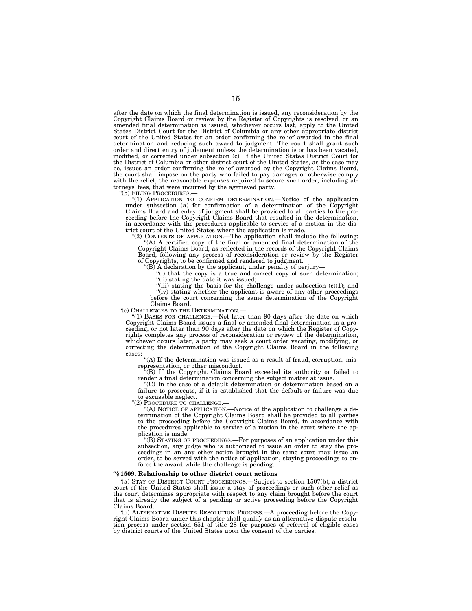after the date on which the final determination is issued, any reconsideration by the Copyright Claims Board or review by the Register of Copyrights is resolved, or an amended final determination is issued, whichever occurs last, apply to the United States District Court for the District of Columbia or any other appropriate district court of the United States for an order confirming the relief awarded in the final determination and reducing such award to judgment. The court shall grant such order and direct entry of judgment unless the determination is or has been vacated, modified, or corrected under subsection (c). If the United States District Court for the District of Columbia or other district court of the United States, as the case may be, issues an order confirming the relief awarded by the Copyright Claims Board, the court shall impose on the party who failed to pay damages or otherwise comply with the relief, the reasonable expenses required to secure such order, including attorneys' fees, that were incurred by the aggrieved party.

''(b) FILING PROCEDURES.—

''(1) APPLICATION TO CONFIRM DETERMINATION.—Notice of the application under subsection (a) for confirmation of a determination of the Copyright Claims Board and entry of judgment shall be provided to all parties to the proceeding before the Copyright Claims Board that resulted in the determination, in accordance with the procedures applicable to service of a motion in the district court of the United States where the application is made.

''(2) CONTENTS OF APPLICATION.—The application shall include the following: ''(A) A certified copy of the final or amended final determination of the Copyright Claims Board, as reflected in the records of the Copyright Claims Board, following any process of reconsideration or review by the Register of Copyrights, to be confirmed and rendered to judgment.

''(B) A declaration by the applicant, under penalty of perjury—

"(i) that the copy is a true and correct copy of such determination; "(ii) stating the date it was issued;

"(iii) stating the basis for the challenge under subsection  $(c)(1)$ ; and "(iv) stating whether the applicant is aware of any other proceedings before the court concerning the same determination of the Copyright Claims Board.

''(c) CHALLENGES TO THE DETERMINATION.—

''(1) BASES FOR CHALLENGE.—Not later than 90 days after the date on which Copyright Claims Board issues a final or amended final determination in a proceeding, or not later than 90 days after the date on which the Register of Copyrights completes any process of reconsideration or review of the determination, whichever occurs later, a party may seek a court order vacating, modifying, or correcting the determination of the Copyright Claims Board in the following cases:

"(A) If the determination was issued as a result of fraud, corruption, misrepresentation, or other misconduct.

<sup>2</sup><sup>(B)</sup> If the Copyright Claims Board exceeded its authority or failed to render a final determination concerning the subject matter at issue.

''(C) In the case of a default determination or determination based on a failure to prosecute, if it is established that the default or failure was due to excusable neglect.

''(2) PROCEDURE TO CHALLENGE.—

''(A) NOTICE OF APPLICATION.—Notice of the application to challenge a determination of the Copyright Claims Board shall be provided to all parties to the proceeding before the Copyright Claims Board, in accordance with the procedures applicable to service of a motion in the court where the application is made.

''(B) STAYING OF PROCEEDINGS.—For purposes of an application under this subsection, any judge who is authorized to issue an order to stay the proceedings in an any other action brought in the same court may issue an order, to be served with the notice of application, staying proceedings to enforce the award while the challenge is pending.

#### **''§ 1509. Relationship to other district court actions**

''(a) STAY OF DISTRICT COURT PROCEEDINGS.—Subject to section 1507(b), a district court of the United States shall issue a stay of proceedings or such other relief as the court determines appropriate with respect to any claim brought before the court that is already the subject of a pending or active proceeding before the Copyright Claims Board.

''(b) ALTERNATIVE DISPUTE RESOLUTION PROCESS.—A proceeding before the Copyright Claims Board under this chapter shall qualify as an alternative dispute resolution process under section 651 of title 28 for purposes of referral of eligible cases by district courts of the United States upon the consent of the parties.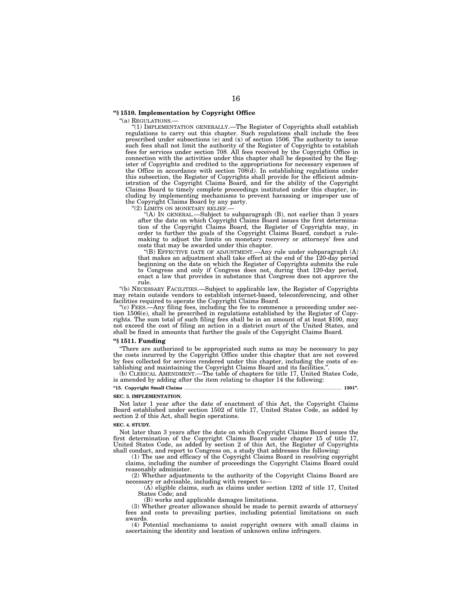### **''§ 1510. Implementation by Copyright Office**

"(a) REGULATIONS.-

''(1) IMPLEMENTATION GENERALLY.—The Register of Copyrights shall establish regulations to carry out this chapter. Such regulations shall include the fees prescribed under subsections (e) and (x) of section 1506. The authority to issue such fees shall not limit the authority of the Register of Copyrights to establish fees for services under section 708. All fees received by the Copyright Office in connection with the activities under this chapter shall be deposited by the Register of Copyrights and credited to the appropriations for necessary expenses of the Office in accordance with section 708(d). In establishing regulations under this subsection, the Register of Copyrights shall provide for the efficient administration of the Copyright Claims Board, and for the ability of the Copyright Claims Board to timely complete proceedings instituted under this chapter, including by implementing mechanisms to prevent harassing or improper use of the Copyright Claims Board by any party.

'(2) LIMITS ON MONETARY RELIEF.

''(A) IN GENERAL.—Subject to subparagraph (B), not earlier than 3 years after the date on which Copyright Claims Board issues the first determination of the Copyright Claims Board, the Register of Copyrights may, in order to further the goals of the Copyright Claims Board, conduct a rulemaking to adjust the limits on monetary recovery or attorneys' fees and costs that may be awarded under this chapter.

''(B) EFFECTIVE DATE OF ADJUSTMENT.—Any rule under subparagraph (A) that makes an adjustment shall take effect at the end of the 120-day period beginning on the date on which the Register of Copyrights submits the rule to Congress and only if Congress does not, during that 120-day period, enact a law that provides in substance that Congress does not approve the rule.

''(b) NECESSARY FACILITIES.—Subject to applicable law, the Register of Copyrights may retain outside vendors to establish internet-based, teleconferencing, and other facilities required to operate the Copyright Claims Board.

''(c) FEES.—Any filing fees, including the fee to commence a proceeding under section 1506(e), shall be prescribed in regulations established by the Register of Copyrights. The sum total of such filing fees shall be in an amount of at least \$100, may not exceed the cost of filing an action in a district court of the United States, and shall be fixed in amounts that further the goals of the Copyright Claims Board.

#### **''§ 1511. Funding**

''There are authorized to be appropriated such sums as may be necessary to pay the costs incurred by the Copyright Office under this chapter that are not covered by fees collected for services rendered under this chapter, including the costs of establishing and maintaining the Copyright Claims Board and its facilities.''.

(b) CLERICAL AMENDMENT.—The table of chapters for title 17, United States Code, is amended by adding after the item relating to chapter 14 the following:

**''15. Copyright Small Claims** .......................................................................................................................... **1501''. SEC. 3. IMPLEMENTATION.** 

Not later 1 year after the date of enactment of this Act, the Copyright Claims Board established under section 1502 of title 17, United States Code, as added by section 2 of this Act, shall begin operations.

#### **SEC. 4. STUDY.**

Not later than 3 years after the date on which Copyright Claims Board issues the first determination of the Copyright Claims Board under chapter 15 of title 17, United States Code, as added by section 2 of this Act, the Register of Copyrights shall conduct, and report to Congress on, a study that addresses the following:

(1) The use and efficacy of the Copyright Claims Board in resolving copyright claims, including the number of proceedings the Copyright Claims Board could reasonably administer.

(2) Whether adjustments to the authority of the Copyright Claims Board are necessary or advisable, including with respect to—

(A) eligible claims, such as claims under section 1202 of title 17, United States Code; and

(B) works and applicable damages limitations.

(3) Whether greater allowance should be made to permit awards of attorneys' fees and costs to prevailing parties, including potential limitations on such awards.

(4) Potential mechanisms to assist copyright owners with small claims in ascertaining the identity and location of unknown online infringers.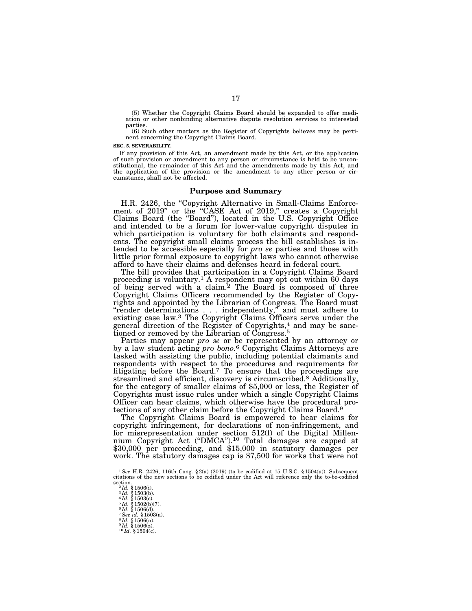(5) Whether the Copyright Claims Board should be expanded to offer mediation or other nonbinding alternative dispute resolution services to interested parties.

(6) Such other matters as the Register of Copyrights believes may be pertinent concerning the Copyright Claims Board.

#### **SEC. 5. SEVERABILITY.**

If any provision of this Act, an amendment made by this Act, or the application of such provision or amendment to any person or circumstance is held to be unconstitutional, the remainder of this Act and the amendments made by this Act, and the application of the provision or the amendment to any other person or circumstance, shall not be affected.

#### **Purpose and Summary**

H.R. 2426, the ''Copyright Alternative in Small-Claims Enforcement of 2019" or the "CASE Act of 2019," creates a Copyright Claims Board (the ''Board''), located in the U.S. Copyright Office and intended to be a forum for lower-value copyright disputes in which participation is voluntary for both claimants and respondents. The copyright small claims process the bill establishes is intended to be accessible especially for *pro se* parties and those with little prior formal exposure to copyright laws who cannot otherwise afford to have their claims and defenses heard in federal court.

The bill provides that participation in a Copyright Claims Board proceeding is voluntary.1 A respondent may opt out within 60 days of being served with a claim.<sup>2</sup> The Board is composed of three Copyright Claims Officers recommended by the Register of Copyrights and appointed by the Librarian of Congress. The Board must ''render determinations . . . independently,'' and must adhere to existing case law.3 The Copyright Claims Officers serve under the general direction of the Register of Copyrights,4 and may be sanctioned or removed by the Librarian of Congress.<sup>5</sup>

Parties may appear *pro se* or be represented by an attorney or by a law student acting *pro bono.*6 Copyright Claims Attorneys are tasked with assisting the public, including potential claimants and respondents with respect to the procedures and requirements for litigating before the Board.<sup>7</sup> To ensure that the proceedings are streamlined and efficient, discovery is circumscribed.<sup>8</sup> Additionally, for the category of smaller claims of \$5,000 or less, the Register of Copyrights must issue rules under which a single Copyright Claims Officer can hear claims, which otherwise have the procedural protections of any other claim before the Copyright Claims Board.9

The Copyright Claims Board is empowered to hear claims for copyright infringement, for declarations of non-infringement, and for misrepresentation under section 512(f) of the Digital Millennium Copyright Act (''DMCA'').10 Total damages are capped at \$30,000 per proceeding, and \$15,000 in statutory damages per work. The statutory damages cap is \$7,500 for works that were not

<sup>&</sup>lt;sup>1</sup>See H.R. 2426, 116th Cong. § 2(a) (2019) (to be codified at 15 U.S.C. § 1504(a)). Subsequent citations of the new sections to be codified under the Act will reference only the to-be-codified

section.<br>  ${}^2\overline{Id}$ , § 1506(i).<br>  ${}^3\overline{Id}$ , § 1503(b).<br>  ${}^4\overline{Id}$ , § 1503(c).<br>  ${}^5\overline{Id}$ , § 1503(c).<br>  ${}^6\overline{Id}$ , § 1506(d).<br>  ${}^7\overline{S}ee$  id. § 1506(n).<br>  ${}^8\overline{Id}$ , § 1506(n).<br>  ${}^9\overline{Id}$ , § 1506(z).<br>  ${}^10\over$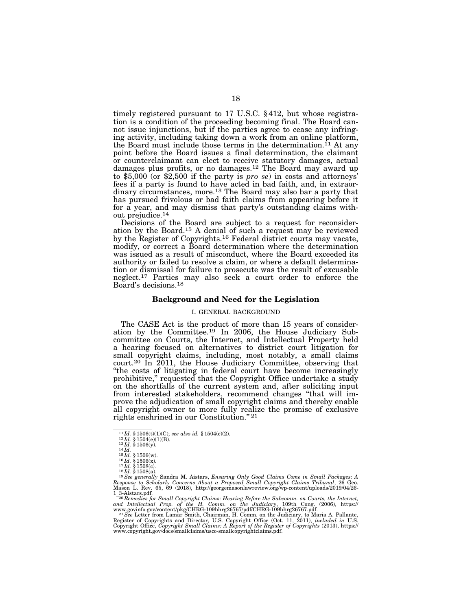timely registered pursuant to 17 U.S.C. § 412, but whose registration is a condition of the proceeding becoming final. The Board cannot issue injunctions, but if the parties agree to cease any infringing activity, including taking down a work from an online platform, the Board must include those terms in the determination.<sup> $11$ </sup> At any point before the Board issues a final determination, the claimant or counterclaimant can elect to receive statutory damages, actual damages plus profits, or no damages.12 The Board may award up to  $$5,000$  (or  $$2,500$  if the party is *pro se*) in costs and attorneys' fees if a party is found to have acted in bad faith, and, in extraordinary circumstances, more.13 The Board may also bar a party that has pursued frivolous or bad faith claims from appearing before it for a year, and may dismiss that party's outstanding claims without prejudice.14

Decisions of the Board are subject to a request for reconsideration by the Board.15 A denial of such a request may be reviewed by the Register of Copyrights.<sup>16</sup> Federal district courts may vacate, modify, or correct a Board determination where the determination was issued as a result of misconduct, where the Board exceeded its authority or failed to resolve a claim, or where a default determination or dismissal for failure to prosecute was the result of excusable neglect.17 Parties may also seek a court order to enforce the Board's decisions.18

### **Background and Need for the Legislation**

### I. GENERAL BACKGROUND

The CASE Act is the product of more than 15 years of consideration by the Committee.19 In 2006, the House Judiciary Subcommittee on Courts, the Internet, and Intellectual Property held a hearing focused on alternatives to district court litigation for small copyright claims, including, most notably, a small claims court.20 In 2011, the House Judiciary Committee, observing that ''the costs of litigating in federal court have become increasingly prohibitive,'' requested that the Copyright Office undertake a study on the shortfalls of the current system and, after soliciting input from interested stakeholders, recommend changes ''that will improve the adjudication of small copyright claims and thereby enable all copyright owner to more fully realize the promise of exclusive rights enshrined in our Constitution."<sup>21</sup>

and Intellectual Prop. of the H. Comm. on the Judiciary, 109th Cong. (2006), https://<br>www.govinfo.gov/content/pkg/CHRG-109hhrg26767/pdf/CHRG-109hhrg26767.pdf.<br><sup>21</sup>SeeLetter from Lamar Smith, Chairman, H. Comm. on the Judic

<sup>&</sup>lt;sup>11</sup>Id. § 1500(t)(1)(C); see also id. § 1504(c)(2).<br><sup>12</sup>Id. § 1500(e)(1)(B).<br><sup>15</sup>Id. § 1506(y).<br><sup>15</sup>Id. § 1506(y).<br><sup>15</sup>Id. § 1506(x).<br><sup>17</sup>Id. § 1506(c).<br><sup>17</sup>Id. § 1508(c).<br><sup>18</sup>Id. § 1508(c).<br><sup>19</sup>*Rese generally* Sandra M. Mason L. Rev. 65, 69 (2018), http://georgemasonlawreview.org/wp-content/uploads/2019/04/26- 1\_3-Aistars.pdf. 20 *Remedies for Small Copyright Claims: Hearing Before the Subcomm. on Courts, the Internet,* 

Register of Copyrights and Director, U.S. Copyright Office (Oct. 11, 2011), *included in* U.S.<br>Copyright Office, *Copyright Small Claims: A Report of the Register of Copyrights* (2013), https://<br>www.copyright.gov/docs/smal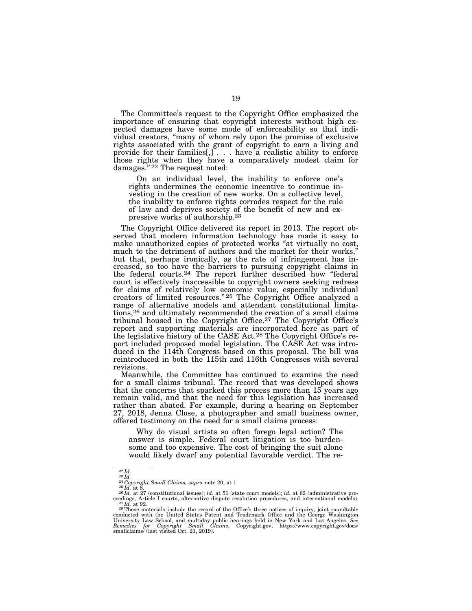The Committee's request to the Copyright Office emphasized the importance of ensuring that copyright interests without high expected damages have some mode of enforceability so that individual creators, ''many of whom rely upon the promise of exclusive rights associated with the grant of copyright to earn a living and provide for their families[,] . . . have a realistic ability to enforce those rights when they have a comparatively modest claim for damages."<sup>22</sup> The request noted:

On an individual level, the inability to enforce one's rights undermines the economic incentive to continue investing in the creation of new works. On a collective level, the inability to enforce rights corrodes respect for the rule of law and deprives society of the benefit of new and expressive works of authorship.23

The Copyright Office delivered its report in 2013. The report observed that modern information technology has made it easy to make unauthorized copies of protected works "at virtually no cost, much to the detriment of authors and the market for their works,<sup>\*</sup> but that, perhaps ironically, as the rate of infringement has increased, so too have the barriers to pursuing copyright claims in the federal courts.<sup>24</sup> The report further described how "federal court is effectively inaccessible to copyright owners seeking redress for claims of relatively low economic value, especially individual creators of limited resources."<sup>25</sup> The Copyright Office analyzed a range of alternative models and attendant constitutional limitations,26 and ultimately recommended the creation of a small claims tribunal housed in the Copyright Office.27 The Copyright Office's report and supporting materials are incorporated here as part of the legislative history of the CASE Act.28 The Copyright Office's report included proposed model legislation. The CASE Act was introduced in the 114th Congress based on this proposal. The bill was reintroduced in both the 115th and 116th Congresses with several revisions.

Meanwhile, the Committee has continued to examine the need for a small claims tribunal. The record that was developed shows that the concerns that sparked this process more than 15 years ago remain valid, and that the need for this legislation has increased rather than abated. For example, during a hearing on September 27, 2018, Jenna Close, a photographer and small business owner, offered testimony on the need for a small claims process:

Why do visual artists so often forego legal action? The answer is simple. Federal court litigation is too burdensome and too expensive. The cost of bringing the suit alone would likely dwarf any potential favorable verdict. The re-

<sup>&</sup>lt;sup>22</sup> *Id.* <sup>24</sup> *Copyright Small Claims, supra* note 20, at 1.<br><sup>25</sup>*Id.* at 8. <br><sup>25</sup>*Id.* at 8. 27 (constitutional issues); *id.* at 51 (state court models); *id.* at 62 (administrative pro-<br><sup>26</sup>*Id.* at 27 (constitutional

ceedings, Article I courts, alternative dispute resolution procedures, and international models).<br><sup>28</sup> Those materials include the record of the Office's three notices of inquiry, joint roundtable<br><sup>28</sup> Those materials inc University Law School, and multiday public hearings held in New York and Los Angeles. *See*<br>Remedies for Copyright Small Claims, Copyright.gov, https://www.copyright.gov/docs/<br>smallclaims/ (last visited Oct. 21, 201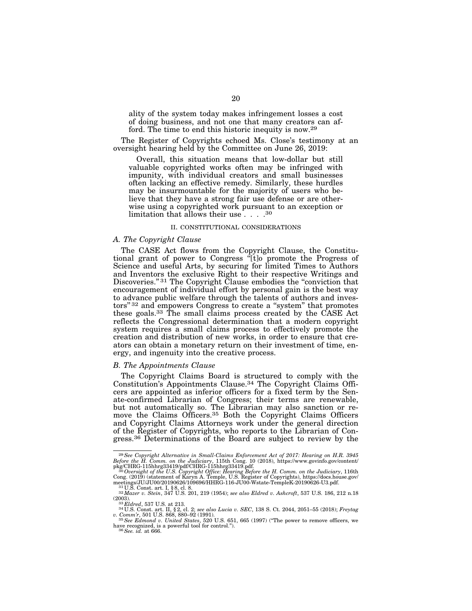ality of the system today makes infringement losses a cost of doing business, and not one that many creators can afford. The time to end this historic inequity is now.29

The Register of Copyrights echoed Ms. Close's testimony at an oversight hearing held by the Committee on June 26, 2019:

Overall, this situation means that low-dollar but still valuable copyrighted works often may be infringed with impunity, with individual creators and small businesses often lacking an effective remedy. Similarly, these hurdles may be insurmountable for the majority of users who believe that they have a strong fair use defense or are otherwise using a copyrighted work pursuant to an exception or limitation that allows their use ....30

#### II. CONSTITUTIONAL CONSIDERATIONS

#### *A. The Copyright Clause*

The CASE Act flows from the Copyright Clause, the Constitutional grant of power to Congress "[t]o promote the Progress of Science and useful Arts, by securing for limited Times to Authors and Inventors the exclusive Right to their respective Writings and Discoveries." 31 The Copyright Clause embodies the "conviction that encouragement of individual effort by personal gain is the best way to advance public welfare through the talents of authors and investors'' 32 and empowers Congress to create a ''system'' that promotes these goals.33 The small claims process created by the CASE Act reflects the Congressional determination that a modern copyright system requires a small claims process to effectively promote the creation and distribution of new works, in order to ensure that creators can obtain a monetary return on their investment of time, energy, and ingenuity into the creative process.

#### *B. The Appointments Clause*

The Copyright Claims Board is structured to comply with the Constitution's Appointments Clause.34 The Copyright Claims Officers are appointed as inferior officers for a fixed term by the Senate-confirmed Librarian of Congress; their terms are renewable, but not automatically so. The Librarian may also sanction or remove the Claims Officers.<sup>35</sup> Both the Copyright Claims Officers and Copyright Claims Attorneys work under the general direction of the Register of Copyrights, who reports to the Librarian of Congress.36 Determinations of the Board are subject to review by the

<sup>&</sup>lt;sup>29</sup> See Copyright Alternative in Small-Claims Enforcement Act of 2017: Hearing on H.R. 3945<br>Before the H. Comm. on the Judiciary, 115th Cong. 10 (2018), https://www.govinfo.gov/content/<br>pkg/CHRG-115hhrg33419/pdf/CHRG-115

<sup>&</sup>lt;sup>31</sup>U.S. Const. art. I, § 8, cl. 8.<br><sup>32</sup>*Mazer v. Stein*, 347 U.S. 201, 219 (1954); *see also Eldred v. Ashcroft*, 537 U.S. 186, 212 n.18<br>(2003). (2003). 33 *Eldred*, 537 U.S. at 213. 34 U.S. Const. art. II, § 2, cl. 2; *see also Lucia v. SEC*, 138 S. Ct. 2044, 2051–55 (2018); *Freytag* 

*v. Comm'r*, 501 U.S. 868, 880–92 (1991). 35*See Edmond v. United States*, 520 U.S. 651, 665 (1997) (''The power to remove officers, we

have recognized, is a powerful tool for control.''). 36*See. id.* at 666.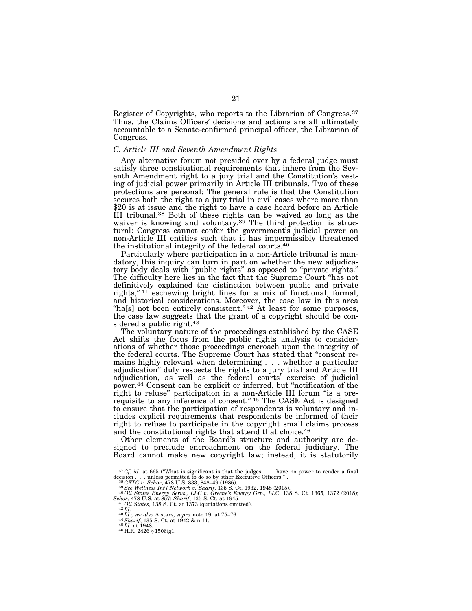Register of Copyrights, who reports to the Librarian of Congress.37 Thus, the Claims Officers' decisions and actions are all ultimately accountable to a Senate-confirmed principal officer, the Librarian of Congress.

#### *C. Article III and Seventh Amendment Rights*

Any alternative forum not presided over by a federal judge must satisfy three constitutional requirements that inhere from the Seventh Amendment right to a jury trial and the Constitution's vesting of judicial power primarily in Article III tribunals. Two of these protections are personal: The general rule is that the Constitution secures both the right to a jury trial in civil cases where more than \$20 is at issue and the right to have a case heard before an Article III tribunal.38 Both of these rights can be waived so long as the waiver is knowing and voluntary.<sup>39</sup> The third protection is structural: Congress cannot confer the government's judicial power on non-Article III entities such that it has impermissibly threatened the institutional integrity of the federal courts.40

Particularly where participation in a non-Article tribunal is mandatory, this inquiry can turn in part on whether the new adjudicatory body deals with ''public rights'' as opposed to ''private rights.'' The difficulty here lies in the fact that the Supreme Court ''has not definitively explained the distinction between public and private rights,"<sup>41</sup> eschewing bright lines for a mix of functional, formal, and historical considerations. Moreover, the case law in this area "ha[s] not been entirely consistent."<sup>42</sup> At least for some purposes, the case law suggests that the grant of a copyright should be considered a public right.<sup>43</sup>

The voluntary nature of the proceedings established by the CASE Act shifts the focus from the public rights analysis to considerations of whether those proceedings encroach upon the integrity of the federal courts. The Supreme Court has stated that ''consent remains highly relevant when determining . . . whether a particular adjudication'' duly respects the rights to a jury trial and Article III adjudication, as well as the federal courts' exercise of judicial power.44 Consent can be explicit or inferred, but ''notification of the right to refuse'' participation in a non-Article III forum ''is a prerequisite to any inference of consent."<sup>45</sup> The CASE Act is designed to ensure that the participation of respondents is voluntary and includes explicit requirements that respondents be informed of their right to refuse to participate in the copyright small claims process and the constitutional rights that attend that choice.<sup>46</sup>

Other elements of the Board's structure and authority are designed to preclude encroachment on the federal judiciary. The Board cannot make new copyright law; instead, it is statutorily

 $\frac{37 \text{ C}f}{37 \text{ C}f}$  *id.* at 665 ("What is significant is that the judges . . . have no power to render a final decision . . . unless permitted to do so by other Executive Officers.").<br> $\frac{38 \text{ C}FTC}{38 \text{ C}FTC}$  v. Sch

decision . . . unless permitted to do so by other Executive Officers.").<br><sup>38</sup> C*FTC* v. Schor, 478 U.S. 833, 848–49 (1986).<br><sup>39</sup> See Wellness Int'l Network v. Sharif, 135 S. Ct. 1932, 1948 (2015).<br><sup>40</sup> Oil States Energy S

Schor, 478 U.S. at 857; *Sharif*, 135 S. Ct. at 1945.<br><sup>41</sup>Oil States, 138 S. Ct. at 1373 (quotations omitted).<br><sup>42</sup>Id.; see also Aistars, *supra* note 19, at 75–76.<br><sup>44</sup>Sharif, 135 S. Ct. at 1942 & n.11.<br><sup>45</sup>Id. at 1948.<br>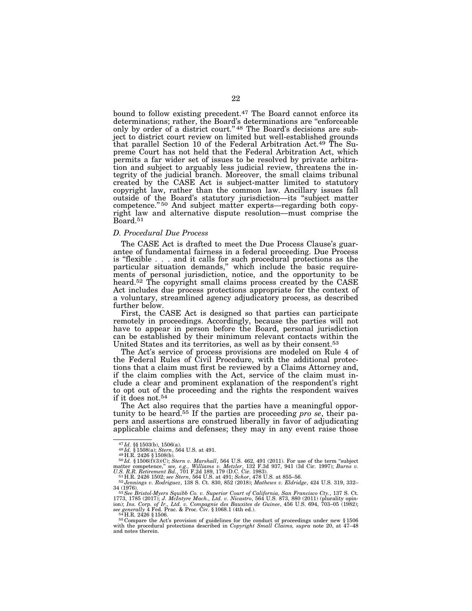bound to follow existing precedent.<sup>47</sup> The Board cannot enforce its determinations; rather, the Board's determinations are "enforceable only by order of a district court."<sup>48</sup> The Board's decisions are subject to district court review on limited but well-established grounds that parallel Section 10 of the Federal Arbitration Act.49 The Supreme Court has not held that the Federal Arbitration Act, which permits a far wider set of issues to be resolved by private arbitration and subject to arguably less judicial review, threatens the integrity of the judicial branch. Moreover, the small claims tribunal created by the CASE Act is subject-matter limited to statutory copyright law, rather than the common law. Ancillary issues fall outside of the Board's statutory jurisdiction—its ''subject matter competence.'' 50 And subject matter experts—regarding both copyright law and alternative dispute resolution—must comprise the Board.<sup>51</sup>

#### *D. Procedural Due Process*

The CASE Act is drafted to meet the Due Process Clause's guarantee of fundamental fairness in a federal proceeding. Due Process is ''flexible . . . and it calls for such procedural protections as the particular situation demands,'' which include the basic requirements of personal jurisdiction, notice, and the opportunity to be heard.<sup>52</sup> The copyright small claims process created by the CASE Act includes due process protections appropriate for the context of a voluntary, streamlined agency adjudicatory process, as described further below.

First, the CASE Act is designed so that parties can participate remotely in proceedings. Accordingly, because the parties will not have to appear in person before the Board, personal jurisdiction can be established by their minimum relevant contacts within the United States and its territories, as well as by their consent.53

The Act's service of process provisions are modeled on Rule 4 of the Federal Rules of Civil Procedure, with the additional protections that a claim must first be reviewed by a Claims Attorney and, if the claim complies with the Act, service of the claim must include a clear and prominent explanation of the respondent's right to opt out of the proceeding and the rights the respondent waives if it does not.54

The Act also requires that the parties have a meaningful opportunity to be heard.55 If the parties are proceeding *pro se*, their papers and assertions are construed liberally in favor of adjudicating applicable claims and defenses; they may in any event raise those

34 (1976). 53*See Bristol-Myers Squibb Co. v. Superior Court of California, San Francisco Cty.*, 137 S. Ct. 1773, 1785 (2017); *J. McIntyre Mach., Ltd. v. Nicastro*, 564 U.S. 873, 880 (2011) (plurality opinion); *Ins. Corp. of Ir., Ltd. v. Compagnie des Bauxites de Guinee*, 456 U.S. 694, 703–05 (1982); see generally 4 Fed. Prac. & Proc. Civ. § 1068.1 (4th ed.).<br><sup>54</sup> H.R. 2426 § 1506.<br><sup>55</sup> Compare the Act's provision of guid

<sup>&</sup>lt;sup>47</sup>*Id.* §§ 1503(b), 1506(a).<br><sup>48</sup>*Id.* §§ 1508(b), 564 U.S. at 491.<br><sup>49</sup>*H.*R. 2426 § 1508(b).<br><sup>50</sup>*Id.* § 1508(6).<br><sup>50</sup>*Id.* § 1508(6)(3)(C); Stern v. Marshall, 564 U.S. 462, 491 (2011). For use of the term "subject<br>ma

with the procedural protections described in *Copyright Small Claims, supra* note 20, at 47–48 and notes therein.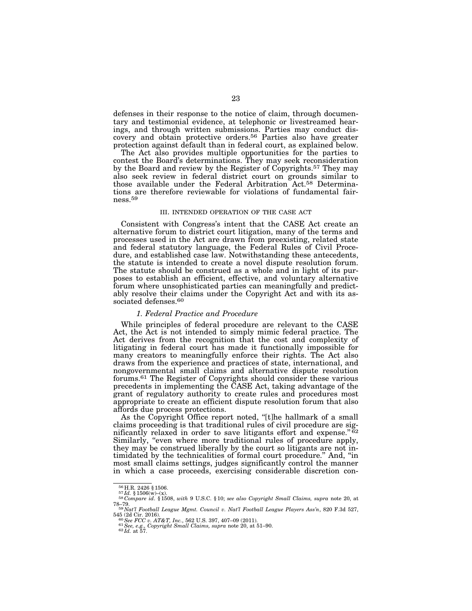defenses in their response to the notice of claim, through documentary and testimonial evidence, at telephonic or livestreamed hearings, and through written submissions. Parties may conduct discovery and obtain protective orders.56 Parties also have greater protection against default than in federal court, as explained below.

The Act also provides multiple opportunities for the parties to contest the Board's determinations. They may seek reconsideration by the Board and review by the Register of Copyrights.57 They may also seek review in federal district court on grounds similar to those available under the Federal Arbitration Act.58 Determinations are therefore reviewable for violations of fundamental fairness.59

### III. INTENDED OPERATION OF THE CASE ACT

Consistent with Congress's intent that the CASE Act create an alternative forum to district court litigation, many of the terms and processes used in the Act are drawn from preexisting, related state and federal statutory language, the Federal Rules of Civil Procedure, and established case law. Notwithstanding these antecedents, the statute is intended to create a novel dispute resolution forum. The statute should be construed as a whole and in light of its purposes to establish an efficient, effective, and voluntary alternative forum where unsophisticated parties can meaningfully and predictably resolve their claims under the Copyright Act and with its associated defenses.<sup>60</sup>

### *1. Federal Practice and Procedure*

While principles of federal procedure are relevant to the CASE Act, the Act is not intended to simply mimic federal practice. The Act derives from the recognition that the cost and complexity of litigating in federal court has made it functionally impossible for many creators to meaningfully enforce their rights. The Act also draws from the experience and practices of state, international, and nongovernmental small claims and alternative dispute resolution forums.61 The Register of Copyrights should consider these various precedents in implementing the CASE Act, taking advantage of the grant of regulatory authority to create rules and procedures most appropriate to create an efficient dispute resolution forum that also affords due process protections.

As the Copyright Office report noted, "[t]he hallmark of a small claims proceeding is that traditional rules of civil procedure are significantly relaxed in order to save litigants effort and expense." $62$ Similarly, "even where more traditional rules of procedure apply, they may be construed liberally by the court so litigants are not intimidated by the technicalities of formal court procedure.'' And, ''in most small claims settings, judges significantly control the manner in which a case proceeds, exercising considerable discretion con-

<sup>56</sup> H.R. 2426 § 1506. 57 *Id.* § 1506(w)–(x). 58 *Compare id*. § 1508, *with* 9 U.S.C. § 10; *see also Copyright Small Claims, supra* note 20, at 78–79. 59 *Nat'l Football League Mgmt. Council v. Nat'l Football League Players Ass'n*, 820 F.3d 527,

<sup>545 (2</sup>d Cir. 2016). 60*See FCC v. AT&T, Inc.*, 562 U.S. 397, 407–09 (2011). 61*See, e.g., Copyright Small Claims, supra* note 20, at 51–90. 62 *Id.* at 57.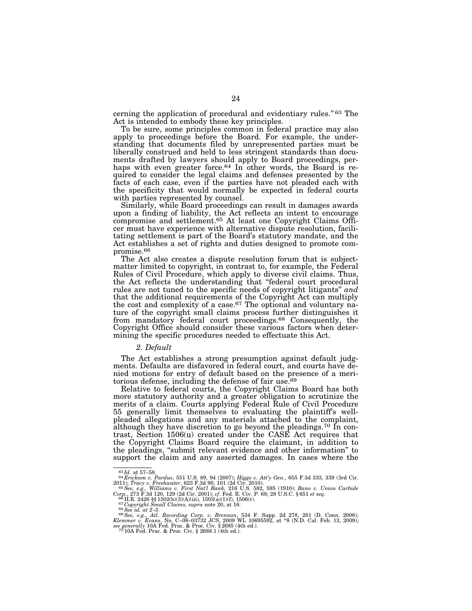cerning the application of procedural and evidentiary rules."<sup>63</sup> The Act is intended to embody these key principles.

To be sure, some principles common in federal practice may also apply to proceedings before the Board. For example, the understanding that documents filed by unrepresented parties must be liberally construed and held to less stringent standards than documents drafted by lawyers should apply to Board proceedings, perhaps with even greater force.<sup>64</sup> In other words, the Board is required to consider the legal claims and defenses presented by the facts of each case, even if the parties have not pleaded each with the specificity that would normally be expected in federal courts with parties represented by counsel.

Similarly, while Board proceedings can result in damages awards upon a finding of liability, the Act reflects an intent to encourage compromise and settlement.65 At least one Copyright Claims Officer must have experience with alternative dispute resolution, facilitating settlement is part of the Board's statutory mandate, and the Act establishes a set of rights and duties designed to promote compromise.66

The Act also creates a dispute resolution forum that is subjectmatter limited to copyright, in contrast to, for example, the Federal Rules of Civil Procedure, which apply to diverse civil claims. Thus, the Act reflects the understanding that ''federal court procedural rules are not tuned to the specific needs of copyright litigants'' *and*  that the additional requirements of the Copyright Act can multiply the cost and complexity of a case.67 The optional and voluntary nature of the copyright small claims process further distinguishes it from mandatory federal court proceedings.68 Consequently, the Copyright Office should consider these various factors when determining the specific procedures needed to effectuate this Act.

#### *2. Default*

The Act establishes a strong presumption against default judgments. Defaults are disfavored in federal court, and courts have denied motions for entry of default based on the presence of a meritorious defense, including the defense of fair use.69

Relative to federal courts, the Copyright Claims Board has both more statutory authority and a greater obligation to scrutinize the merits of a claim. Courts applying Federal Rule of Civil Procedure 55 generally limit themselves to evaluating the plaintiff's wellpleaded allegations and any materials attached to the complaint, although they have discretion to go beyond the pleadings.<sup>70</sup> In contrast, Section 1506(u) created under the CASE Act requires that the Copyright Claims Board require the claimant, in addition to the pleadings, ''submit relevant evidence and other information'' to support the claim and any asserted damages. In cases where the

<sup>63</sup> *Id.* at 57–58. 64 *Erickson v. Pardus*, 551 U.S. 89, 94 (2007); *Higgs v. Att'y Gen.*, 655 F.3d 333, 339 (3rd Cir. 2011); *Tracy v. Freshwater*, 623 F.3d 90, 101 (2d Cir. 2010). 65*See, e.g., Williams v. First Nat'l Bank,* 216 U.S. 582, 595 (1910); *Bano v. Union Carbide* 

Corp., 273 F.3d 120, 129 (2d Cir. 2001); cf. Fed. R. Civ. P. 68; 28 U.S.C. § 651 et seq.<br>  ${}^{66}H$ .R. 2426 §§ 1502(b)(3)(A)(iii), 1503(a)(1)(f), 1506(r).<br>  ${}^{67}Copy right$  Small Claims, supra note 20, at 16.<br>  ${}^{68}Scie$  id. at 2

*Klemmer v. Evans*, No. C–08–03732 JCS, 2009 WL 10695592, at \*8 (N.D. Cal. Feb. 13, 2009);<br>*see generally* 10A Fed. Prac. & Proc. Civ. § 2685.1 (4th ed.).<br><sup>70</sup> 10A Fed. Prac. & Proc. Civ. § 2688.1 (4th ed.).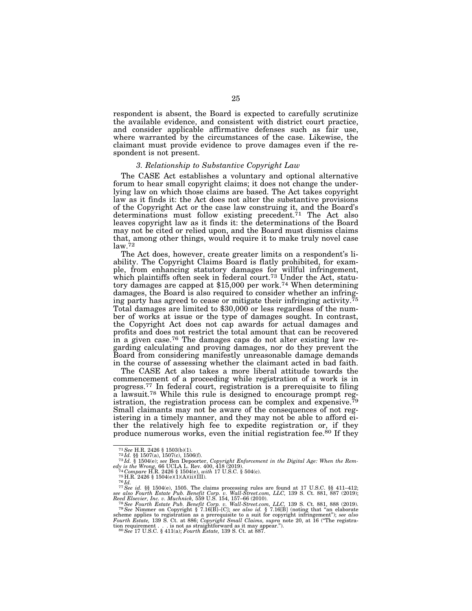respondent is absent, the Board is expected to carefully scrutinize the available evidence, and consistent with district court practice, and consider applicable affirmative defenses such as fair use, where warranted by the circumstances of the case. Likewise, the claimant must provide evidence to prove damages even if the respondent is not present.

### *3. Relationship to Substantive Copyright Law*

The CASE Act establishes a voluntary and optional alternative forum to hear small copyright claims; it does not change the underlying law on which those claims are based. The Act takes copyright law as it finds it: the Act does not alter the substantive provisions of the Copyright Act or the case law construing it, and the Board's determinations must follow existing precedent.<sup> $71$ </sup> The Act also leaves copyright law as it finds it: the determinations of the Board may not be cited or relied upon, and the Board must dismiss claims that, among other things, would require it to make truly novel case law.72

The Act does, however, create greater limits on a respondent's liability. The Copyright Claims Board is flatly prohibited, for example, from enhancing statutory damages for willful infringement, which plaintiffs often seek in federal court.<sup>73</sup> Under the Act, statutory damages are capped at \$15,000 per work.74 When determining damages, the Board is also required to consider whether an infringing party has agreed to cease or mitigate their infringing activity.<sup>75</sup> Total damages are limited to \$30,000 or less regardless of the number of works at issue or the type of damages sought. In contrast, the Copyright Act does not cap awards for actual damages and profits and does not restrict the total amount that can be recovered in a given case.76 The damages caps do not alter existing law regarding calculating and proving damages, nor do they prevent the Board from considering manifestly unreasonable damage demands in the course of assessing whether the claimant acted in bad faith.

The CASE Act also takes a more liberal attitude towards the commencement of a proceeding while registration of a work is in progress.77 In federal court, registration is a prerequisite to filing a lawsuit.<sup>78</sup> While this rule is designed to encourage prompt registration, the registration process can be complex and expensive.<sup>79</sup> Small claimants may not be aware of the consequences of not registering in a timely manner, and they may not be able to afford either the relatively high fee to expedite registration or, if they produce numerous works, even the initial registration fee.80 If they

<sup>&</sup>lt;sup>71</sup> See H.R. 2426 § 1503(b)(1).<br><sup>72</sup> Id. §§ 1507(a), 1507(c), 1506(f).<br><sup>73</sup> Id. § 1504(e); see Ben Depoorter, *Copyright Enforcement in the Digital Age: When the Rem*edy is the Wrong, 66 UCLA L. Rev. 400, 418 (2019).<br>
<sup>74</sup>Compare H.R. 2426 § 1504(e), with 17 U.S.C. § 504(c).<br>
<sup>75</sup>H.R. 2426 § 1504(e)(1)(A)(ii)(III).<br>
<sup>76</sup>*Hd.*<br>
<sup>77</sup>See id. §§ 1504(e), 1505. The claims processing rules

see also Fourth Estate Pub. Benefit Corp. v. Wall-Street.com, LLC, 139 S. Ct. 881, 887 (2019);<br>Reed Elsevier, Inc. v. Muchnick, 559 U.S. 154, 157–66 (2010).<br><sup>78</sup>See Fourth Estate Pub. Benefit Corp. v. Wall-Street.com, LLC Fourth Estate, 139 S. Ct. at 886; Copyright Small Claims, supra note 20, at 16 ("The registration requirement.... is not as straightforward as it may appear.").<br>tion requirement... is not as straightforward as it may appea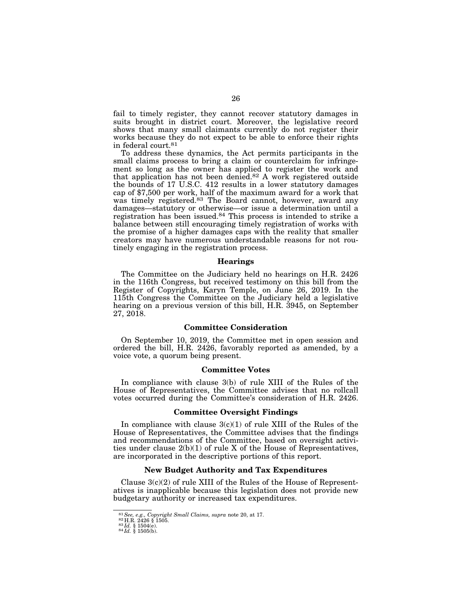fail to timely register, they cannot recover statutory damages in suits brought in district court. Moreover, the legislative record shows that many small claimants currently do not register their works because they do not expect to be able to enforce their rights in federal court.81

To address these dynamics, the Act permits participants in the small claims process to bring a claim or counterclaim for infringement so long as the owner has applied to register the work and that application has not been denied.82 A work registered outside the bounds of 17 U.S.C. 412 results in a lower statutory damages cap of \$7,500 per work, half of the maximum award for a work that was timely registered.<sup>83</sup> The Board cannot, however, award any damages—statutory or otherwise—or issue a determination until a registration has been issued.84 This process is intended to strike a balance between still encouraging timely registration of works with the promise of a higher damages caps with the reality that smaller creators may have numerous understandable reasons for not routinely engaging in the registration process.

### **Hearings**

The Committee on the Judiciary held no hearings on H.R. 2426 in the 116th Congress, but received testimony on this bill from the Register of Copyrights, Karyn Temple, on June 26, 2019. In the 115th Congress the Committee on the Judiciary held a legislative hearing on a previous version of this bill, H.R. 3945, on September 27, 2018.

#### **Committee Consideration**

On September 10, 2019, the Committee met in open session and ordered the bill, H.R. 2426, favorably reported as amended, by a voice vote, a quorum being present.

#### **Committee Votes**

In compliance with clause 3(b) of rule XIII of the Rules of the House of Representatives, the Committee advises that no rollcall votes occurred during the Committee's consideration of H.R. 2426.

### **Committee Oversight Findings**

In compliance with clause  $3(c)(1)$  of rule XIII of the Rules of the House of Representatives, the Committee advises that the findings and recommendations of the Committee, based on oversight activities under clause  $2(b)(1)$  of rule X of the House of Representatives, are incorporated in the descriptive portions of this report.

### **New Budget Authority and Tax Expenditures**

Clause  $3(c)(2)$  of rule XIII of the Rules of the House of Representatives is inapplicable because this legislation does not provide new budgetary authority or increased tax expenditures.

<sup>81</sup>*See, e.g., Copyright Small Claims, supra* note 20, at 17. 82 H.R. 2426 § 1505. 83 *Id.* § 1504(e). 84 *Id.* § 1505(b).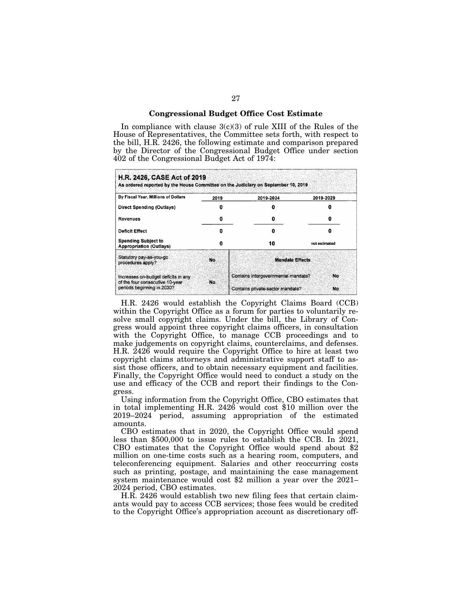## **Congressional Budget Office Cost Estimate**

In compliance with clause  $3(c)(3)$  of rule XIII of the Rules of the House of Representatives, the Committee sets forth, with respect to the bill, H.R. 2426, the following estimate and comparison prepared by the Director of the Congressional Budget Office under section 402 of the Congressional Budget Act of 1974:

| By Fiscal Year, Millions of Dollars                            | 2019 | 2019-2024                           | 2019-2029     |  |  |  |
|----------------------------------------------------------------|------|-------------------------------------|---------------|--|--|--|
| <b>Direct Spending (Outlays)</b>                               |      |                                     |               |  |  |  |
| Revenues                                                       |      |                                     | 0             |  |  |  |
| <b>Deficit Effect</b>                                          |      |                                     |               |  |  |  |
| <b>Spending Subject to</b><br><b>Appropriation (Outlays)</b>   |      | 10                                  | not estimated |  |  |  |
| Statutory pay-as-you-go<br>procedures apply?                   | No   | <b>Mandate Effects</b>              |               |  |  |  |
| Increases on-budget deficits in any                            |      | Contains intergovernmental mandate? | No            |  |  |  |
| of the four consecutive 10-year.<br>periods beginning in 2030? | No   | Contains private-sector mandate?    |               |  |  |  |

H.R. 2426 would establish the Copyright Claims Board (CCB) within the Copyright Office as a forum for parties to voluntarily resolve small copyright claims. Under the bill, the Library of Congress would appoint three copyright claims officers, in consultation with the Copyright Office, to manage CCB proceedings and to make judgements on copyright claims, counterclaims, and defenses. H.R. 2426 would require the Copyright Office to hire at least two copyright claims attorneys and administrative support staff to assist those officers, and to obtain necessary equipment and facilities. Finally, the Copyright Office would need to conduct a study on the use and efficacy of the CCB and report their findings to the Congress.

Using information from the Copyright Office, CBO estimates that in total implementing H.R. 2426 would cost \$10 million over the 2019–2024 period, assuming appropriation of the estimated amounts.

CBO estimates that in 2020, the Copyright Office would spend less than \$500,000 to issue rules to establish the CCB. In 2021, CBO estimates that the Copyright Office would spend about \$2 million on one-time costs such as a hearing room, computers, and teleconferencing equipment. Salaries and other reoccurring costs such as printing, postage, and maintaining the case management system maintenance would cost \$2 million a year over the 2021– 2024 period, CBO estimates.

H.R. 2426 would establish two new filing fees that certain claimants would pay to access CCB services; those fees would be credited to the Copyright Office's appropriation account as discretionary off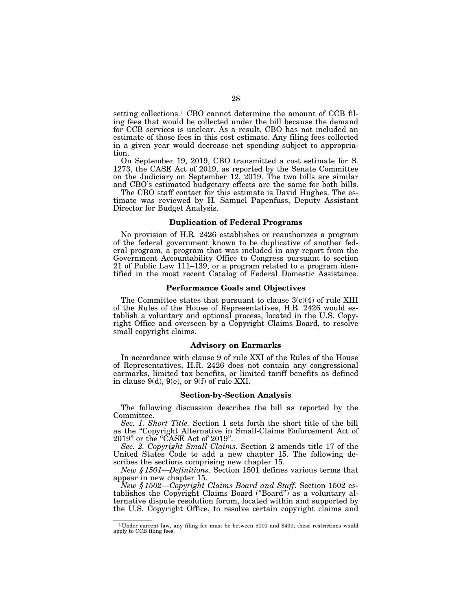setting collections.<sup>1</sup> CBO cannot determine the amount of CCB filing fees that would be collected under the bill because the demand for CCB services is unclear. As a result, CBO has not included an estimate of those fees in this cost estimate. Any filing fees collected in a given year would decrease net spending subject to appropriation.

On September 19, 2019, CBO transmitted a cost estimate for S. 1273, the CASE Act of 2019, as reported by the Senate Committee on the Judiciary on September 12, 2019. The two bills are similar and CBO's estimated budgetary effects are the same for both bills.

The CBO staff contact for this estimate is David Hughes. The estimate was reviewed by H. Samuel Papenfuss, Deputy Assistant Director for Budget Analysis.

### **Duplication of Federal Programs**

No provision of H.R. 2426 establishes or reauthorizes a program of the federal government known to be duplicative of another federal program, a program that was included in any report from the Government Accountability Office to Congress pursuant to section 21 of Public Law 111–139, or a program related to a program identified in the most recent Catalog of Federal Domestic Assistance.

### **Performance Goals and Objectives**

The Committee states that pursuant to clause  $3(c)(4)$  of rule XIII of the Rules of the House of Representatives, H.R. 2426 would establish a voluntary and optional process, located in the U.S. Copyright Office and overseen by a Copyright Claims Board, to resolve small copyright claims.

## **Advisory on Earmarks**

In accordance with clause 9 of rule XXI of the Rules of the House of Representatives, H.R. 2426 does not contain any congressional earmarks, limited tax benefits, or limited tariff benefits as defined in clause 9(d), 9(e), or 9(f) of rule XXI.

### **Section-by-Section Analysis**

The following discussion describes the bill as reported by the Committee.

*Sec. 1. Short Title.* Section 1 sets forth the short title of the bill as the ''Copyright Alternative in Small-Claims Enforcement Act of 2019'' or the ''CASE Act of 2019''.

*Sec. 2. Copyright Small Claims.* Section 2 amends title 17 of the United States Code to add a new chapter 15. The following describes the sections comprising new chapter 15.

*New § 1501—Definitions*. Section 1501 defines various terms that appear in new chapter 15.

*New § 1502—Copyright Claims Board and Staff*. Section 1502 establishes the Copyright Claims Board (''Board'') as a voluntary alternative dispute resolution forum, located within and supported by the U.S. Copyright Office, to resolve certain copyright claims and

<sup>1</sup> Under current law, any filing fee must be between \$100 and \$400; these restrictions would apply to CCB filing fees.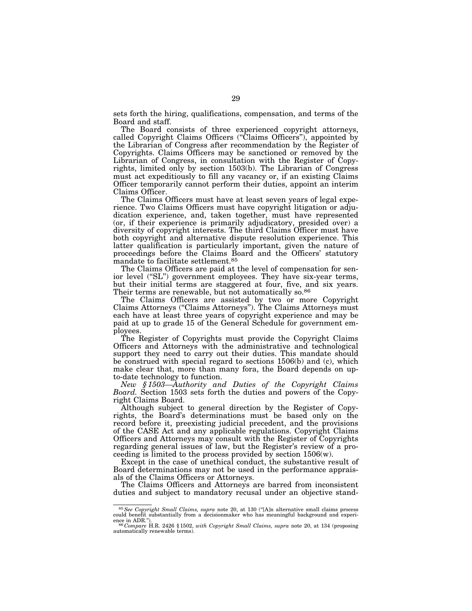sets forth the hiring, qualifications, compensation, and terms of the Board and staff.

The Board consists of three experienced copyright attorneys, called Copyright Claims Officers ("Claims Officers"), appointed by the Librarian of Congress after recommendation by the Register of Copyrights. Claims Officers may be sanctioned or removed by the Librarian of Congress, in consultation with the Register of Copyrights, limited only by section 1503(b). The Librarian of Congress must act expeditiously to fill any vacancy or, if an existing Claims Officer temporarily cannot perform their duties, appoint an interim Claims Officer.

The Claims Officers must have at least seven years of legal experience. Two Claims Officers must have copyright litigation or adjudication experience, and, taken together, must have represented (or, if their experience is primarily adjudicatory, presided over) a diversity of copyright interests. The third Claims Officer must have both copyright and alternative dispute resolution experience. This latter qualification is particularly important, given the nature of proceedings before the Claims Board and the Officers' statutory mandate to facilitate settlement.85

The Claims Officers are paid at the level of compensation for senior level (''SL'') government employees. They have six-year terms, but their initial terms are staggered at four, five, and six years. Their terms are renewable, but not automatically so.<sup>86</sup>

The Claims Officers are assisted by two or more Copyright Claims Attorneys (''Claims Attorneys''). The Claims Attorneys must each have at least three years of copyright experience and may be paid at up to grade 15 of the General Schedule for government employees.

The Register of Copyrights must provide the Copyright Claims Officers and Attorneys with the administrative and technological support they need to carry out their duties. This mandate should be construed with special regard to sections 1506(b) and (c), which make clear that, more than many fora, the Board depends on upto-date technology to function.

*New § 1503—Authority and Duties of the Copyright Claims Board.* Section 1503 sets forth the duties and powers of the Copyright Claims Board.

Although subject to general direction by the Register of Copyrights, the Board's determinations must be based only on the record before it, preexisting judicial precedent, and the provisions of the CASE Act and any applicable regulations. Copyright Claims Officers and Attorneys may consult with the Register of Copyrights regarding general issues of law, but the Register's review of a proceeding is limited to the process provided by section  $1506(w)$ .

Except in the case of unethical conduct, the substantive result of Board determinations may not be used in the performance appraisals of the Claims Officers or Attorneys.

The Claims Officers and Attorneys are barred from inconsistent duties and subject to mandatory recusal under an objective stand-

<sup>85</sup>*See Copyright Small Claims, supra* note 20, at 130 (''[A]n alternative small claims process could benefit substantially from a decisionmaker who has meaningful background and experi-

ence in ADR."). 86 *Compare H.R. 2426* § 1502, *with Copyright Small Claims, supra* note 20, at 134 (proposing at  $\frac{86}{20}$ automatically renewable terms).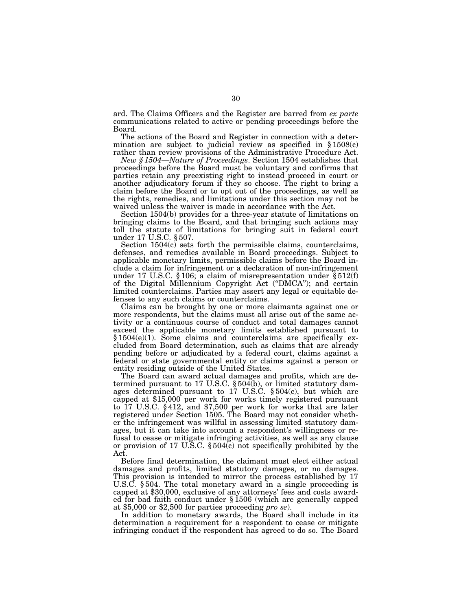ard. The Claims Officers and the Register are barred from *ex parte*  communications related to active or pending proceedings before the Board.

The actions of the Board and Register in connection with a determination are subject to judicial review as specified in  $§ 1508(c)$ rather than review provisions of the Administrative Procedure Act.

*New § 1504—Nature of Proceedings*. Section 1504 establishes that proceedings before the Board must be voluntary and confirms that parties retain any preexisting right to instead proceed in court or another adjudicatory forum if they so choose. The right to bring a claim before the Board or to opt out of the proceedings, as well as the rights, remedies, and limitations under this section may not be waived unless the waiver is made in accordance with the Act.

Section 1504(b) provides for a three-year statute of limitations on bringing claims to the Board, and that bringing such actions may toll the statute of limitations for bringing suit in federal court under 17 U.S.C. § 507.

Section 1504(c) sets forth the permissible claims, counterclaims, defenses, and remedies available in Board proceedings. Subject to applicable monetary limits, permissible claims before the Board include a claim for infringement or a declaration of non-infringement under 17 U.S.C. § 106; a claim of misrepresentation under § 512(f) of the Digital Millennium Copyright Act (''DMCA''); and certain limited counterclaims. Parties may assert any legal or equitable defenses to any such claims or counterclaims.

Claims can be brought by one or more claimants against one or more respondents, but the claims must all arise out of the same activity or a continuous course of conduct and total damages cannot exceed the applicable monetary limits established pursuant to § 1504(e)(1). Some claims and counterclaims are specifically excluded from Board determination, such as claims that are already pending before or adjudicated by a federal court, claims against a federal or state governmental entity or claims against a person or entity residing outside of the United States.

The Board can award actual damages and profits, which are determined pursuant to 17 U.S.C. § 504(b), or limited statutory damages determined pursuant to 17 U.S.C.  $\S 504(c)$ , but which are capped at \$15,000 per work for works timely registered pursuant to 17 U.S.C. § 412, and \$7,500 per work for works that are later registered under Section 1505. The Board may not consider whether the infringement was willful in assessing limited statutory damages, but it can take into account a respondent's willingness or refusal to cease or mitigate infringing activities, as well as any clause or provision of 17 U.S.C. § 504(c) not specifically prohibited by the Act.

Before final determination, the claimant must elect either actual damages and profits, limited statutory damages, or no damages. This provision is intended to mirror the process established by 17 U.S.C. § 504. The total monetary award in a single proceeding is capped at \$30,000, exclusive of any attorneys' fees and costs awarded for bad faith conduct under § 1506 (which are generally capped at \$5,000 or \$2,500 for parties proceeding *pro se*).

In addition to monetary awards, the Board shall include in its determination a requirement for a respondent to cease or mitigate infringing conduct if the respondent has agreed to do so. The Board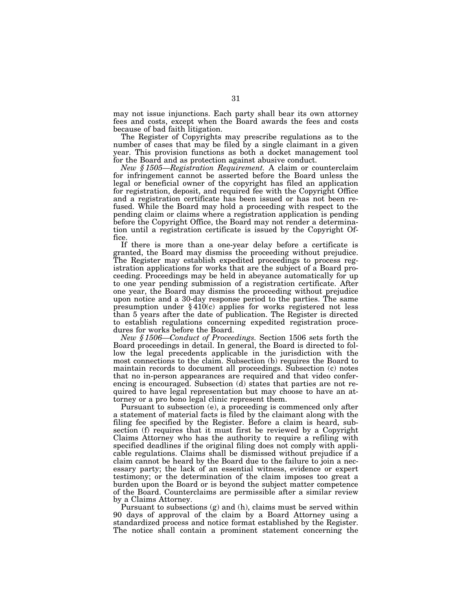may not issue injunctions. Each party shall bear its own attorney fees and costs, except when the Board awards the fees and costs because of bad faith litigation.

The Register of Copyrights may prescribe regulations as to the number of cases that may be filed by a single claimant in a given year. This provision functions as both a docket management tool for the Board and as protection against abusive conduct.

*New § 1505—Registration Requirement.* A claim or counterclaim for infringement cannot be asserted before the Board unless the legal or beneficial owner of the copyright has filed an application for registration, deposit, and required fee with the Copyright Office and a registration certificate has been issued or has not been refused. While the Board may hold a proceeding with respect to the pending claim or claims where a registration application is pending before the Copyright Office, the Board may not render a determination until a registration certificate is issued by the Copyright Office.

If there is more than a one-year delay before a certificate is granted, the Board may dismiss the proceeding without prejudice. The Register may establish expedited proceedings to process registration applications for works that are the subject of a Board proceeding. Proceedings may be held in abeyance automatically for up to one year pending submission of a registration certificate. After one year, the Board may dismiss the proceeding without prejudice upon notice and a 30-day response period to the parties. The same presumption under § 410(c) applies for works registered not less than 5 years after the date of publication. The Register is directed to establish regulations concerning expedited registration procedures for works before the Board.

*New § 1506—Conduct of Proceedings.* Section 1506 sets forth the Board proceedings in detail. In general, the Board is directed to follow the legal precedents applicable in the jurisdiction with the most connections to the claim. Subsection (b) requires the Board to maintain records to document all proceedings. Subsection (c) notes that no in-person appearances are required and that video conferencing is encouraged. Subsection (d) states that parties are not required to have legal representation but may choose to have an attorney or a pro bono legal clinic represent them.

Pursuant to subsection (e), a proceeding is commenced only after a statement of material facts is filed by the claimant along with the filing fee specified by the Register. Before a claim is heard, subsection (f) requires that it must first be reviewed by a Copyright Claims Attorney who has the authority to require a refiling with specified deadlines if the original filing does not comply with applicable regulations. Claims shall be dismissed without prejudice if a claim cannot be heard by the Board due to the failure to join a necessary party; the lack of an essential witness, evidence or expert testimony; or the determination of the claim imposes too great a burden upon the Board or is beyond the subject matter competence of the Board. Counterclaims are permissible after a similar review by a Claims Attorney.

Pursuant to subsections (g) and (h), claims must be served within 90 days of approval of the claim by a Board Attorney using a standardized process and notice format established by the Register. The notice shall contain a prominent statement concerning the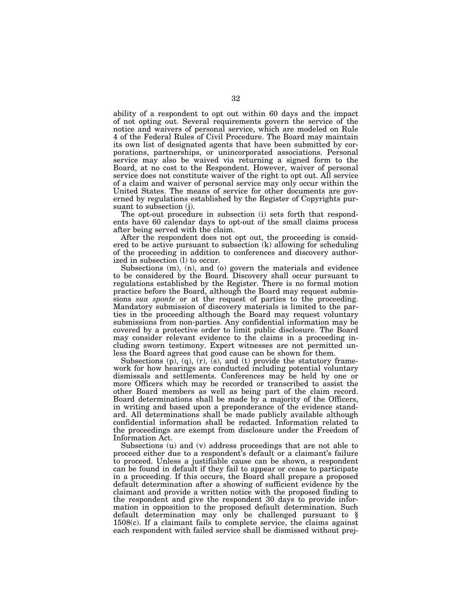ability of a respondent to opt out within 60 days and the impact of not opting out. Several requirements govern the service of the notice and waivers of personal service, which are modeled on Rule 4 of the Federal Rules of Civil Procedure. The Board may maintain its own list of designated agents that have been submitted by corporations, partnerships, or unincorporated associations. Personal service may also be waived via returning a signed form to the Board, at no cost to the Respondent. However, waiver of personal service does not constitute waiver of the right to opt out. All service of a claim and waiver of personal service may only occur within the United States. The means of service for other documents are governed by regulations established by the Register of Copyrights pursuant to subsection (j).

The opt-out procedure in subsection (i) sets forth that respondents have 60 calendar days to opt-out of the small claims process after being served with the claim.

After the respondent does not opt out, the proceeding is considered to be active pursuant to subsection (k) allowing for scheduling of the proceeding in addition to conferences and discovery authorized in subsection (l) to occur.

Subsections (m), (n), and (o) govern the materials and evidence to be considered by the Board. Discovery shall occur pursuant to regulations established by the Register. There is no formal motion practice before the Board, although the Board may request submissions *sua sponte* or at the request of parties to the proceeding. Mandatory submission of discovery materials is limited to the parties in the proceeding although the Board may request voluntary submissions from non-parties. Any confidential information may be covered by a protective order to limit public disclosure. The Board may consider relevant evidence to the claims in a proceeding including sworn testimony. Expert witnesses are not permitted unless the Board agrees that good cause can be shown for them.

Subsections  $(p)$ ,  $(q)$ ,  $(r)$ ,  $(s)$ , and  $(t)$  provide the statutory framework for how hearings are conducted including potential voluntary dismissals and settlements. Conferences may be held by one or more Officers which may be recorded or transcribed to assist the other Board members as well as being part of the claim record. Board determinations shall be made by a majority of the Officers, in writing and based upon a preponderance of the evidence standard. All determinations shall be made publicly available although confidential information shall be redacted. Information related to the proceedings are exempt from disclosure under the Freedom of Information Act.

Subsections (u) and (v) address proceedings that are not able to proceed either due to a respondent's default or a claimant's failure to proceed. Unless a justifiable cause can be shown, a respondent can be found in default if they fail to appear or cease to participate in a proceeding. If this occurs, the Board shall prepare a proposed default determination after a showing of sufficient evidence by the claimant and provide a written notice with the proposed finding to the respondent and give the respondent 30 days to provide information in opposition to the proposed default determination. Such default determination may only be challenged pursuant to § 1508(c). If a claimant fails to complete service, the claims against each respondent with failed service shall be dismissed without prej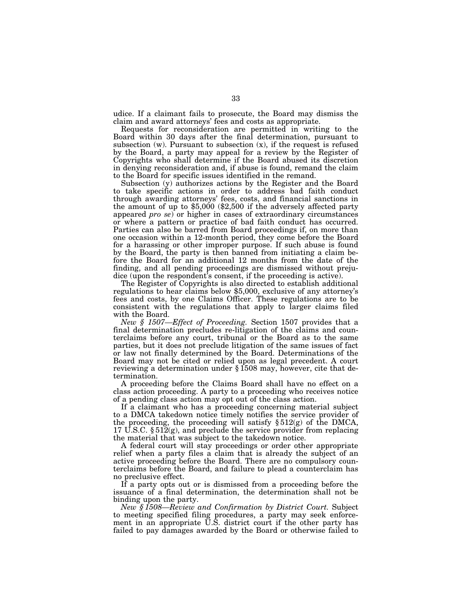udice. If a claimant fails to prosecute, the Board may dismiss the claim and award attorneys' fees and costs as appropriate.

Requests for reconsideration are permitted in writing to the Board within 30 days after the final determination, pursuant to subsection (w). Pursuant to subsection (x), if the request is refused by the Board, a party may appeal for a review by the Register of Copyrights who shall determine if the Board abused its discretion in denying reconsideration and, if abuse is found, remand the claim to the Board for specific issues identified in the remand.

Subsection (y) authorizes actions by the Register and the Board to take specific actions in order to address bad faith conduct through awarding attorneys' fees, costs, and financial sanctions in the amount of up to  $$5,000$  (\$2,500 if the adversely affected party appeared *pro se*) or higher in cases of extraordinary circumstances or where a pattern or practice of bad faith conduct has occurred. Parties can also be barred from Board proceedings if, on more than one occasion within a 12-month period, they come before the Board for a harassing or other improper purpose. If such abuse is found by the Board, the party is then banned from initiating a claim before the Board for an additional 12 months from the date of the finding, and all pending proceedings are dismissed without prejudice (upon the respondent's consent, if the proceeding is active).

The Register of Copyrights is also directed to establish additional regulations to hear claims below \$5,000, exclusive of any attorney's fees and costs, by one Claims Officer. These regulations are to be consistent with the regulations that apply to larger claims filed with the Board.

*New § 1507—Effect of Proceeding.* Section 1507 provides that a final determination precludes re-litigation of the claims and counterclaims before any court, tribunal or the Board as to the same parties, but it does not preclude litigation of the same issues of fact or law not finally determined by the Board. Determinations of the Board may not be cited or relied upon as legal precedent. A court reviewing a determination under § 1508 may, however, cite that determination.

A proceeding before the Claims Board shall have no effect on a class action proceeding. A party to a proceeding who receives notice of a pending class action may opt out of the class action.

If a claimant who has a proceeding concerning material subject to a DMCA takedown notice timely notifies the service provider of the proceeding, the proceeding will satisfy  $\S 512(g)$  of the DMCA, 17 U.S.C. § 512(g), and preclude the service provider from replacing the material that was subject to the takedown notice.

A federal court will stay proceedings or order other appropriate relief when a party files a claim that is already the subject of an active proceeding before the Board. There are no compulsory counterclaims before the Board, and failure to plead a counterclaim has no preclusive effect.

If a party opts out or is dismissed from a proceeding before the issuance of a final determination, the determination shall not be binding upon the party.

*New § 1508—Review and Confirmation by District Court.* Subject to meeting specified filing procedures, a party may seek enforcement in an appropriate U.S. district court if the other party has failed to pay damages awarded by the Board or otherwise failed to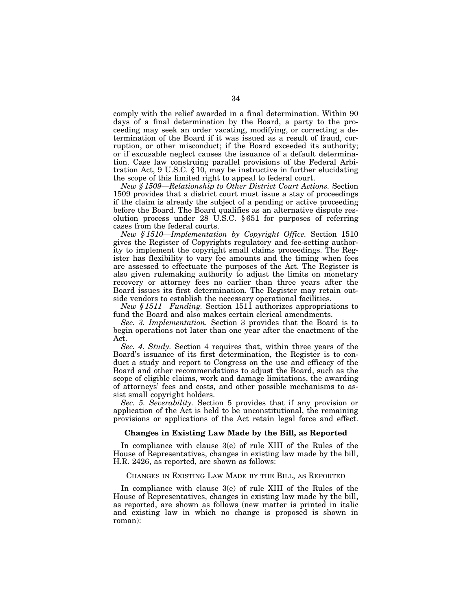comply with the relief awarded in a final determination. Within 90 days of a final determination by the Board, a party to the proceeding may seek an order vacating, modifying, or correcting a determination of the Board if it was issued as a result of fraud, corruption, or other misconduct; if the Board exceeded its authority; or if excusable neglect causes the issuance of a default determination. Case law construing parallel provisions of the Federal Arbitration Act, 9 U.S.C. § 10, may be instructive in further elucidating the scope of this limited right to appeal to federal court.

*New § 1509—Relationship to Other District Court Actions.* Section 1509 provides that a district court must issue a stay of proceedings if the claim is already the subject of a pending or active proceeding before the Board. The Board qualifies as an alternative dispute resolution process under 28 U.S.C. § 651 for purposes of referring cases from the federal courts.

*New § 1510—Implementation by Copyright Office.* Section 1510 gives the Register of Copyrights regulatory and fee-setting authority to implement the copyright small claims proceedings. The Register has flexibility to vary fee amounts and the timing when fees are assessed to effectuate the purposes of the Act. The Register is also given rulemaking authority to adjust the limits on monetary recovery or attorney fees no earlier than three years after the Board issues its first determination. The Register may retain outside vendors to establish the necessary operational facilities.

*New § 1511—Funding.* Section 1511 authorizes appropriations to fund the Board and also makes certain clerical amendments.

*Sec. 3. Implementation.* Section 3 provides that the Board is to begin operations not later than one year after the enactment of the Act.

*Sec. 4. Study.* Section 4 requires that, within three years of the Board's issuance of its first determination, the Register is to conduct a study and report to Congress on the use and efficacy of the Board and other recommendations to adjust the Board, such as the scope of eligible claims, work and damage limitations, the awarding of attorneys' fees and costs, and other possible mechanisms to assist small copyright holders.

*Sec. 5. Severability.* Section 5 provides that if any provision or application of the Act is held to be unconstitutional, the remaining provisions or applications of the Act retain legal force and effect.

### **Changes in Existing Law Made by the Bill, as Reported**

In compliance with clause 3(e) of rule XIII of the Rules of the House of Representatives, changes in existing law made by the bill, H.R. 2426, as reported, are shown as follows:

### CHANGES IN EXISTING LAW MADE BY THE BILL, AS REPORTED

In compliance with clause 3(e) of rule XIII of the Rules of the House of Representatives, changes in existing law made by the bill, as reported, are shown as follows (new matter is printed in italic and existing law in which no change is proposed is shown in roman):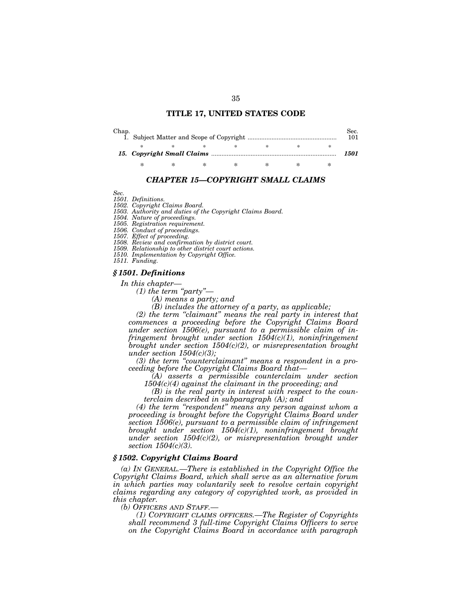### **TITLE 17, UNITED STATES CODE**

| Chap. |   |  |   |  | Sec.<br>101 |
|-------|---|--|---|--|-------------|
|       |   |  |   |  |             |
|       |   |  |   |  | 1501        |
|       | × |  | × |  |             |

### *CHAPTER 15—COPYRIGHT SMALL CLAIMS*

*Sec.* 

*1501. Definitions.* 

*1502. Copyright Claims Board.* 

*1503. Authority and duties of the Copyright Claims Board.* 

*1504. Nature of proceedings.* 

*1505. Registration requirement.* 

*1506. Conduct of proceedings.* 

*1507. Effect of proceeding.* 

*1508. Review and confirmation by district court.* 

*1509. Relationship to other district court actions. 1510. Implementation by Copyright Office.* 

*1511. Funding.* 

#### *§ 1501. Definitions*

*In this chapter—* 

*(1) the term ''party''—* 

*(A) means a party; and* 

*(B) includes the attorney of a party, as applicable;* 

*(2) the term ''claimant'' means the real party in interest that commences a proceeding before the Copyright Claims Board under section 1506(e), pursuant to a permissible claim of infringement brought under section 1504(c)(1), noninfringement brought under section 1504(c)(2), or misrepresentation brought under section 1504(c)(3);* 

*(3) the term ''counterclaimant'' means a respondent in a proceeding before the Copyright Claims Board that—* 

*(A) asserts a permissible counterclaim under section 1504(c)(4) against the claimant in the proceeding; and* 

*(B) is the real party in interest with respect to the counterclaim described in subparagraph (A); and* 

*(4) the term ''respondent'' means any person against whom a proceeding is brought before the Copyright Claims Board under section 1506(e), pursuant to a permissible claim of infringement brought under section 1504(c)(1), noninfringement brought under section 1504(c)(2), or misrepresentation brought under section 1504(c)(3).* 

### *§ 1502. Copyright Claims Board*

*(a) IN GENERAL.—There is established in the Copyright Office the Copyright Claims Board, which shall serve as an alternative forum in which parties may voluntarily seek to resolve certain copyright claims regarding any category of copyrighted work, as provided in this chapter.* 

*(b) OFFICERS AND STAFF.—* 

*(1) COPYRIGHT CLAIMS OFFICERS.—The Register of Copyrights shall recommend 3 full-time Copyright Claims Officers to serve on the Copyright Claims Board in accordance with paragraph*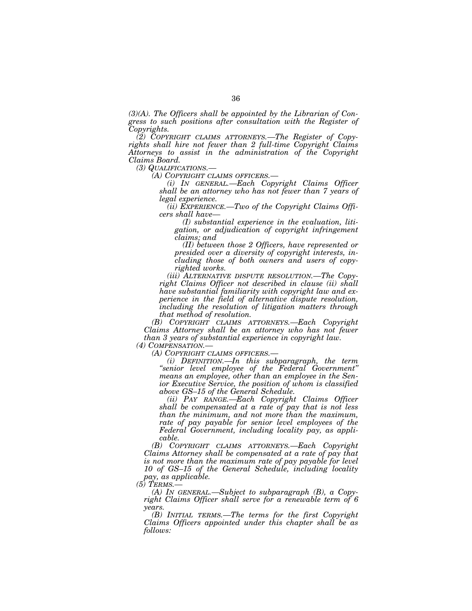*(3)(A). The Officers shall be appointed by the Librarian of Congress to such positions after consultation with the Register of Copyrights.* 

*(2) COPYRIGHT CLAIMS ATTORNEYS.—The Register of Copyrights shall hire not fewer than 2 full-time Copyright Claims Attorneys to assist in the administration of the Copyright Claims Board.* 

*(3) QUALIFICATIONS.— (A) COPYRIGHT CLAIMS OFFICERS.— (i) IN GENERAL.—Each Copyright Claims Officer shall be an attorney who has not fewer than 7 years of legal experience.* 

*(ii) EXPERIENCE.—Two of the Copyright Claims Officers shall have—* 

*(I) substantial experience in the evaluation, litigation, or adjudication of copyright infringement claims; and* 

*(II) between those 2 Officers, have represented or presided over a diversity of copyright interests, including those of both owners and users of copyrighted works.* 

*(iii) ALTERNATIVE DISPUTE RESOLUTION.—The Copyright Claims Officer not described in clause (ii) shall have substantial familiarity with copyright law and experience in the field of alternative dispute resolution, including the resolution of litigation matters through that method of resolution.* 

*(B) COPYRIGHT CLAIMS ATTORNEYS.—Each Copyright Claims Attorney shall be an attorney who has not fewer than 3 years of substantial experience in copyright law.* 

*(4) COMPENSATION.— (A) COPYRIGHT CLAIMS OFFICERS.—* 

*(i) DEFINITION.—In this subparagraph, the term ''senior level employee of the Federal Government'' means an employee, other than an employee in the Senior Executive Service, the position of whom is classified above GS–15 of the General Schedule.* 

*(ii) PAY RANGE.—Each Copyright Claims Officer shall be compensated at a rate of pay that is not less than the minimum, and not more than the maximum, rate of pay payable for senior level employees of the Federal Government, including locality pay, as applicable.* 

*(B) COPYRIGHT CLAIMS ATTORNEYS.—Each Copyright Claims Attorney shall be compensated at a rate of pay that is not more than the maximum rate of pay payable for level 10 of GS–15 of the General Schedule, including locality pay, as applicable.* 

(A) IN GENERAL.—Subject to subparagraph (B), a Copy*right Claims Officer shall serve for a renewable term of 6 years.* 

*(B) INITIAL TERMS.—The terms for the first Copyright Claims Officers appointed under this chapter shall be as follows:*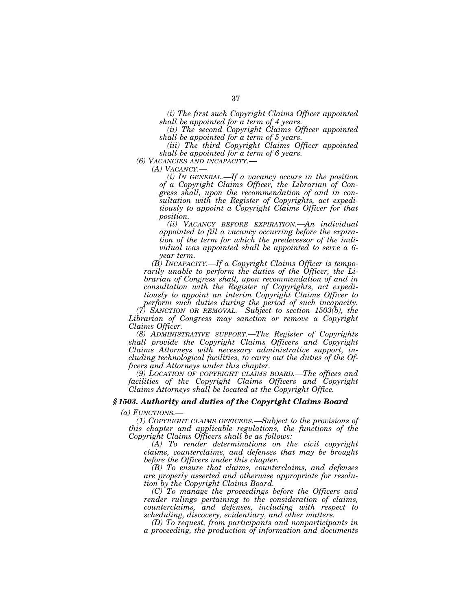*(i) The first such Copyright Claims Officer appointed shall be appointed for a term of 4 years.* 

*(ii) The second Copyright Claims Officer appointed shall be appointed for a term of 5 years.* 

*(iii) The third Copyright Claims Officer appointed shall be appointed for a term of 6 years.* 

*(6) VACANCIES AND INCAPACITY.—* 

*(A) VACANCY.—* 

*(i) IN GENERAL.—If a vacancy occurs in the position of a Copyright Claims Officer, the Librarian of Congress shall, upon the recommendation of and in consultation with the Register of Copyrights, act expeditiously to appoint a Copyright Claims Officer for that position.* 

*(ii) VACANCY BEFORE EXPIRATION.—An individual appointed to fill a vacancy occurring before the expiration of the term for which the predecessor of the individual was appointed shall be appointed to serve a 6 year term.* 

*(B) INCAPACITY.—If a Copyright Claims Officer is temporarily unable to perform the duties of the Officer, the Librarian of Congress shall, upon recommendation of and in consultation with the Register of Copyrights, act expeditiously to appoint an interim Copyright Claims Officer to perform such duties during the period of such incapacity.* 

*(7) SANCTION OR REMOVAL.—Subject to section 1503(b), the Librarian of Congress may sanction or remove a Copyright Claims Officer.* 

*(8) ADMINISTRATIVE SUPPORT.—The Register of Copyrights shall provide the Copyright Claims Officers and Copyright Claims Attorneys with necessary administrative support, including technological facilities, to carry out the duties of the Officers and Attorneys under this chapter.* 

*(9) LOCATION OF COPYRIGHT CLAIMS BOARD.—The offices and facilities of the Copyright Claims Officers and Copyright Claims Attorneys shall be located at the Copyright Office.* 

### *§ 1503. Authority and duties of the Copyright Claims Board*

*(a) FUNCTIONS.—* 

*(1) COPYRIGHT CLAIMS OFFICERS.—Subject to the provisions of this chapter and applicable regulations, the functions of the Copyright Claims Officers shall be as follows:* 

*(A) To render determinations on the civil copyright claims, counterclaims, and defenses that may be brought before the Officers under this chapter.* 

*(B) To ensure that claims, counterclaims, and defenses are properly asserted and otherwise appropriate for resolution by the Copyright Claims Board.* 

*(C) To manage the proceedings before the Officers and render rulings pertaining to the consideration of claims, counterclaims, and defenses, including with respect to scheduling, discovery, evidentiary, and other matters.* 

*(D) To request, from participants and nonparticipants in a proceeding, the production of information and documents*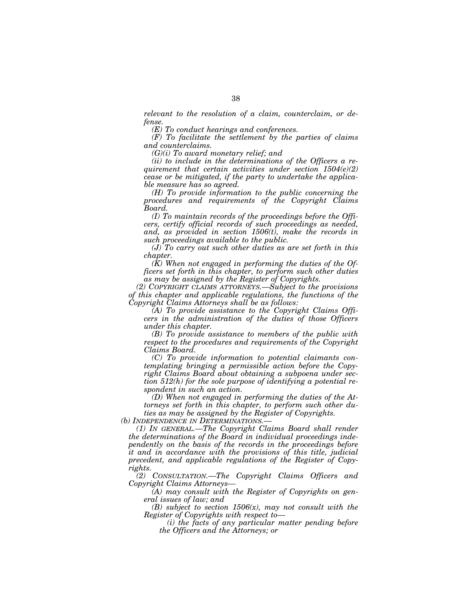*relevant to the resolution of a claim, counterclaim, or defense.* 

*(E) To conduct hearings and conferences.* 

*(F) To facilitate the settlement by the parties of claims and counterclaims.* 

*(G)(i) To award monetary relief; and* 

*(ii) to include in the determinations of the Officers a requirement that certain activities under section 1504(e)(2) cease or be mitigated, if the party to undertake the applicable measure has so agreed.* 

*(H) To provide information to the public concerning the procedures and requirements of the Copyright Claims Board.* 

*(I) To maintain records of the proceedings before the Officers, certify official records of such proceedings as needed, and, as provided in section 1506(t), make the records in such proceedings available to the public.* 

*(J) To carry out such other duties as are set forth in this chapter.* 

*(K) When not engaged in performing the duties of the Officers set forth in this chapter, to perform such other duties as may be assigned by the Register of Copyrights.* 

*(2) COPYRIGHT CLAIMS ATTORNEYS.—Subject to the provisions of this chapter and applicable regulations, the functions of the Copyright Claims Attorneys shall be as follows:* 

*(A) To provide assistance to the Copyright Claims Officers in the administration of the duties of those Officers under this chapter.* 

*(B) To provide assistance to members of the public with respect to the procedures and requirements of the Copyright Claims Board.* 

*(C) To provide information to potential claimants contemplating bringing a permissible action before the Copyright Claims Board about obtaining a subpoena under section 512(h) for the sole purpose of identifying a potential respondent in such an action.* 

*(D) When not engaged in performing the duties of the Attorneys set forth in this chapter, to perform such other duties as may be assigned by the Register of Copyrights.* 

*(b) INDEPENDENCE IN DETERMINATIONS.—* 

*(1) IN GENERAL.—The Copyright Claims Board shall render the determinations of the Board in individual proceedings independently on the basis of the records in the proceedings before it and in accordance with the provisions of this title, judicial precedent, and applicable regulations of the Register of Copyrights.* 

*(2) CONSULTATION.—The Copyright Claims Officers and Copyright Claims Attorneys—* 

*(A) may consult with the Register of Copyrights on general issues of law; and* 

*(B) subject to section 1506(x), may not consult with the Register of Copyrights with respect to—* 

*(i) the facts of any particular matter pending before the Officers and the Attorneys; or*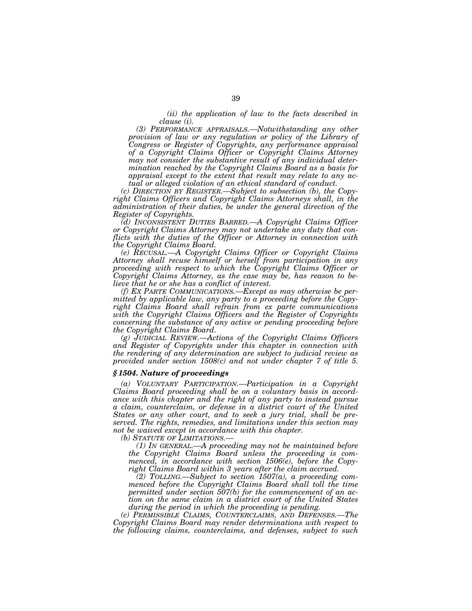*(ii) the application of law to the facts described in clause (i).* 

*(3) PERFORMANCE APPRAISALS.—Notwithstanding any other provision of law or any regulation or policy of the Library of Congress or Register of Copyrights, any performance appraisal of a Copyright Claims Officer or Copyright Claims Attorney may not consider the substantive result of any individual determination reached by the Copyright Claims Board as a basis for appraisal except to the extent that result may relate to any actual or alleged violation of an ethical standard of conduct.* 

*(c) DIRECTION BY REGISTER.—Subject to subsection (b), the Copyright Claims Officers and Copyright Claims Attorneys shall, in the administration of their duties, be under the general direction of the Register of Copyrights.* 

*(d) INCONSISTENT DUTIES BARRED.—A Copyright Claims Officer or Copyright Claims Attorney may not undertake any duty that conflicts with the duties of the Officer or Attorney in connection with the Copyright Claims Board.* 

*(e) RECUSAL.—A Copyright Claims Officer or Copyright Claims Attorney shall recuse himself or herself from participation in any proceeding with respect to which the Copyright Claims Officer or Copyright Claims Attorney, as the case may be, has reason to believe that he or she has a conflict of interest.* 

*(f) EX PARTE COMMUNICATIONS.—Except as may otherwise be permitted by applicable law, any party to a proceeding before the Copyright Claims Board shall refrain from ex parte communications with the Copyright Claims Officers and the Register of Copyrights concerning the substance of any active or pending proceeding before the Copyright Claims Board.* 

*(g) JUDICIAL REVIEW.—Actions of the Copyright Claims Officers and Register of Copyrights under this chapter in connection with the rendering of any determination are subject to judicial review as provided under section 1508(c) and not under chapter 7 of title 5.* 

### *§ 1504. Nature of proceedings*

*(a) VOLUNTARY PARTICIPATION.—Participation in a Copyright Claims Board proceeding shall be on a voluntary basis in accordance with this chapter and the right of any party to instead pursue a claim, counterclaim, or defense in a district court of the United States or any other court, and to seek a jury trial, shall be preserved. The rights, remedies, and limitations under this section may not be waived except in accordance with this chapter.* 

*(b) STATUTE OF LIMITATIONS.—* 

*(1) IN GENERAL.—A proceeding may not be maintained before the Copyright Claims Board unless the proceeding is commenced, in accordance with section 1506(e), before the Copyright Claims Board within 3 years after the claim accrued.* 

*(2) TOLLING.—Subject to section 1507(a), a proceeding commenced before the Copyright Claims Board shall toll the time permitted under section 507(b) for the commencement of an action on the same claim in a district court of the United States during the period in which the proceeding is pending.* 

*(c) PERMISSIBLE CLAIMS, COUNTERCLAIMS, AND DEFENSES.—The Copyright Claims Board may render determinations with respect to the following claims, counterclaims, and defenses, subject to such*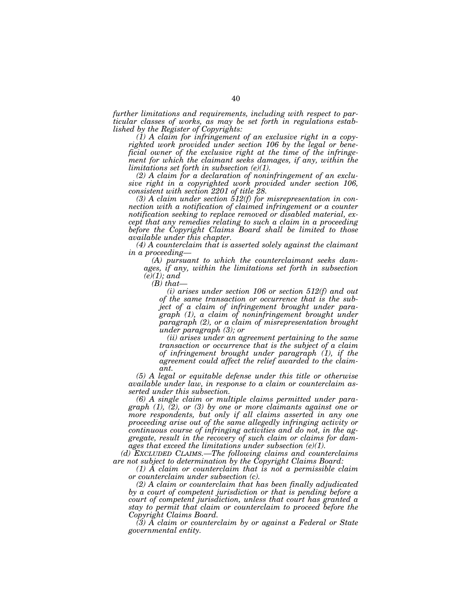*further limitations and requirements, including with respect to particular classes of works, as may be set forth in regulations established by the Register of Copyrights:* 

*(1) A claim for infringement of an exclusive right in a copyrighted work provided under section 106 by the legal or beneficial owner of the exclusive right at the time of the infringement for which the claimant seeks damages, if any, within the limitations set forth in subsection (e)(1).* 

*(2) A claim for a declaration of noninfringement of an exclusive right in a copyrighted work provided under section 106, consistent with section 2201 of title 28.* 

*(3) A claim under section 512(f) for misrepresentation in connection with a notification of claimed infringement or a counter notification seeking to replace removed or disabled material, except that any remedies relating to such a claim in a proceeding before the Copyright Claims Board shall be limited to those available under this chapter.* 

*(4) A counterclaim that is asserted solely against the claimant in a proceeding—* 

*(A) pursuant to which the counterclaimant seeks damages, if any, within the limitations set forth in subsection (e)(1); and* 

*(B) that—* 

*(i) arises under section 106 or section 512(f) and out of the same transaction or occurrence that is the subject of a claim of infringement brought under paragraph (1), a claim of noninfringement brought under paragraph (2), or a claim of misrepresentation brought under paragraph (3); or* 

*(ii) arises under an agreement pertaining to the same transaction or occurrence that is the subject of a claim of infringement brought under paragraph (1), if the agreement could affect the relief awarded to the claimant.* 

*(5) A legal or equitable defense under this title or otherwise available under law, in response to a claim or counterclaim asserted under this subsection.* 

*(6) A single claim or multiple claims permitted under paragraph (1), (2), or (3) by one or more claimants against one or more respondents, but only if all claims asserted in any one proceeding arise out of the same allegedly infringing activity or continuous course of infringing activities and do not, in the aggregate, result in the recovery of such claim or claims for damages that exceed the limitations under subsection (e)(1).* 

*(d) EXCLUDED CLAIMS.—The following claims and counterclaims are not subject to determination by the Copyright Claims Board:* 

*(1) A claim or counterclaim that is not a permissible claim or counterclaim under subsection (c).* 

*(2) A claim or counterclaim that has been finally adjudicated by a court of competent jurisdiction or that is pending before a court of competent jurisdiction, unless that court has granted a stay to permit that claim or counterclaim to proceed before the Copyright Claims Board.* 

*(3) A claim or counterclaim by or against a Federal or State governmental entity.*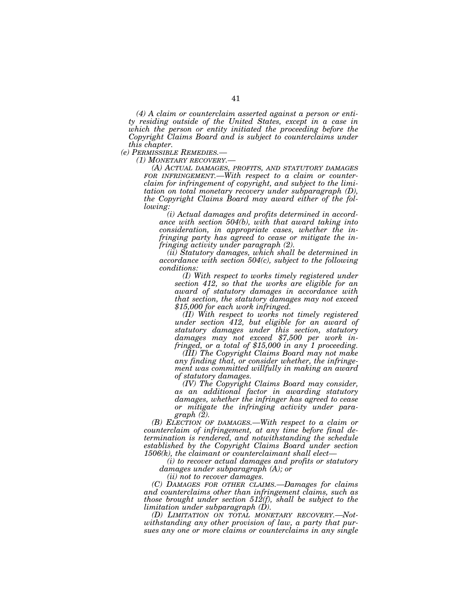*(4) A claim or counterclaim asserted against a person or entity residing outside of the United States, except in a case in which the person or entity initiated the proceeding before the Copyright Claims Board and is subject to counterclaims under this chapter.*<br>
(*e*) *PERMISSIBLE REMEDIES.* 

*(1) MONETARY RECOVERY.—*<br>*(A) ACTUAL DAMAGES, PROFITS, AND STATUTORY DAMAGES FOR INFRINGEMENT.—With respect to a claim or counterclaim for infringement of copyright, and subject to the limitation on total monetary recovery under subparagraph (D), the Copyright Claims Board may award either of the following:* 

*(i) Actual damages and profits determined in accordance with section 504(b), with that award taking into consideration, in appropriate cases, whether the infringing party has agreed to cease or mitigate the infringing activity under paragraph (2).* 

*(ii) Statutory damages, which shall be determined in accordance with section 504(c), subject to the following conditions:* 

*(I) With respect to works timely registered under section 412, so that the works are eligible for an award of statutory damages in accordance with that section, the statutory damages may not exceed \$15,000 for each work infringed.* 

*(II) With respect to works not timely registered under section 412, but eligible for an award of statutory damages under this section, statutory damages may not exceed \$7,500 per work infringed, or a total of \$15,000 in any 1 proceeding.* 

*(III) The Copyright Claims Board may not make any finding that, or consider whether, the infringement was committed willfully in making an award of statutory damages.* 

*(IV) The Copyright Claims Board may consider, as an additional factor in awarding statutory damages, whether the infringer has agreed to cease or mitigate the infringing activity under paragraph (2).* 

*(B) ELECTION OF DAMAGES.—With respect to a claim or counterclaim of infringement, at any time before final determination is rendered, and notwithstanding the schedule established by the Copyright Claims Board under section 1506(k), the claimant or counterclaimant shall elect—* 

*(i) to recover actual damages and profits or statutory damages under subparagraph (A); or* 

*(ii) not to recover damages.* 

*(C) DAMAGES FOR OTHER CLAIMS.—Damages for claims and counterclaims other than infringement claims, such as those brought under section 512(f), shall be subject to the limitation under subparagraph (D).* 

*(D) LIMITATION ON TOTAL MONETARY RECOVERY.—Notwithstanding any other provision of law, a party that pursues any one or more claims or counterclaims in any single*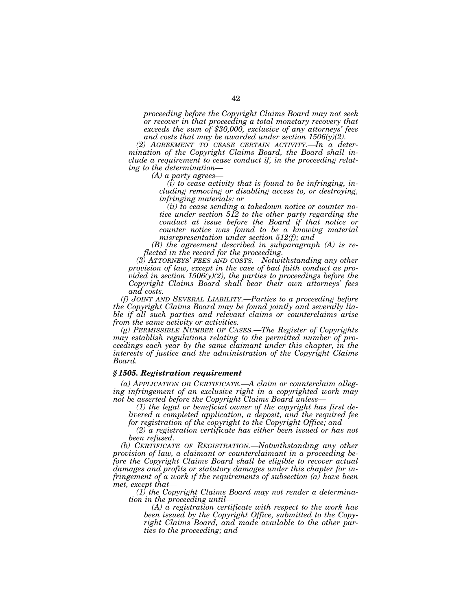*proceeding before the Copyright Claims Board may not seek or recover in that proceeding a total monetary recovery that exceeds the sum of \$30,000, exclusive of any attorneys' fees and costs that may be awarded under section 1506(y)(2).* 

*(2) AGREEMENT TO CEASE CERTAIN ACTIVITY.—In a determination of the Copyright Claims Board, the Board shall include a requirement to cease conduct if, in the proceeding relating to the determination—* 

*(A) a party agrees—* 

*(i) to cease activity that is found to be infringing, including removing or disabling access to, or destroying, infringing materials; or* 

*(ii) to cease sending a takedown notice or counter notice under section 512 to the other party regarding the conduct at issue before the Board if that notice or counter notice was found to be a knowing material misrepresentation under section 512(f); and* 

*(B) the agreement described in subparagraph (A) is reflected in the record for the proceeding.* 

*(3) ATTORNEYS' FEES AND COSTS.—Notwithstanding any other provision of law, except in the case of bad faith conduct as provided in section 1506(y)(2), the parties to proceedings before the Copyright Claims Board shall bear their own attorneys' fees and costs.* 

*(f) JOINT AND SEVERAL LIABILITY.—Parties to a proceeding before the Copyright Claims Board may be found jointly and severally liable if all such parties and relevant claims or counterclaims arise from the same activity or activities.* 

*(g) PERMISSIBLE NUMBER OF CASES.—The Register of Copyrights may establish regulations relating to the permitted number of proceedings each year by the same claimant under this chapter, in the interests of justice and the administration of the Copyright Claims Board.* 

### *§ 1505. Registration requirement*

*(a) APPLICATION OR CERTIFICATE.—A claim or counterclaim alleging infringement of an exclusive right in a copyrighted work may not be asserted before the Copyright Claims Board unless—* 

*(1) the legal or beneficial owner of the copyright has first delivered a completed application, a deposit, and the required fee for registration of the copyright to the Copyright Office; and* 

*(2) a registration certificate has either been issued or has not been refused.* 

*(b) CERTIFICATE OF REGISTRATION.—Notwithstanding any other provision of law, a claimant or counterclaimant in a proceeding before the Copyright Claims Board shall be eligible to recover actual damages and profits or statutory damages under this chapter for infringement of a work if the requirements of subsection (a) have been met, except that—* 

*(1) the Copyright Claims Board may not render a determination in the proceeding until—* 

*(A) a registration certificate with respect to the work has been issued by the Copyright Office, submitted to the Copyright Claims Board, and made available to the other parties to the proceeding; and*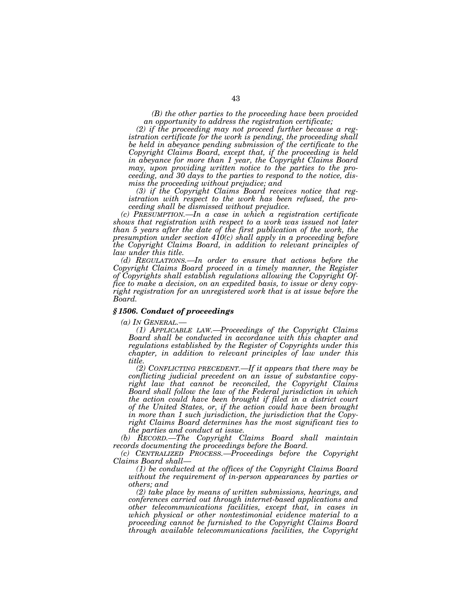*(B) the other parties to the proceeding have been provided an opportunity to address the registration certificate;* 

*(2) if the proceeding may not proceed further because a registration certificate for the work is pending, the proceeding shall* be held in abeyance pending submission of the certificate to the *Copyright Claims Board, except that, if the proceeding is held in abeyance for more than 1 year, the Copyright Claims Board may, upon providing written notice to the parties to the proceeding, and 30 days to the parties to respond to the notice, dismiss the proceeding without prejudice; and* 

*(3) if the Copyright Claims Board receives notice that registration with respect to the work has been refused, the proceeding shall be dismissed without prejudice.* 

*(c) PRESUMPTION.—In a case in which a registration certificate shows that registration with respect to a work was issued not later than 5 years after the date of the first publication of the work, the presumption under section 410(c) shall apply in a proceeding before the Copyright Claims Board, in addition to relevant principles of law under this title.* 

*(d) REGULATIONS.—In order to ensure that actions before the*  Copyright Claims Board proceed in a timely manner, the Register *of Copyrights shall establish regulations allowing the Copyright Office to make a decision, on an expedited basis, to issue or deny copyright registration for an unregistered work that is at issue before the Board.* 

### *§ 1506. Conduct of proceedings*

*(a) IN GENERAL.— (1) APPLICABLE LAW.—Proceedings of the Copyright Claims Board shall be conducted in accordance with this chapter and regulations established by the Register of Copyrights under this chapter, in addition to relevant principles of law under this title.* 

*(2) CONFLICTING PRECEDENT.—If it appears that there may be conflicting judicial precedent on an issue of substantive copyright law that cannot be reconciled, the Copyright Claims Board shall follow the law of the Federal jurisdiction in which the action could have been brought if filed in a district court of the United States, or, if the action could have been brought in more than 1 such jurisdiction, the jurisdiction that the Copyright Claims Board determines has the most significant ties to the parties and conduct at issue.* 

*(b) RECORD.—The Copyright Claims Board shall maintain records documenting the proceedings before the Board.* 

*(c) CENTRALIZED PROCESS.—Proceedings before the Copyright Claims Board shall—* 

*(1) be conducted at the offices of the Copyright Claims Board without the requirement of in-person appearances by parties or others; and* 

*(2) take place by means of written submissions, hearings, and conferences carried out through internet-based applications and other telecommunications facilities, except that, in cases in which physical or other nontestimonial evidence material to a proceeding cannot be furnished to the Copyright Claims Board through available telecommunications facilities, the Copyright*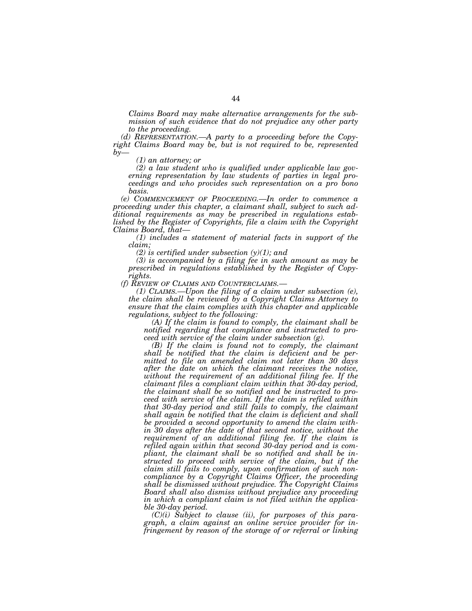*Claims Board may make alternative arrangements for the submission of such evidence that do not prejudice any other party to the proceeding.* 

*(d) REPRESENTATION.—A party to a proceeding before the Copyright Claims Board may be, but is not required to be, represented by—* 

*(1) an attorney; or* 

*(2) a law student who is qualified under applicable law governing representation by law students of parties in legal proceedings and who provides such representation on a pro bono basis.* 

*(e) COMMENCEMENT OF PROCEEDING.—In order to commence a proceeding under this chapter, a claimant shall, subject to such additional requirements as may be prescribed in regulations established by the Register of Copyrights, file a claim with the Copyright Claims Board, that—* 

*(1) includes a statement of material facts in support of the claim;* 

*(2) is certified under subsection (y)(1); and* 

*(3) is accompanied by a filing fee in such amount as may be prescribed in regulations established by the Register of Copy-*

*rights.* 

*(1) CLAIMS.—Upon the filing of a claim under subsection (e), the claim shall be reviewed by a Copyright Claims Attorney to ensure that the claim complies with this chapter and applicable regulations, subject to the following:* 

*(A) If the claim is found to comply, the claimant shall be notified regarding that compliance and instructed to proceed with service of the claim under subsection (g).* 

*(B) If the claim is found not to comply, the claimant shall be notified that the claim is deficient and be permitted to file an amended claim not later than 30 days after the date on which the claimant receives the notice,*  without the requirement of an additional filing fee. If the *claimant files a compliant claim within that 30-day period, the claimant shall be so notified and be instructed to proceed with service of the claim. If the claim is refiled within that 30-day period and still fails to comply, the claimant shall again be notified that the claim is deficient and shall be provided a second opportunity to amend the claim within 30 days after the date of that second notice, without the requirement of an additional filing fee. If the claim is refiled again within that second 30-day period and is compliant, the claimant shall be so notified and shall be instructed to proceed with service of the claim, but if the claim still fails to comply, upon confirmation of such noncompliance by a Copyright Claims Officer, the proceeding shall be dismissed without prejudice. The Copyright Claims Board shall also dismiss without prejudice any proceeding in which a compliant claim is not filed within the applicable 30-day period.* 

*(C)(i) Subject to clause (ii), for purposes of this paragraph, a claim against an online service provider for infringement by reason of the storage of or referral or linking*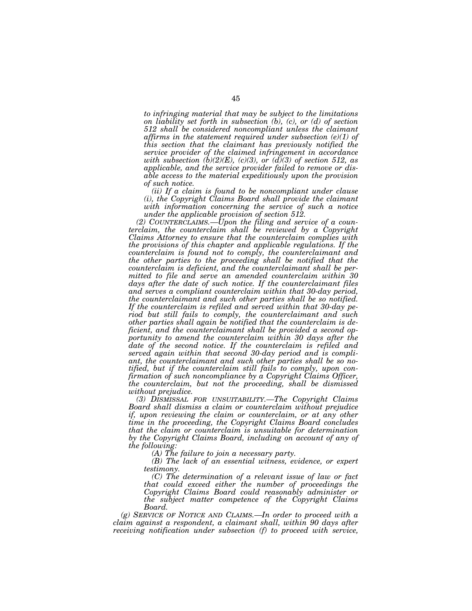*to infringing material that may be subject to the limitations on liability set forth in subsection (b), (c), or (d) of section 512 shall be considered noncompliant unless the claimant affirms in the statement required under subsection (e)(1) of this section that the claimant has previously notified the service provider of the claimed infringement in accordance*  with subsection  $(b)(2)(E)$ ,  $(c)(3)$ , or  $(d)(3)$  of section 512, as *applicable, and the service provider failed to remove or disable access to the material expeditiously upon the provision of such notice.* 

*(ii) If a claim is found to be noncompliant under clause (i), the Copyright Claims Board shall provide the claimant with information concerning the service of such a notice under the applicable provision of section 512.* 

*(2) COUNTERCLAIMS.—Upon the filing and service of a counterclaim, the counterclaim shall be reviewed by a Copyright Claims Attorney to ensure that the counterclaim complies with the provisions of this chapter and applicable regulations. If the counterclaim is found not to comply, the counterclaimant and the other parties to the proceeding shall be notified that the counterclaim is deficient, and the counterclaimant shall be permitted to file and serve an amended counterclaim within 30*  days after the date of such notice. If the counterclaimant files *and serves a compliant counterclaim within that 30-day period, the counterclaimant and such other parties shall be so notified. If the counterclaim is refiled and served within that 30-day period but still fails to comply, the counterclaimant and such other parties shall again be notified that the counterclaim is deficient, and the counterclaimant shall be provided a second opportunity to amend the counterclaim within 30 days after the date of the second notice. If the counterclaim is refiled and served again within that second 30-day period and is compliant, the counterclaimant and such other parties shall be so notified, but if the counterclaim still fails to comply, upon confirmation of such noncompliance by a Copyright Claims Officer, the counterclaim, but not the proceeding, shall be dismissed without prejudice.* 

*(3) DISMISSAL FOR UNSUITABILITY.—The Copyright Claims Board shall dismiss a claim or counterclaim without prejudice if, upon reviewing the claim or counterclaim, or at any other time in the proceeding, the Copyright Claims Board concludes that the claim or counterclaim is unsuitable for determination by the Copyright Claims Board, including on account of any of the following:* 

*(A) The failure to join a necessary party.* 

*(B) The lack of an essential witness, evidence, or expert testimony.* 

*(C) The determination of a relevant issue of law or fact that could exceed either the number of proceedings the Copyright Claims Board could reasonably administer or the subject matter competence of the Copyright Claims Board.* 

*(g) SERVICE OF NOTICE AND CLAIMS.—In order to proceed with a claim against a respondent, a claimant shall, within 90 days after receiving notification under subsection (f) to proceed with service,*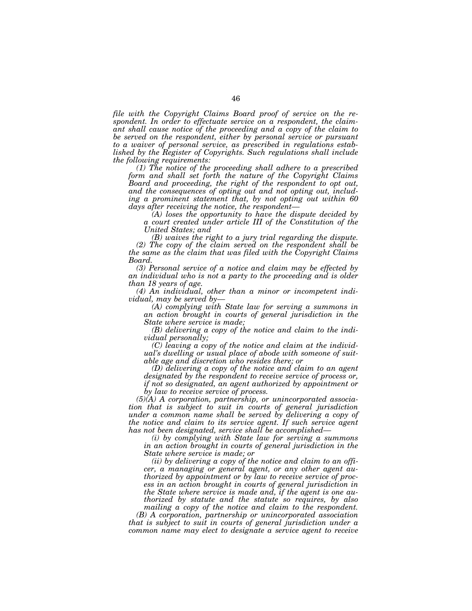*file with the Copyright Claims Board proof of service on the respondent. In order to effectuate service on a respondent, the claimant shall cause notice of the proceeding and a copy of the claim to be served on the respondent, either by personal service or pursuant to a waiver of personal service, as prescribed in regulations established by the Register of Copyrights. Such regulations shall include the following requirements:* 

*(1) The notice of the proceeding shall adhere to a prescribed form and shall set forth the nature of the Copyright Claims Board and proceeding, the right of the respondent to opt out, and the consequences of opting out and not opting out, including a prominent statement that, by not opting out within 60 days after receiving the notice, the respondent—* 

*(A) loses the opportunity to have the dispute decided by a court created under article III of the Constitution of the United States; and* 

*(B) waives the right to a jury trial regarding the dispute. (2) The copy of the claim served on the respondent shall be the same as the claim that was filed with the Copyright Claims Board.* 

*(3) Personal service of a notice and claim may be effected by an individual who is not a party to the proceeding and is older than 18 years of age.* 

*(4) An individual, other than a minor or incompetent individual, may be served by—* 

*(A) complying with State law for serving a summons in an action brought in courts of general jurisdiction in the State where service is made;* 

*(B) delivering a copy of the notice and claim to the individual personally;* 

*(C) leaving a copy of the notice and claim at the individual's dwelling or usual place of abode with someone of suitable age and discretion who resides there; or* 

*(D) delivering a copy of the notice and claim to an agent designated by the respondent to receive service of process or, if not so designated, an agent authorized by appointment or by law to receive service of process.* 

*(5)(A) A corporation, partnership, or unincorporated association that is subject to suit in courts of general jurisdiction under a common name shall be served by delivering a copy of the notice and claim to its service agent. If such service agent has not been designated, service shall be accomplished—* 

*(i) by complying with State law for serving a summons in an action brought in courts of general jurisdiction in the State where service is made; or* 

*(ii) by delivering a copy of the notice and claim to an officer, a managing or general agent, or any other agent authorized by appointment or by law to receive service of process in an action brought in courts of general jurisdiction in the State where service is made and, if the agent is one authorized by statute and the statute so requires, by also mailing a copy of the notice and claim to the respondent.* 

*(B) A corporation, partnership or unincorporated association that is subject to suit in courts of general jurisdiction under a common name may elect to designate a service agent to receive*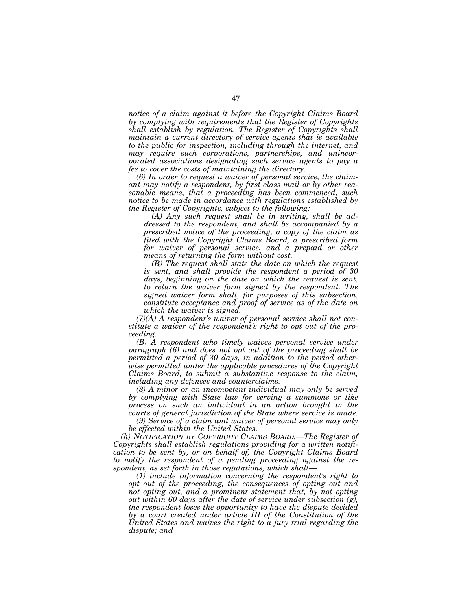*notice of a claim against it before the Copyright Claims Board by complying with requirements that the Register of Copyrights shall establish by regulation. The Register of Copyrights shall maintain a current directory of service agents that is available to the public for inspection, including through the internet, and may require such corporations, partnerships, and unincorporated associations designating such service agents to pay a fee to cover the costs of maintaining the directory.* 

*(6) In order to request a waiver of personal service, the claimant may notify a respondent, by first class mail or by other reasonable means, that a proceeding has been commenced, such notice to be made in accordance with regulations established by the Register of Copyrights, subject to the following:* 

*(A) Any such request shall be in writing, shall be addressed to the respondent, and shall be accompanied by a prescribed notice of the proceeding, a copy of the claim as filed with the Copyright Claims Board, a prescribed form for waiver of personal service, and a prepaid or other means of returning the form without cost.* 

*(B) The request shall state the date on which the request is sent, and shall provide the respondent a period of 30 days, beginning on the date on which the request is sent, to return the waiver form signed by the respondent. The signed waiver form shall, for purposes of this subsection, constitute acceptance and proof of service as of the date on which the waiver is signed.* 

*(7)(A) A respondent's waiver of personal service shall not constitute a waiver of the respondent's right to opt out of the proceeding.* 

*(B) A respondent who timely waives personal service under paragraph (6) and does not opt out of the proceeding shall be permitted a period of 30 days, in addition to the period otherwise permitted under the applicable procedures of the Copyright Claims Board, to submit a substantive response to the claim, including any defenses and counterclaims.* 

*(8) A minor or an incompetent individual may only be served by complying with State law for serving a summons or like process on such an individual in an action brought in the courts of general jurisdiction of the State where service is made.* 

*(9) Service of a claim and waiver of personal service may only be effected within the United States.* 

*(h) NOTIFICATION BY COPYRIGHT CLAIMS BOARD.—The Register of Copyrights shall establish regulations providing for a written notification to be sent by, or on behalf of, the Copyright Claims Board to notify the respondent of a pending proceeding against the respondent, as set forth in those regulations, which shall—* 

*(1) include information concerning the respondent's right to opt out of the proceeding, the consequences of opting out and not opting out, and a prominent statement that, by not opting out within 60 days after the date of service under subsection (g), the respondent loses the opportunity to have the dispute decided by a court created under article III of the Constitution of the United States and waives the right to a jury trial regarding the dispute; and*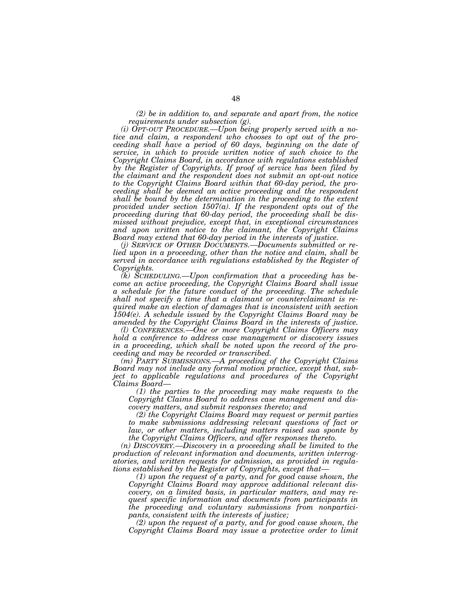*(2) be in addition to, and separate and apart from, the notice requirements under subsection (g).* 

*(i) OPT-OUT PROCEDURE.—Upon being properly served with a notice and claim, a respondent who chooses to opt out of the proceeding shall have a period of 60 days, beginning on the date of service, in which to provide written notice of such choice to the Copyright Claims Board, in accordance with regulations established by the Register of Copyrights. If proof of service has been filed by the claimant and the respondent does not submit an opt-out notice to the Copyright Claims Board within that 60-day period, the proceeding shall be deemed an active proceeding and the respondent shall be bound by the determination in the proceeding to the extent provided under section 1507(a). If the respondent opts out of the proceeding during that 60-day period, the proceeding shall be dismissed without prejudice, except that, in exceptional circumstances and upon written notice to the claimant, the Copyright Claims Board may extend that 60-day period in the interests of justice.* 

*(j) SERVICE OF OTHER DOCUMENTS.—Documents submitted or relied upon in a proceeding, other than the notice and claim, shall be served in accordance with regulations established by the Register of Copyrights.* 

*(k) SCHEDULING.—Upon confirmation that a proceeding has become an active proceeding, the Copyright Claims Board shall issue a schedule for the future conduct of the proceeding. The schedule shall not specify a time that a claimant or counterclaimant is required make an election of damages that is inconsistent with section 1504(e). A schedule issued by the Copyright Claims Board may be amended by the Copyright Claims Board in the interests of justice.* 

*(l) CONFERENCES.—One or more Copyright Claims Officers may hold a conference to address case management or discovery issues in a proceeding, which shall be noted upon the record of the proceeding and may be recorded or transcribed.* 

*(m) PARTY SUBMISSIONS.—A proceeding of the Copyright Claims Board may not include any formal motion practice, except that, subject to applicable regulations and procedures of the Copyright Claims Board—* 

*(1) the parties to the proceeding may make requests to the Copyright Claims Board to address case management and discovery matters, and submit responses thereto; and* 

*(2) the Copyright Claims Board may request or permit parties to make submissions addressing relevant questions of fact or law, or other matters, including matters raised sua sponte by the Copyright Claims Officers, and offer responses thereto.* 

*(n) DISCOVERY.—Discovery in a proceeding shall be limited to the production of relevant information and documents, written interrogatories, and written requests for admission, as provided in regulations established by the Register of Copyrights, except that—* 

*(1) upon the request of a party, and for good cause shown, the Copyright Claims Board may approve additional relevant discovery, on a limited basis, in particular matters, and may request specific information and documents from participants in the proceeding and voluntary submissions from nonparticipants, consistent with the interests of justice;* 

*(2) upon the request of a party, and for good cause shown, the Copyright Claims Board may issue a protective order to limit*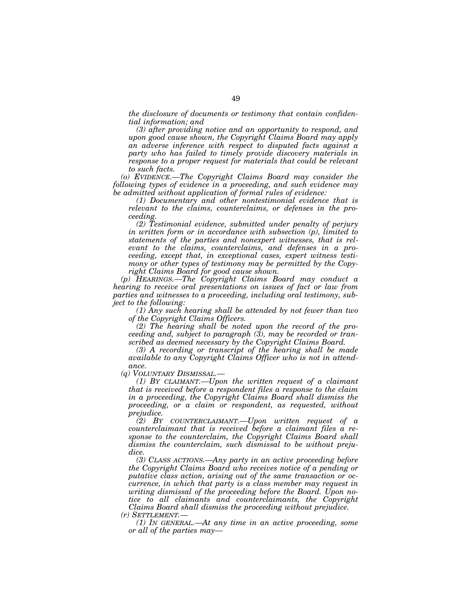*the disclosure of documents or testimony that contain confidential information; and* 

*(3) after providing notice and an opportunity to respond, and upon good cause shown, the Copyright Claims Board may apply an adverse inference with respect to disputed facts against a party who has failed to timely provide discovery materials in response to a proper request for materials that could be relevant to such facts.* 

*(o) EVIDENCE.—The Copyright Claims Board may consider the following types of evidence in a proceeding, and such evidence may be admitted without application of formal rules of evidence:* 

*(1) Documentary and other nontestimonial evidence that is relevant to the claims, counterclaims, or defenses in the proceeding.* 

*(2) Testimonial evidence, submitted under penalty of perjury in written form or in accordance with subsection (p), limited to statements of the parties and nonexpert witnesses, that is relevant to the claims, counterclaims, and defenses in a proceeding, except that, in exceptional cases, expert witness testimony or other types of testimony may be permitted by the Copyright Claims Board for good cause shown.* 

*(p) HEARINGS.—The Copyright Claims Board may conduct a hearing to receive oral presentations on issues of fact or law from parties and witnesses to a proceeding, including oral testimony, subject to the following:* 

*(1) Any such hearing shall be attended by not fewer than two of the Copyright Claims Officers.* 

*(2) The hearing shall be noted upon the record of the proceeding and, subject to paragraph (3), may be recorded or transcribed as deemed necessary by the Copyright Claims Board.* 

*(3) A recording or transcript of the hearing shall be made available to any Copyright Claims Officer who is not in attendance.* 

*(q) VOLUNTARY DISMISSAL.—* 

*(1) BY CLAIMANT.—Upon the written request of a claimant that is received before a respondent files a response to the claim in a proceeding, the Copyright Claims Board shall dismiss the proceeding, or a claim or respondent, as requested, without prejudice.* 

*(2) BY COUNTERCLAIMANT.—Upon written request of a counterclaimant that is received before a claimant files a response to the counterclaim, the Copyright Claims Board shall dismiss the counterclaim, such dismissal to be without prejudice.* 

*(3) CLASS ACTIONS.—Any party in an active proceeding before the Copyright Claims Board who receives notice of a pending or putative class action, arising out of the same transaction or occurrence, in which that party is a class member may request in writing dismissal of the proceeding before the Board. Upon notice to all claimants and counterclaimants, the Copyright Claims Board shall dismiss the proceeding without prejudice.* 

*(r) SETTLEMENT.—* 

*(1) IN GENERAL.—At any time in an active proceeding, some or all of the parties may—*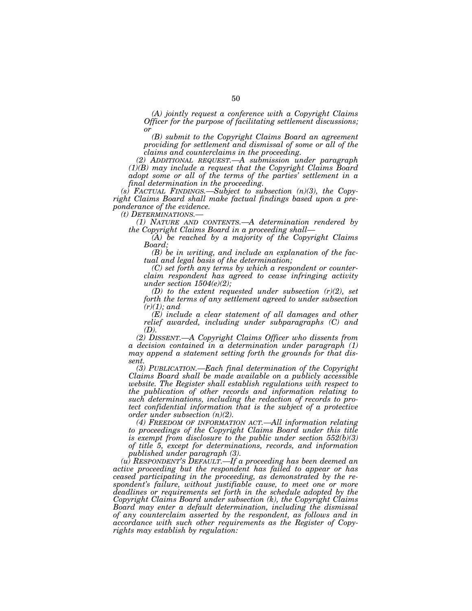*(A) jointly request a conference with a Copyright Claims Officer for the purpose of facilitating settlement discussions; or* 

*(B) submit to the Copyright Claims Board an agreement providing for settlement and dismissal of some or all of the claims and counterclaims in the proceeding.* 

*(2) ADDITIONAL REQUEST.—A submission under paragraph (1)(B) may include a request that the Copyright Claims Board adopt some or all of the terms of the parties' settlement in a final determination in the proceeding.* 

*(s) FACTUAL FINDINGS.—Subject to subsection (n)(3), the Copyright Claims Board shall make factual findings based upon a preponderance of the evidence.* 

*(t) DETERMINATIONS.—* 

*(1) NATURE AND CONTENTS.—A determination rendered by the Copyright Claims Board in a proceeding shall—* 

*(A) be reached by a majority of the Copyright Claims Board;* 

*(B) be in writing, and include an explanation of the factual and legal basis of the determination;* 

*(C) set forth any terms by which a respondent or counterclaim respondent has agreed to cease infringing activity under section 1504(e)(2);* 

*(D) to the extent requested under subsection (r)(2), set forth the terms of any settlement agreed to under subsection (r)(1); and* 

*(E) include a clear statement of all damages and other relief awarded, including under subparagraphs (C) and (D).* 

*(2) DISSENT.—A Copyright Claims Officer who dissents from a decision contained in a determination under paragraph (1) may append a statement setting forth the grounds for that dissent.* 

*(3) PUBLICATION.—Each final determination of the Copyright Claims Board shall be made available on a publicly accessible website. The Register shall establish regulations with respect to the publication of other records and information relating to such determinations, including the redaction of records to protect confidential information that is the subject of a protective order under subsection (n)(2).* 

*(4) FREEDOM OF INFORMATION ACT.—All information relating to proceedings of the Copyright Claims Board under this title is exempt from disclosure to the public under section 552(b)(3) of title 5, except for determinations, records, and information published under paragraph (3).* 

*(u) RESPONDENT'S DEFAULT.—If a proceeding has been deemed an active proceeding but the respondent has failed to appear or has ceased participating in the proceeding, as demonstrated by the respondent's failure, without justifiable cause, to meet one or more deadlines or requirements set forth in the schedule adopted by the Copyright Claims Board under subsection (k), the Copyright Claims Board may enter a default determination, including the dismissal of any counterclaim asserted by the respondent, as follows and in accordance with such other requirements as the Register of Copyrights may establish by regulation:*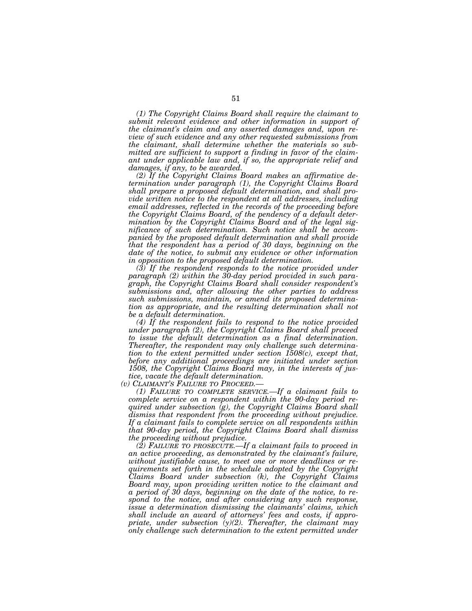*(1) The Copyright Claims Board shall require the claimant to submit relevant evidence and other information in support of the claimant's claim and any asserted damages and, upon review of such evidence and any other requested submissions from the claimant, shall determine whether the materials so submitted are sufficient to support a finding in favor of the claimant under applicable law and, if so, the appropriate relief and damages, if any, to be awarded.* 

*(2) If the Copyright Claims Board makes an affirmative determination under paragraph (1), the Copyright Claims Board shall prepare a proposed default determination, and shall provide written notice to the respondent at all addresses, including email addresses, reflected in the records of the proceeding before the Copyright Claims Board, of the pendency of a default determination by the Copyright Claims Board and of the legal significance of such determination. Such notice shall be accompanied by the proposed default determination and shall provide that the respondent has a period of 30 days, beginning on the date of the notice, to submit any evidence or other information in opposition to the proposed default determination.* 

*(3) If the respondent responds to the notice provided under paragraph (2) within the 30-day period provided in such paragraph, the Copyright Claims Board shall consider respondent's submissions and, after allowing the other parties to address such submissions, maintain, or amend its proposed determination as appropriate, and the resulting determination shall not be a default determination.* 

*(4) If the respondent fails to respond to the notice provided under paragraph (2), the Copyright Claims Board shall proceed to issue the default determination as a final determination. Thereafter, the respondent may only challenge such determination to the extent permitted under section 1508(c), except that, before any additional proceedings are initiated under section 1508, the Copyright Claims Board may, in the interests of justice, vacate the default determination.* 

*(v) CLAIMANT'S FAILURE TO PROCEED.— (1) FAILURE TO COMPLETE SERVICE.—If a claimant fails to complete service on a respondent within the 90-day period required under subsection (g), the Copyright Claims Board shall dismiss that respondent from the proceeding without prejudice. If a claimant fails to complete service on all respondents within that 90-day period, the Copyright Claims Board shall dismiss the proceeding without prejudice.* 

*(2) FAILURE TO PROSECUTE.—If a claimant fails to proceed in an active proceeding, as demonstrated by the claimant's failure, without justifiable cause, to meet one or more deadlines or requirements set forth in the schedule adopted by the Copyright Claims Board under subsection (k), the Copyright Claims Board may, upon providing written notice to the claimant and a period of 30 days, beginning on the date of the notice, to respond to the notice, and after considering any such response, issue a determination dismissing the claimants' claims, which shall include an award of attorneys' fees and costs, if appropriate, under subsection (y)(2). Thereafter, the claimant may*  only challenge such determination to the extent permitted under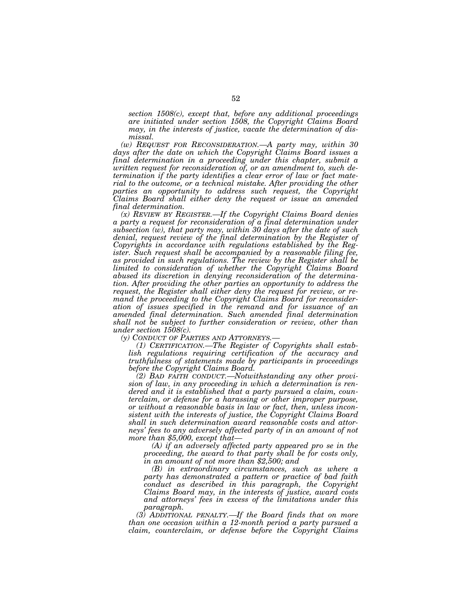*section 1508(c), except that, before any additional proceedings are initiated under section 1508, the Copyright Claims Board may, in the interests of justice, vacate the determination of dismissal.* 

*(w) REQUEST FOR RECONSIDERATION.—A party may, within 30 days after the date on which the Copyright Claims Board issues a final determination in a proceeding under this chapter, submit a written request for reconsideration of, or an amendment to, such determination if the party identifies a clear error of law or fact material to the outcome, or a technical mistake. After providing the other parties an opportunity to address such request, the Copyright Claims Board shall either deny the request or issue an amended final determination.* 

*(x) REVIEW BY REGISTER.—If the Copyright Claims Board denies a party a request for reconsideration of a final determination under subsection (w), that party may, within 30 days after the date of such denial, request review of the final determination by the Register of Copyrights in accordance with regulations established by the Register. Such request shall be accompanied by a reasonable filing fee, as provided in such regulations. The review by the Register shall be limited to consideration of whether the Copyright Claims Board abused its discretion in denying reconsideration of the determination. After providing the other parties an opportunity to address the request, the Register shall either deny the request for review, or remand the proceeding to the Copyright Claims Board for reconsideration of issues specified in the remand and for issuance of an amended final determination. Such amended final determination shall not be subject to further consideration or review, other than under section 1508(c).* 

*(y) CONDUCT OF PARTIES AND ATTORNEYS.—* 

*(1) CERTIFICATION.—The Register of Copyrights shall establish regulations requiring certification of the accuracy and truthfulness of statements made by participants in proceedings before the Copyright Claims Board.* 

*(2) BAD FAITH CONDUCT.—Notwithstanding any other provision of law, in any proceeding in which a determination is rendered and it is established that a party pursued a claim, counterclaim, or defense for a harassing or other improper purpose, or without a reasonable basis in law or fact, then, unless inconsistent with the interests of justice, the Copyright Claims Board shall in such determination award reasonable costs and attorneys' fees to any adversely affected party of in an amount of not more than \$5,000, except that—* 

*(A) if an adversely affected party appeared pro se in the proceeding, the award to that party shall be for costs only, in an amount of not more than \$2,500; and* 

*(B) in extraordinary circumstances, such as where a party has demonstrated a pattern or practice of bad faith conduct as described in this paragraph, the Copyright Claims Board may, in the interests of justice, award costs and attorneys' fees in excess of the limitations under this paragraph.* 

*(3) ADDITIONAL PENALTY.—If the Board finds that on more than one occasion within a 12-month period a party pursued a claim, counterclaim, or defense before the Copyright Claims*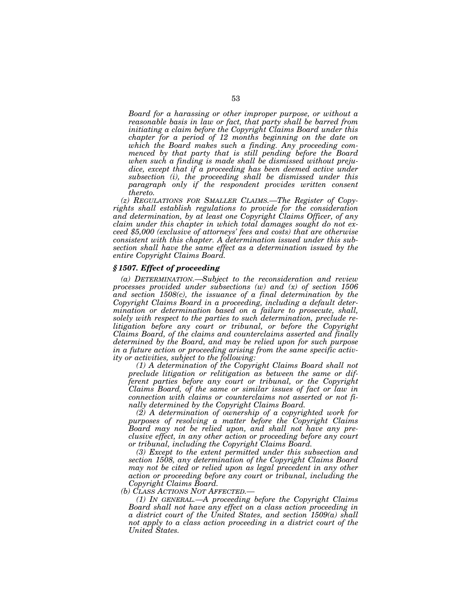*Board for a harassing or other improper purpose, or without a reasonable basis in law or fact, that party shall be barred from initiating a claim before the Copyright Claims Board under this chapter for a period of 12 months beginning on the date on which the Board makes such a finding. Any proceeding commenced by that party that is still pending before the Board when such a finding is made shall be dismissed without preju*dice, except that if a proceeding has been deemed active under *subsection (i), the proceeding shall be dismissed under this paragraph only if the respondent provides written consent thereto.* 

*(z) REGULATIONS FOR SMALLER CLAIMS.—The Register of Copyrights shall establish regulations to provide for the consideration and determination, by at least one Copyright Claims Officer, of any claim under this chapter in which total damages sought do not exceed \$5,000 (exclusive of attorneys' fees and costs) that are otherwise consistent with this chapter. A determination issued under this subsection shall have the same effect as a determination issued by the entire Copyright Claims Board.* 

### *§ 1507. Effect of proceeding*

*(a) DETERMINATION.—Subject to the reconsideration and review processes provided under subsections (w) and (x) of section 1506 and section 1508(c), the issuance of a final determination by the Copyright Claims Board in a proceeding, including a default determination or determination based on a failure to prosecute, shall, solely with respect to the parties to such determination, preclude relitigation before any court or tribunal, or before the Copyright Claims Board, of the claims and counterclaims asserted and finally determined by the Board, and may be relied upon for such purpose in a future action or proceeding arising from the same specific activity or activities, subject to the following:* 

*(1) A determination of the Copyright Claims Board shall not preclude litigation or relitigation as between the same or different parties before any court or tribunal, or the Copyright Claims Board, of the same or similar issues of fact or law in connection with claims or counterclaims not asserted or not finally determined by the Copyright Claims Board.* 

*(2) A determination of ownership of a copyrighted work for purposes of resolving a matter before the Copyright Claims Board may not be relied upon, and shall not have any preclusive effect, in any other action or proceeding before any court or tribunal, including the Copyright Claims Board.* 

*(3) Except to the extent permitted under this subsection and section 1508, any determination of the Copyright Claims Board may not be cited or relied upon as legal precedent in any other action or proceeding before any court or tribunal, including the Copyright Claims Board.* 

*(b) CLASS ACTIONS NOT AFFECTED.—* 

*(1) IN GENERAL.—A proceeding before the Copyright Claims Board shall not have any effect on a class action proceeding in a district court of the United States, and section 1509(a) shall not apply to a class action proceeding in a district court of the United States.*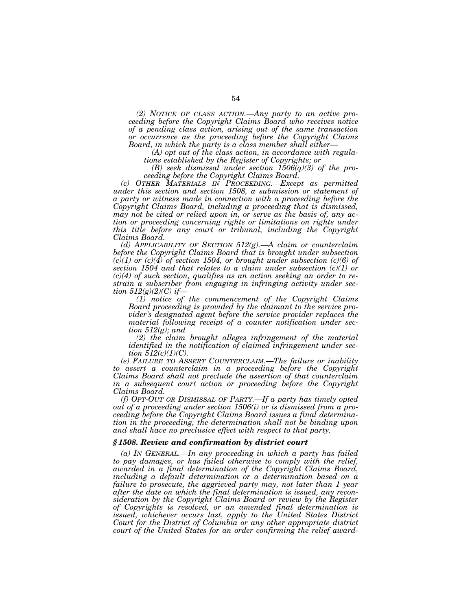*(2) NOTICE OF CLASS ACTION.—Any party to an active proceeding before the Copyright Claims Board who receives notice of a pending class action, arising out of the same transaction or occurrence as the proceeding before the Copyright Claims Board, in which the party is a class member shall either-*

*(A) opt out of the class action, in accordance with regulations established by the Register of Copyrights; or* 

*(B) seek dismissal under section 1506(q)(3) of the proceeding before the Copyright Claims Board.* 

*(c) OTHER MATERIALS IN PROCEEDING.—Except as permitted under this section and section 1508, a submission or statement of a party or witness made in connection with a proceeding before the Copyright Claims Board, including a proceeding that is dismissed, may not be cited or relied upon in, or serve as the basis of, any action or proceeding concerning rights or limitations on rights under this title before any court or tribunal, including the Copyright Claims Board.* 

*(d) APPLICABILITY OF SECTION 512(g).—A claim or counterclaim before the Copyright Claims Board that is brought under subsection*   $(c)(1)$  or  $(c)(4)$  of section 1504, or brought under subsection  $(c)(6)$  of *section 1504 and that relates to a claim under subsection (c)(1) or (c)(4) of such section, qualifies as an action seeking an order to restrain a subscriber from engaging in infringing activity under section 512(g)(2)(C) if—* 

*(1) notice of the commencement of the Copyright Claims Board proceeding is provided by the claimant to the service provider's designated agent before the service provider replaces the material following receipt of a counter notification under section 512(g); and* 

*(2) the claim brought alleges infringement of the material identified in the notification of claimed infringement under section 512(c)(1)(C).* 

*(e) FAILURE TO ASSERT COUNTERCLAIM.—The failure or inability to assert a counterclaim in a proceeding before the Copyright Claims Board shall not preclude the assertion of that counterclaim in a subsequent court action or proceeding before the Copyright Claims Board.* 

*(f) OPT-OUT OR DISMISSAL OF PARTY.—If a party has timely opted out of a proceeding under section 1506(i) or is dismissed from a proceeding before the Copyright Claims Board issues a final determination in the proceeding, the determination shall not be binding upon and shall have no preclusive effect with respect to that party.* 

#### *§ 1508. Review and confirmation by district court*

*(a) IN GENERAL.—In any proceeding in which a party has failed to pay damages, or has failed otherwise to comply with the relief, awarded in a final determination of the Copyright Claims Board, including a default determination or a determination based on a failure to prosecute, the aggrieved party may, not later than 1 year after the date on which the final determination is issued, any reconsideration by the Copyright Claims Board or review by the Register of Copyrights is resolved, or an amended final determination is issued, whichever occurs last, apply to the United States District Court for the District of Columbia or any other appropriate district court of the United States for an order confirming the relief award-*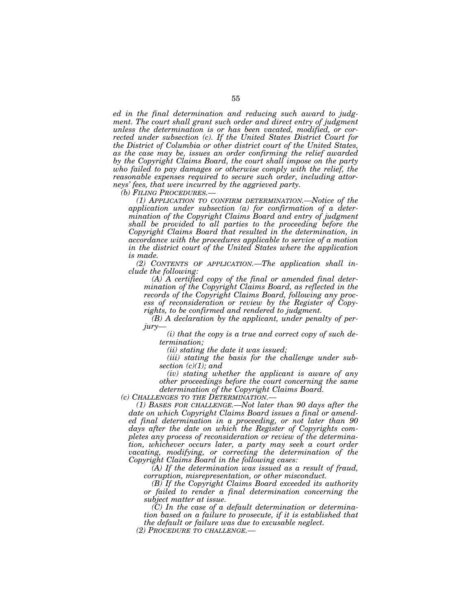*ed in the final determination and reducing such award to judgment. The court shall grant such order and direct entry of judgment unless the determination is or has been vacated, modified, or corrected under subsection (c). If the United States District Court for the District of Columbia or other district court of the United States, as the case may be, issues an order confirming the relief awarded by the Copyright Claims Board, the court shall impose on the party who failed to pay damages or otherwise comply with the relief, the reasonable expenses required to secure such order, including attorneys' fees, that were incurred by the aggrieved party.* 

*(b) FILING PROCEDURES.—* 

*(1) APPLICATION TO CONFIRM DETERMINATION.—Notice of the application under subsection (a) for confirmation of a determination of the Copyright Claims Board and entry of judgment shall be provided to all parties to the proceeding before the Copyright Claims Board that resulted in the determination, in accordance with the procedures applicable to service of a motion in the district court of the United States where the application is made.* 

*(2) CONTENTS OF APPLICATION.—The application shall include the following:* 

*(A) A certified copy of the final or amended final determination of the Copyright Claims Board, as reflected in the records of the Copyright Claims Board, following any process of reconsideration or review by the Register of Copyrights, to be confirmed and rendered to judgment.* 

*(B) A declaration by the applicant, under penalty of perjury—* 

*(i) that the copy is a true and correct copy of such determination;* 

*(ii) stating the date it was issued;* 

*(iii) stating the basis for the challenge under subsection (c)(1); and* 

*(iv) stating whether the applicant is aware of any other proceedings before the court concerning the same determination of the Copyright Claims Board.* 

*(c) CHALLENGES TO THE DETERMINATION.—* 

*(1) BASES FOR CHALLENGE.—Not later than 90 days after the date on which Copyright Claims Board issues a final or amended final determination in a proceeding, or not later than 90 days after the date on which the Register of Copyrights completes any process of reconsideration or review of the determination, whichever occurs later, a party may seek a court order*  vacating, modifying, or correcting the determination of the *Copyright Claims Board in the following cases:* 

*(A) If the determination was issued as a result of fraud, corruption, misrepresentation, or other misconduct.* 

*(B) If the Copyright Claims Board exceeded its authority or failed to render a final determination concerning the subject matter at issue.* 

*(C) In the case of a default determination or determination based on a failure to prosecute, if it is established that the default or failure was due to excusable neglect.* 

*(2) PROCEDURE TO CHALLENGE.—*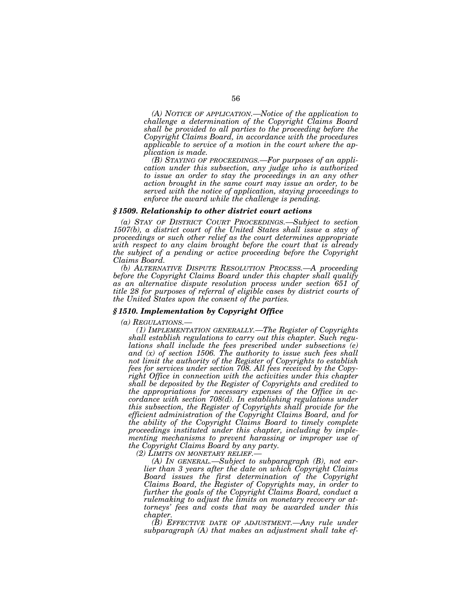*(A) NOTICE OF APPLICATION.—Notice of the application to challenge a determination of the Copyright Claims Board shall be provided to all parties to the proceeding before the Copyright Claims Board, in accordance with the procedures applicable to service of a motion in the court where the application is made.* 

*(B) STAYING OF PROCEEDINGS.—For purposes of an application under this subsection, any judge who is authorized to issue an order to stay the proceedings in an any other action brought in the same court may issue an order, to be served with the notice of application, staying proceedings to enforce the award while the challenge is pending.* 

### *§ 1509. Relationship to other district court actions*

*(a) STAY OF DISTRICT COURT PROCEEDINGS.—Subject to section 1507(b), a district court of the United States shall issue a stay of proceedings or such other relief as the court determines appropriate with respect to any claim brought before the court that is already the subject of a pending or active proceeding before the Copyright Claims Board.* 

*(b) ALTERNATIVE DISPUTE RESOLUTION PROCESS.—A proceeding before the Copyright Claims Board under this chapter shall qualify as an alternative dispute resolution process under section 651 of title 28 for purposes of referral of eligible cases by district courts of the United States upon the consent of the parties.* 

#### *§ 1510. Implementation by Copyright Office*

*(a) REGULATIONS.— (1) IMPLEMENTATION GENERALLY.—The Register of Copyrights shall establish regulations to carry out this chapter. Such regulations shall include the fees prescribed under subsections (e) and (x) of section 1506. The authority to issue such fees shall not limit the authority of the Register of Copyrights to establish fees for services under section 708. All fees received by the Copyright Office in connection with the activities under this chapter shall be deposited by the Register of Copyrights and credited to the appropriations for necessary expenses of the Office in ac*cordance with section 708(d). In establishing regulations under *this subsection, the Register of Copyrights shall provide for the efficient administration of the Copyright Claims Board, and for the ability of the Copyright Claims Board to timely complete proceedings instituted under this chapter, including by implementing mechanisms to prevent harassing or improper use of the Copyright Claims Board by any party.* 

*(2) LIMITS ON MONETARY RELIEF.—* 

*(A) IN GENERAL.—Subject to subparagraph (B), not earlier than 3 years after the date on which Copyright Claims Board issues the first determination of the Copyright Claims Board, the Register of Copyrights may, in order to further the goals of the Copyright Claims Board, conduct a rulemaking to adjust the limits on monetary recovery or attorneys' fees and costs that may be awarded under this chapter.* 

*(B) EFFECTIVE DATE OF ADJUSTMENT.—Any rule under subparagraph (A) that makes an adjustment shall take ef-*